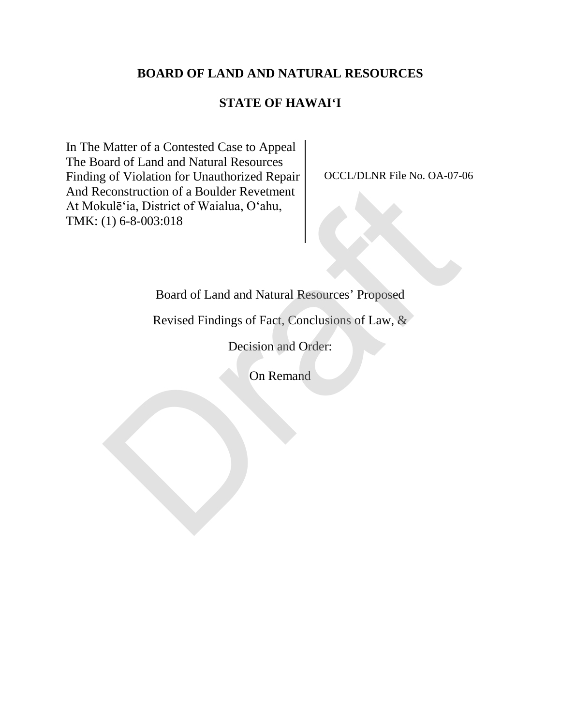## **BOARD OF LAND AND NATURAL RESOURCES**

## **STATE OF HAWAI'I**

In The Matter of a Contested Case to Appeal The Board of Land and Natural Resources Finding of Violation for Unauthorized Repair And Reconstruction of a Boulder Revetment At Mokulē'ia, District of Waialua, O'ahu, TMK: (1) 6-8-003:018 or Voltation of a Boulder Revetment<br>
reconstruction of a Boulder Revetment<br>
rule<sup>5</sup>ia, District of Waialua, O'ahu,<br>
(1) 6-8-003:018<br>
Board of Land and Natural Resources' Proposed<br>
Revised Findings of Fact, Conclusions of L

OCCL/DLNR File No. OA-07-06

## Board of Land and Natural Resources' Proposed

Revised Findings of Fact, Conclusions of Law, &

Decision and Order:

On Remand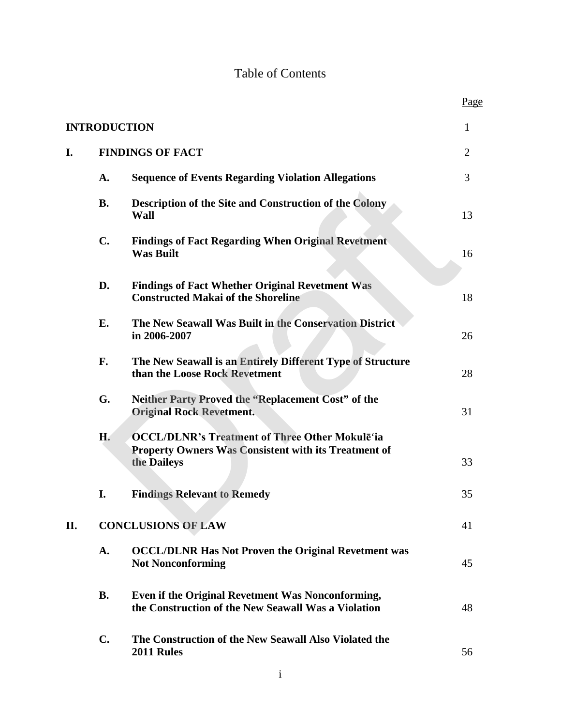# Table of Contents

Page

| <b>INTRODUCTION</b><br>$\mathbf{1}$ |                         |                                                                                                                                     |    |
|-------------------------------------|-------------------------|-------------------------------------------------------------------------------------------------------------------------------------|----|
| I.                                  | <b>FINDINGS OF FACT</b> |                                                                                                                                     | 2  |
|                                     | A.                      | <b>Sequence of Events Regarding Violation Allegations</b>                                                                           | 3  |
|                                     | <b>B.</b>               | Description of the Site and Construction of the Colony<br><b>Wall</b>                                                               | 13 |
|                                     | $C_{\bullet}$           | <b>Findings of Fact Regarding When Original Revetment</b><br><b>Was Built</b>                                                       | 16 |
|                                     | D.                      | <b>Findings of Fact Whether Original Revetment Was</b><br><b>Constructed Makai of the Shoreline</b>                                 | 18 |
|                                     | Е.                      | The New Seawall Was Built in the Conservation District<br>in 2006-2007                                                              | 26 |
|                                     | F.                      | The New Seawall is an Entirely Different Type of Structure<br>than the Loose Rock Revetment                                         | 28 |
|                                     | G.                      | Neither Party Proved the "Replacement Cost" of the<br><b>Original Rock Revetment.</b>                                               | 31 |
|                                     | H.                      | <b>OCCL/DLNR's Treatment of Three Other Mokulē'ia</b><br><b>Property Owners Was Consistent with its Treatment of</b><br>the Daileys | 33 |
|                                     | I.                      | <b>Findings Relevant to Remedy</b>                                                                                                  | 35 |
| П.                                  |                         | <b>CONCLUSIONS OF LAW</b>                                                                                                           | 41 |
|                                     | A.                      | <b>OCCL/DLNR Has Not Proven the Original Revetment was</b><br><b>Not Nonconforming</b>                                              | 45 |
|                                     | <b>B.</b>               | Even if the Original Revetment Was Nonconforming,<br>the Construction of the New Seawall Was a Violation                            | 48 |
|                                     | $\mathbf{C}$ .          | The Construction of the New Seawall Also Violated the<br>2011 Rules                                                                 | 56 |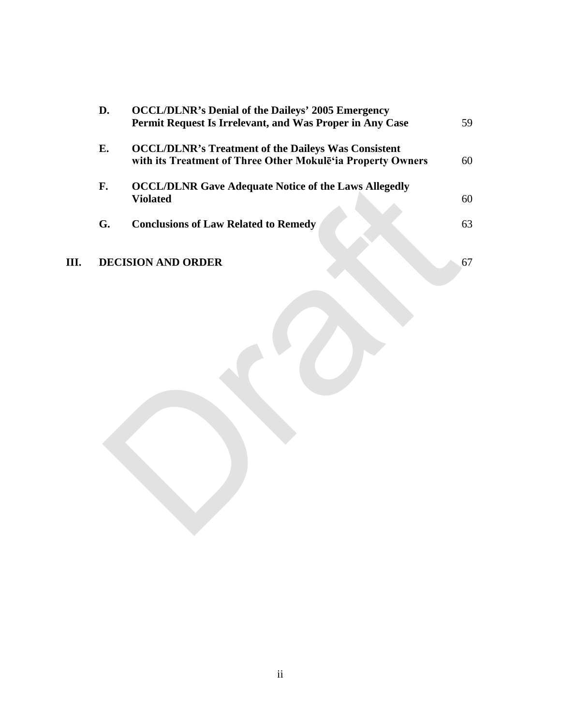|      | D. | <b>OCCL/DLNR's Denial of the Daileys' 2005 Emergency</b><br>Permit Request Is Irrelevant, and Was Proper in Any Case      | 59 |
|------|----|---------------------------------------------------------------------------------------------------------------------------|----|
|      | E. | <b>OCCL/DLNR's Treatment of the Daileys Was Consistent</b><br>with its Treatment of Three Other Mokulē'ia Property Owners | 60 |
|      | F. | <b>OCCL/DLNR Gave Adequate Notice of the Laws Allegedly</b><br><b>Violated</b>                                            | 60 |
|      | G. | <b>Conclusions of Law Related to Remedy</b>                                                                               | 63 |
| III. |    | <b>DECISION AND ORDER</b>                                                                                                 | 67 |
|      |    |                                                                                                                           |    |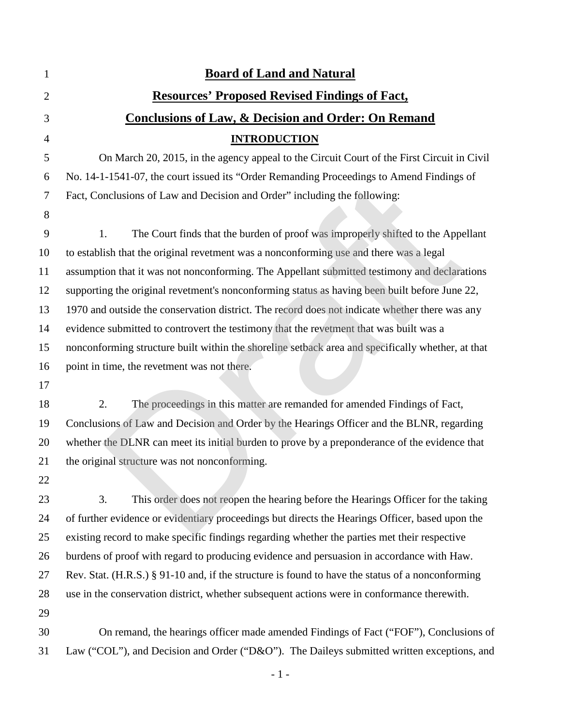| 1              | <b>Board of Land and Natural</b>                                                                  |
|----------------|---------------------------------------------------------------------------------------------------|
| $\overline{2}$ | <b>Resources' Proposed Revised Findings of Fact,</b>                                              |
| 3              | <b>Conclusions of Law, &amp; Decision and Order: On Remand</b>                                    |
| $\overline{4}$ | <b>INTRODUCTION</b>                                                                               |
| 5              | On March 20, 2015, in the agency appeal to the Circuit Court of the First Circuit in Civil        |
| 6              | No. 14-1-1541-07, the court issued its "Order Remanding Proceedings to Amend Findings of          |
| 7              | Fact, Conclusions of Law and Decision and Order" including the following:                         |
| 8              |                                                                                                   |
| 9              | The Court finds that the burden of proof was improperly shifted to the Appellant<br>1.            |
| 10             | to establish that the original revetment was a nonconforming use and there was a legal            |
| 11             | assumption that it was not nonconforming. The Appellant submitted testimony and declarations      |
| 12             | supporting the original revetment's nonconforming status as having been built before June 22,     |
| 13             | 1970 and outside the conservation district. The record does not indicate whether there was any    |
| 14             | evidence submitted to controvert the testimony that the revetment that was built was a            |
| 15             | nonconforming structure built within the shoreline setback area and specifically whether, at that |
| 16             | point in time, the revetment was not there.                                                       |
| 17             |                                                                                                   |
| 18             | 2.<br>The proceedings in this matter are remanded for amended Findings of Fact,                   |
| 19             | Conclusions of Law and Decision and Order by the Hearings Officer and the BLNR, regarding         |
| 20             | whether the DLNR can meet its initial burden to prove by a preponderance of the evidence that     |
| 21             | the original structure was not nonconforming.                                                     |
| 22             |                                                                                                   |
| 23             | This order does not reopen the hearing before the Hearings Officer for the taking<br>3.           |
| 24             | of further evidence or evidentiary proceedings but directs the Hearings Officer, based upon the   |
| 25             | existing record to make specific findings regarding whether the parties met their respective      |
| 26             | burdens of proof with regard to producing evidence and persuasion in accordance with Haw.         |
| 27             | Rev. Stat. (H.R.S.) § 91-10 and, if the structure is found to have the status of a nonconforming  |
| 28             | use in the conservation district, whether subsequent actions were in conformance therewith.       |
| 29             |                                                                                                   |
| 30             | On remand, the hearings officer made amended Findings of Fact ("FOF"), Conclusions of             |
| 31             | Law ("COL"), and Decision and Order ("D&O"). The Daileys submitted written exceptions, and        |

 $\sim 1$  -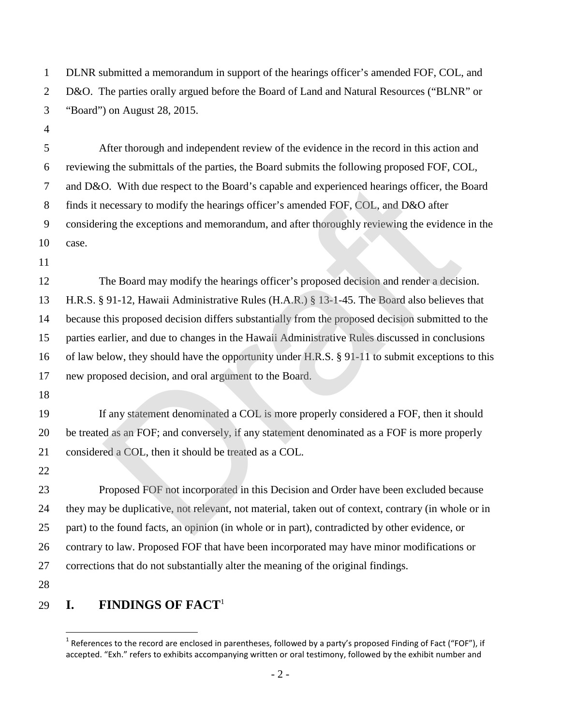DLNR submitted a memorandum in support of the hearings officer's amended FOF, COL, and D&O. The parties orally argued before the Board of Land and Natural Resources ("BLNR" or "Board") on August 28, 2015.

 After thorough and independent review of the evidence in the record in this action and reviewing the submittals of the parties, the Board submits the following proposed FOF, COL, and D&O. With due respect to the Board's capable and experienced hearings officer, the Board finds it necessary to modify the hearings officer's amended FOF, COL, and D&O after considering the exceptions and memorandum, and after thoroughly reviewing the evidence in the 10 case.

 The Board may modify the hearings officer's proposed decision and render a decision. H.R.S. § 91-12, Hawaii Administrative Rules (H.A.R.) § 13-1-45. The Board also believes that because this proposed decision differs substantially from the proposed decision submitted to the parties earlier, and due to changes in the Hawaii Administrative Rules discussed in conclusions of law below, they should have the opportunity under H.R.S. § 91-11 to submit exceptions to this new proposed decision, and oral argument to the Board. O. With due respect to the Board's capable and experienced hearings officer, the lecessary to modify the hearings officer's amended FOF, COL, and D&O after<br>ting the exceptions and memorandum, and after thoroughly reviewing

 If any statement denominated a COL is more properly considered a FOF, then it should be treated as an FOF; and conversely, if any statement denominated as a FOF is more properly considered a COL, then it should be treated as a COL.

 Proposed FOF not incorporated in this Decision and Order have been excluded because they may be duplicative, not relevant, not material, taken out of context, contrary (in whole or in part) to the found facts, an opinion (in whole or in part), contradicted by other evidence, or contrary to law. Proposed FOF that have been incorporated may have minor modifications or corrections that do not substantially alter the meaning of the original findings.

#### **I. FINDINGS OF FACT**[1](#page-4-0)

<span id="page-4-0"></span><sup>&</sup>lt;sup>1</sup> References to the record are enclosed in parentheses, followed by a party's proposed Finding of Fact ("FOF"), if accepted. "Exh." refers to exhibits accompanying written or oral testimony, followed by the exhibit number and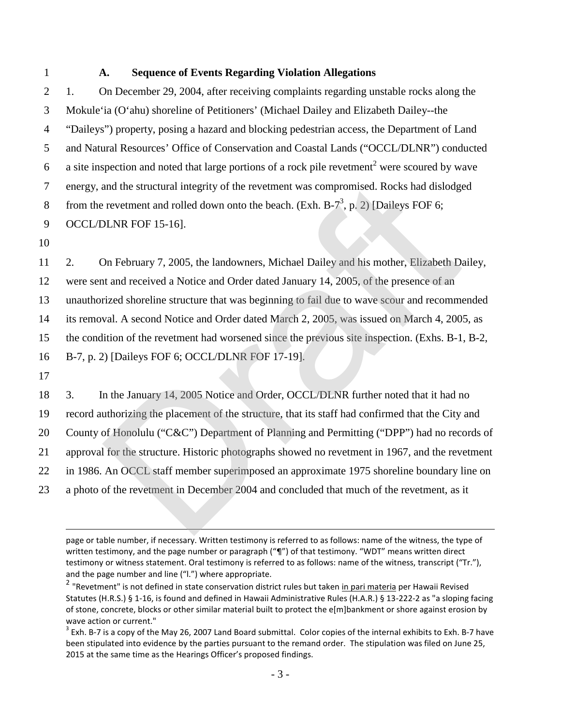### 1 **A. Sequence of Events Regarding Violation Allegations**

 1. On December 29, 2004, after receiving complaints regarding unstable rocks along the Mokule'ia (O'ahu) shoreline of Petitioners' (Michael Dailey and Elizabeth Dailey--the "Daileys") property, posing a hazard and blocking pedestrian access, the Department of Land and Natural Resources' Office of Conservation and Coastal Lands ("OCCL/DLNR") conducted 6 a site inspection and noted that large portions of a rock pile revetment<sup>[2](#page-5-0)</sup> were scoured by wave energy, and the structural integrity of the revetment was compromised. Rocks had dislodged 8 from the revetment and rolled down onto the beach. (Exh. B-7<sup>3</sup>, p. 2) [Daileys FOF 6; OCCL/DLNR FOF 15-16].

10

 2. On February 7, 2005, the landowners, Michael Dailey and his mother, Elizabeth Dailey, were sent and received a Notice and Order dated January 14, 2005, of the presence of an unauthorized shoreline structure that was beginning to fail due to wave scour and recommended its removal. A second Notice and Order dated March 2, 2005, was issued on March 4, 2005, as the condition of the revetment had worsened since the previous site inspection. (Exhs. B-1, B-2, B-7, p. 2) [Daileys FOF 6; OCCL/DLNR FOF 17-19]. and the structural integrity of the revetment was compromised. Rocks had dislodge<br>revetment and rolled down onto the beach. (Exh. B-7<sup>3</sup>, p. 2) [Daileys FOF 6;<br>DLNR FOF 15-16].<br>Dn February 7, 2005, the landowners, Michael

17

 3. In the January 14, 2005 Notice and Order, OCCL/DLNR further noted that it had no record authorizing the placement of the structure, that its staff had confirmed that the City and 20 County of Honolulu ("C&C") Department of Planning and Permitting ("DPP") had no records of approval for the structure. Historic photographs showed no revetment in 1967, and the revetment in 1986. An OCCL staff member superimposed an approximate 1975 shoreline boundary line on a photo of the revetment in December 2004 and concluded that much of the revetment, as it

page or table number, if necessary. Written testimony is referred to as follows: name of the witness, the type of written testimony, and the page number or paragraph ("¶") of that testimony. "WDT" means written direct testimony or witness statement. Oral testimony is referred to as follows: name of the witness, transcript ("Tr."), and the page number and line ("l.") where appropriate.

<span id="page-5-0"></span><sup>&</sup>lt;sup>2</sup> "Revetment" is not defined in state conservation district rules but taken <u>in pari materia</u> per Hawaii Revised Statutes (H.R.S.) § 1-16, is found and defined in Hawaii Administrative Rules (H.A.R.) § 13-222-2 as "a sloping facing of stone, concrete, blocks or other similar material built to protect the e[m]bankment or shore against erosion by wave action or current."

<span id="page-5-1"></span> $^3$  Exh. B-7 is a copy of the May 26, 2007 Land Board submittal. Color copies of the internal exhibits to Exh. B-7 have been stipulated into evidence by the parties pursuant to the remand order. The stipulation was filed on June 25, 2015 at the same time as the Hearings Officer's proposed findings.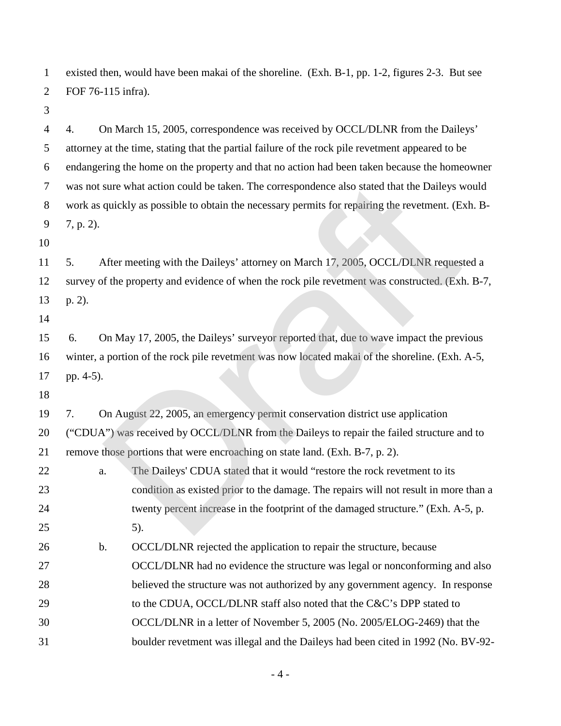existed then, would have been makai of the shoreline. (Exh. B-1, pp. 1-2, figures 2-3. But see FOF 76-115 infra).

 4. On March 15, 2005, correspondence was received by OCCL/DLNR from the Daileys' attorney at the time, stating that the partial failure of the rock pile revetment appeared to be endangering the home on the property and that no action had been taken because the homeowner was not sure what action could be taken. The correspondence also stated that the Daileys would work as quickly as possible to obtain the necessary permits for repairing the revetment. (Exh. B- 7, p. 2). 

 5. After meeting with the Daileys' attorney on March 17, 2005, OCCL/DLNR requested a survey of the property and evidence of when the rock pile revetment was constructed. (Exh. B-7, 13 p. 2).

 6. On May 17, 2005, the Daileys' surveyor reported that, due to wave impact the previous winter, a portion of the rock pile revetment was now located makai of the shoreline. (Exh. A-5, pp. 4-5).

 7. On August 22, 2005, an emergency permit conservation district use application ("CDUA") was received by OCCL/DLNR from the Daileys to repair the failed structure and to remove those portions that were encroaching on state land. (Exh. B-7, p. 2).

- 22 a. The Daileys' CDUA stated that it would "restore the rock revetment to its condition as existed prior to the damage. The repairs will not result in more than a 24 twenty percent increase in the footprint of the damaged structure." (Exh. A-5, p. 5). b. OCCL/DLNR rejected the application to repair the structure, because OCCL/DLNR had no evidence the structure was legal or nonconforming and also sure what action could be taken. The correspondence also stated that the Daileys v<br>quickly as possible to obtain the necessary permits for repairing the revetment. (E<br>After meeting with the Daileys' attomey on March 17, 20
- believed the structure was not authorized by any government agency. In response
- 29 to the CDUA, OCCL/DLNR staff also noted that the C&C's DPP stated to
- OCCL/DLNR in a letter of November 5, 2005 (No. 2005/ELOG-2469) that the
- boulder revetment was illegal and the Daileys had been cited in 1992 (No. BV-92-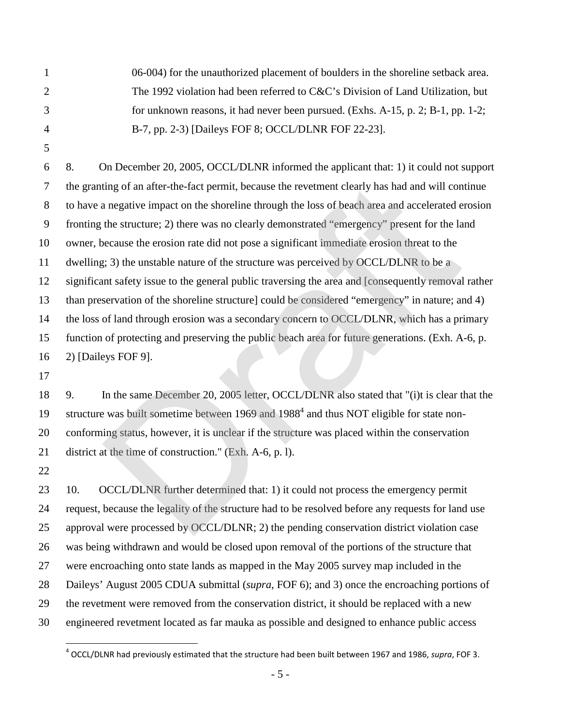06-004) for the unauthorized placement of boulders in the shoreline setback area. The 1992 violation had been referred to C&C's Division of Land Utilization, but for unknown reasons, it had never been pursued. (Exhs. A-15, p. 2; B-1, pp. 1-2; B-7, pp. 2-3) [Daileys FOF 8; OCCL/DLNR FOF 22-23].

 8. On December 20, 2005, OCCL/DLNR informed the applicant that: 1) it could not support the granting of an after-the-fact permit, because the revetment clearly has had and will continue to have a negative impact on the shoreline through the loss of beach area and accelerated erosion fronting the structure; 2) there was no clearly demonstrated "emergency" present for the land owner, because the erosion rate did not pose a significant immediate erosion threat to the dwelling; 3) the unstable nature of the structure was perceived by OCCL/DLNR to be a significant safety issue to the general public traversing the area and [consequently removal rather than preservation of the shoreline structure] could be considered "emergency" in nature; and 4) 14 the loss of land through erosion was a secondary concern to OCCL/DLNR, which has a primary function of protecting and preserving the public beach area for future generations. (Exh. A-6, p. 2) [Daileys FOF 9]. ting of an after-the-fact permit, because the revetment clearly has had and will con<br>a negative impact on the shoreline through the loss of beach area and accelerated e<br>the structure; 2) there was no clearly demonstrated "

 9. In the same December 20, 2005 letter, OCCL/DLNR also stated that "(i)t is clear that the 19 structure was built sometime between 1969 and 1988<sup>4</sup> and thus NOT eligible for state non- conforming status, however, it is unclear if the structure was placed within the conservation district at the time of construction." (Exh. A-6, p. l).

23 10. OCCL/DLNR further determined that: 1) it could not process the emergency permit request, because the legality of the structure had to be resolved before any requests for land use approval were processed by OCCL/DLNR; 2) the pending conservation district violation case was being withdrawn and would be closed upon removal of the portions of the structure that were encroaching onto state lands as mapped in the May 2005 survey map included in the Daileys' August 2005 CDUA submittal (*supra*, FOF 6); and 3) once the encroaching portions of the revetment were removed from the conservation district, it should be replaced with a new engineered revetment located as far mauka as possible and designed to enhance public access

<span id="page-7-0"></span>OCCL/DLNR had previously estimated that the structure had been built between 1967 and 1986, *supra*, FOF 3.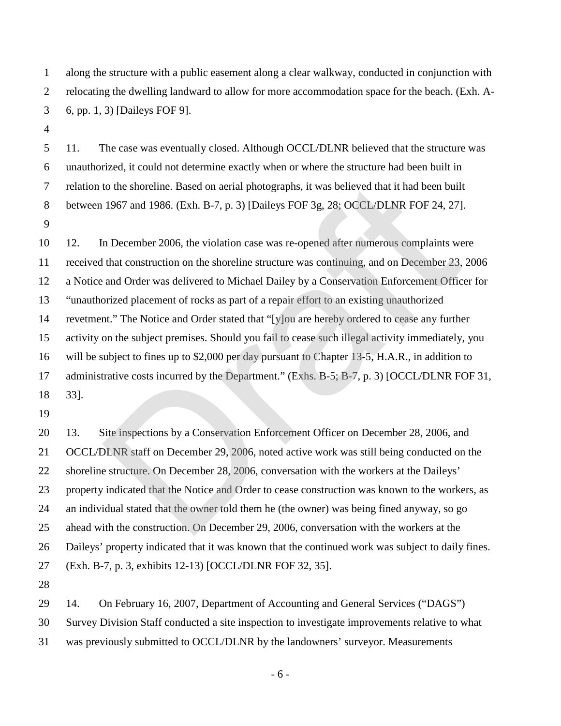along the structure with a public easement along a clear walkway, conducted in conjunction with relocating the dwelling landward to allow for more accommodation space for the beach. (Exh. A-6, pp. 1, 3) [Daileys FOF 9].

 11. The case was eventually closed. Although OCCL/DLNR believed that the structure was unauthorized, it could not determine exactly when or where the structure had been built in relation to the shoreline. Based on aerial photographs, it was believed that it had been built between 1967 and 1986. (Exh. B-7, p. 3) [Daileys FOF 3g, 28; OCCL/DLNR FOF 24, 27]. 

 12. In December 2006, the violation case was re-opened after numerous complaints were received that construction on the shoreline structure was continuing, and on December 23, 2006 a Notice and Order was delivered to Michael Dailey by a Conservation Enforcement Officer for "unauthorized placement of rocks as part of a repair effort to an existing unauthorized revetment." The Notice and Order stated that "[y]ou are hereby ordered to cease any further activity on the subject premises. Should you fail to cease such illegal activity immediately, you will be subject to fines up to \$2,000 per day pursuant to Chapter 13-5, H.A.R., in addition to 17 administrative costs incurred by the Department." (Exhs. B-5; B-7, p. 3) [OCCL/DLNR FOF 31, 33].18 to the shoreline. Based on aerial photographs, it was believed that it had been buil<br>1967 and 1986. (Exh. B-7, p. 3) [Daileys FOF 3g, 28; OCCL/DLNR FOF 24, 27]<br>10 December 2006, the violation case was re-opened after numer

 13. Site inspections by a Conservation Enforcement Officer on December 28, 2006, and OCCL/DLNR staff on December 29, 2006, noted active work was still being conducted on the shoreline structure. On December 28, 2006, conversation with the workers at the Daileys' property indicated that the Notice and Order to cease construction was known to the workers, as an individual stated that the owner told them he (the owner) was being fined anyway, so go ahead with the construction. On December 29, 2006, conversation with the workers at the Daileys' property indicated that it was known that the continued work was subject to daily fines. (Exh. B-7, p. 3, exhibits 12-13) [OCCL/DLNR FOF 32, 35].

14. On February 16, 2007, Department of Accounting and General Services ("DAGS")

Survey Division Staff conducted a site inspection to investigate improvements relative to what

was previously submitted to OCCL/DLNR by the landowners' surveyor. Measurements

- 6 -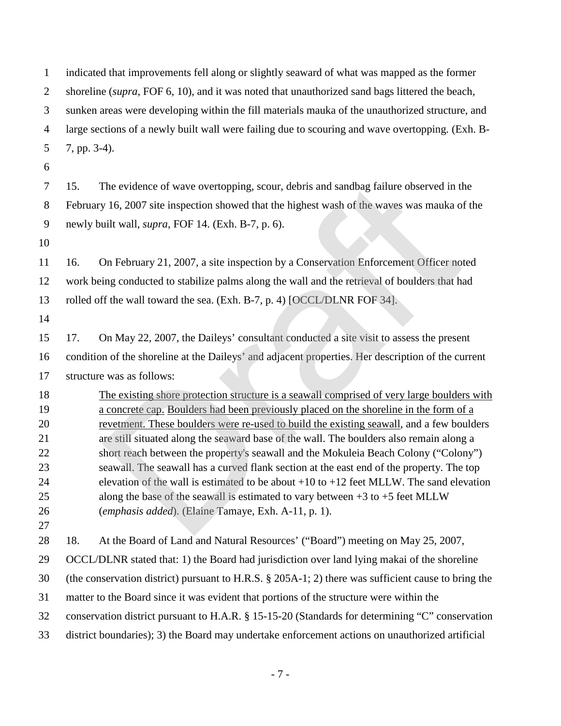indicated that improvements fell along or slightly seaward of what was mapped as the former shoreline (*supra*, FOF 6, 10), and it was noted that unauthorized sand bags littered the beach, sunken areas were developing within the fill materials mauka of the unauthorized structure, and large sections of a newly built wall were failing due to scouring and wave overtopping. (Exh. B- 7, pp. 3-4). 15. The evidence of wave overtopping, scour, debris and sandbag failure observed in the February 16, 2007 site inspection showed that the highest wash of the waves was mauka of the newly built wall, *supra*, FOF 14. (Exh. B-7, p. 6). 16. On February 21, 2007, a site inspection by a Conservation Enforcement Officer noted work being conducted to stabilize palms along the wall and the retrieval of boulders that had

rolled off the wall toward the sea. (Exh. B-7, p. 4) [OCCL/DLNR FOF 34].

 17. On May 22, 2007, the Daileys' consultant conducted a site visit to assess the present condition of the shoreline at the Daileys' and adjacent properties. Her description of the current structure was as follows:

 The existing shore protection structure is a seawall comprised of very large boulders with a concrete cap. Boulders had been previously placed on the shoreline in the form of a revetment. These boulders were re-used to build the existing seawall, and a few boulders are still situated along the seaward base of the wall. The boulders also remain along a short reach between the property's seawall and the Mokuleia Beach Colony ("Colony") seawall. The seawall has a curved flank section at the east end of the property. The top elevation of the wall is estimated to be about +10 to +12 feet MLLW. The sand elevation along the base of the seawall is estimated to vary between +3 to +5 feet MLLW (*emphasis added*). (Elaine Tamaye, Exh. A-11, p. 1). The evidence of wave overtopping, scour, debris and sandbag failure observed in the 16, 2007 site inspection showed that the highest wash of the waves was mauka o uilt wall, *supra*, FOF 14. (Exh. B-7, p. 6).<br>
Dn February

18. At the Board of Land and Natural Resources' ("Board") meeting on May 25, 2007,

OCCL/DLNR stated that: 1) the Board had jurisdiction over land lying makai of the shoreline

(the conservation district) pursuant to H.R.S. § 205A-1; 2) there was sufficient cause to bring the

matter to the Board since it was evident that portions of the structure were within the

conservation district pursuant to H.A.R. § 15-15-20 (Standards for determining "C" conservation

district boundaries); 3) the Board may undertake enforcement actions on unauthorized artificial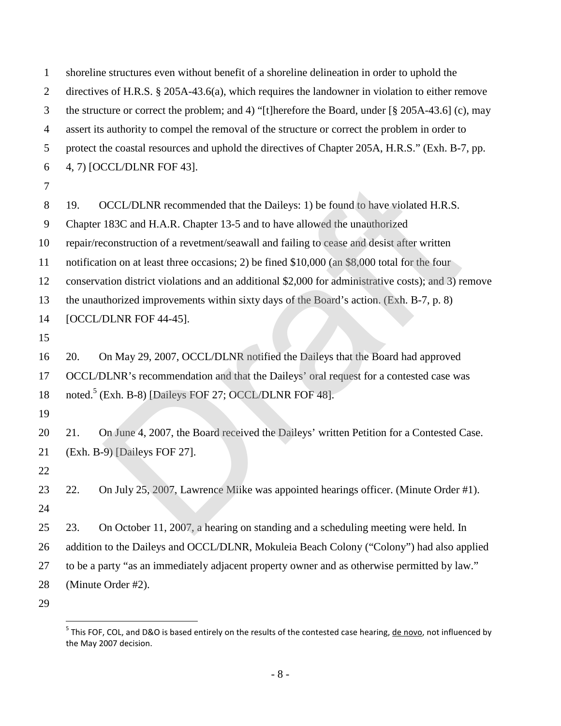| 1              | shoreline structures even without benefit of a shoreline delineation in order to uphold the                                 |
|----------------|-----------------------------------------------------------------------------------------------------------------------------|
| $\overline{2}$ | directives of H.R.S. § 205A-43.6(a), which requires the landowner in violation to either remove                             |
| 3              | the structure or correct the problem; and 4) "[t] herefore the Board, under $\left[\frac{8}{3} \right]$ 205A-43.6] (c), may |
| $\overline{4}$ | assert its authority to compel the removal of the structure or correct the problem in order to                              |
| 5              | protect the coastal resources and uphold the directives of Chapter 205A, H.R.S." (Exh. B-7, pp.                             |
| 6              | 4, 7) [OCCL/DLNR FOF 43].                                                                                                   |
| $\overline{7}$ |                                                                                                                             |
| 8              | OCCL/DLNR recommended that the Daileys: 1) be found to have violated H.R.S.<br>19.                                          |
| 9              | Chapter 183C and H.A.R. Chapter 13-5 and to have allowed the unauthorized                                                   |
| 10             | repair/reconstruction of a revetment/seawall and failing to cease and desist after written                                  |
| 11             | notification on at least three occasions; 2) be fined \$10,000 (an \$8,000 total for the four                               |
| 12             | conservation district violations and an additional \$2,000 for administrative costs); and 3) remove                         |
| 13             | the unauthorized improvements within sixty days of the Board's action. (Exh. B-7, p. 8)                                     |
| 14             | [OCCL/DLNR FOF 44-45].                                                                                                      |
| 15             |                                                                                                                             |
| 16             | On May 29, 2007, OCCL/DLNR notified the Daileys that the Board had approved<br>20.                                          |
| 17             | OCCL/DLNR's recommendation and that the Daileys' oral request for a contested case was                                      |
| 18             | noted. <sup>5</sup> (Exh. B-8) [Daileys FOF 27; OCCL/DLNR FOF 48].                                                          |
| 19             |                                                                                                                             |
| 20             | On June 4, 2007, the Board received the Daileys' written Petition for a Contested Case.<br>21.                              |
| 21             | (Exh. B-9) [Daileys FOF 27].                                                                                                |
| 22             |                                                                                                                             |
| 23             | On July 25, 2007, Lawrence Miike was appointed hearings officer. (Minute Order #1).<br>22.                                  |
| 24             |                                                                                                                             |
| 25             | 23.<br>On October 11, 2007, a hearing on standing and a scheduling meeting were held. In                                    |
| 26             | addition to the Daileys and OCCL/DLNR, Mokuleia Beach Colony ("Colony") had also applied                                    |
| 27             | to be a party "as an immediately adjacent property owner and as otherwise permitted by law."                                |
| 28             | (Minute Order #2).                                                                                                          |
| 29             |                                                                                                                             |

<span id="page-10-0"></span><sup>&</sup>lt;sup>5</sup> This FOF, COL, and D&O is based entirely on the results of the contested case hearing, <u>de novo</u>, not influenced by the May 2007 decision.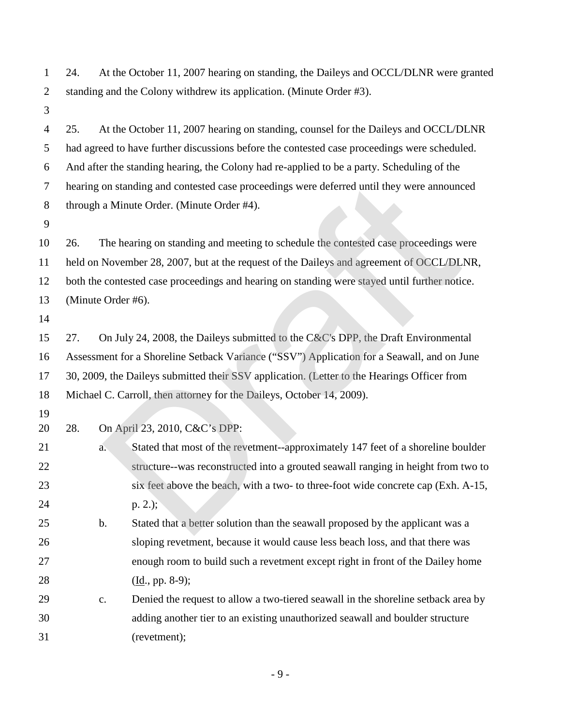24. At the October 11, 2007 hearing on standing, the Daileys and OCCL/DLNR were granted standing and the Colony withdrew its application. (Minute Order #3).

 25. At the October 11, 2007 hearing on standing, counsel for the Daileys and OCCL/DLNR had agreed to have further discussions before the contested case proceedings were scheduled. And after the standing hearing, the Colony had re-applied to be a party. Scheduling of the hearing on standing and contested case proceedings were deferred until they were announced through a Minute Order. (Minute Order #4). 26. The hearing on standing and meeting to schedule the contested case proceedings were held on November 28, 2007, but at the request of the Daileys and agreement of OCCL/DLNR, both the contested case proceedings and hearing on standing were stayed until further notice. on standing and contested case proceedings were deferred until they were annound<br>a Minute Order. (Minute Order #4).<br>The hearing on standing and meeting to schedule the contested case proceedings w<br>November 28, 2007, but at

(Minute Order #6).

 27. On July 24, 2008, the Daileys submitted to the C&C's DPP, the Draft Environmental Assessment for a Shoreline Setback Variance ("SSV") Application for a Seawall, and on June 30, 2009, the Daileys submitted their SSV application. (Letter to the Hearings Officer from Michael C. Carroll, then attorney for the Daileys, October 14, 2009).

28. On April 23, 2010, C&C's DPP:

 a. Stated that most of the revetment--approximately 147 feet of a shoreline boulder structure--was reconstructed into a grouted seawall ranging in height from two to six feet above the beach, with a two- to three-foot wide concrete cap (Exh. A-15, p. 2.); b. Stated that a better solution than the seawall proposed by the applicant was a sloping revetment, because it would cause less beach loss, and that there was enough room to build such a revetment except right in front of the Dailey home

28 (Id., pp. 8-9);

 c. Denied the request to allow a two-tiered seawall in the shoreline setback area by adding another tier to an existing unauthorized seawall and boulder structure (revetment);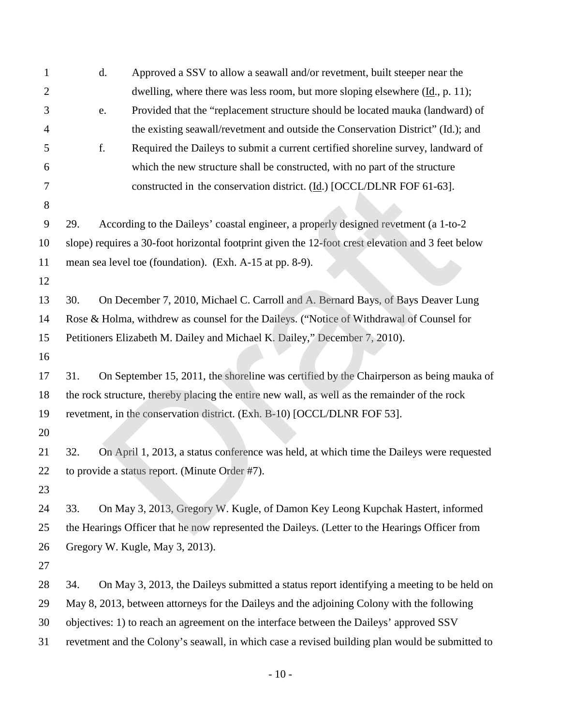| 1              |                                                                            | d. | Approved a SSV to allow a seawall and/or revetment, built steeper near the                        |  |
|----------------|----------------------------------------------------------------------------|----|---------------------------------------------------------------------------------------------------|--|
| $\overline{2}$ |                                                                            |    | dwelling, where there was less room, but more sloping elsewhere $(\underline{Id}., p. 11)$ ;      |  |
| 3              |                                                                            | e. | Provided that the "replacement structure should be located mauka (landward) of                    |  |
| 4              |                                                                            |    | the existing seawall/revetment and outside the Conservation District" (Id.); and                  |  |
| 5              |                                                                            | f. | Required the Daileys to submit a current certified shoreline survey, landward of                  |  |
| 6              |                                                                            |    | which the new structure shall be constructed, with no part of the structure                       |  |
| 7              |                                                                            |    | constructed in the conservation district. (Id.) [OCCL/DLNR FOF 61-63].                            |  |
| 8              |                                                                            |    |                                                                                                   |  |
| 9              | 29.                                                                        |    | According to the Daileys' coastal engineer, a properly designed revetment (a 1-to-2               |  |
| 10             |                                                                            |    | slope) requires a 30-foot horizontal footprint given the 12-foot crest elevation and 3 feet below |  |
| 11             |                                                                            |    | mean sea level toe (foundation). (Exh. A-15 at pp. 8-9).                                          |  |
| 12             |                                                                            |    |                                                                                                   |  |
| 13             | 30.                                                                        |    | On December 7, 2010, Michael C. Carroll and A. Bernard Bays, of Bays Deaver Lung                  |  |
| 14             |                                                                            |    | Rose & Holma, withdrew as counsel for the Daileys. ("Notice of Withdrawal of Counsel for          |  |
| 15             | Petitioners Elizabeth M. Dailey and Michael K. Dailey," December 7, 2010). |    |                                                                                                   |  |
| 16             |                                                                            |    |                                                                                                   |  |
| 17             | 31.                                                                        |    | On September 15, 2011, the shoreline was certified by the Chairperson as being mauka of           |  |
| 18             |                                                                            |    | the rock structure, thereby placing the entire new wall, as well as the remainder of the rock     |  |
| 19             |                                                                            |    | revetment, in the conservation district. (Exh. B-10) [OCCL/DLNR FOF 53].                          |  |
| 20             |                                                                            |    |                                                                                                   |  |
| 21             | 32.                                                                        |    | On April 1, 2013, a status conference was held, at which time the Daileys were requested          |  |
| 22             |                                                                            |    | to provide a status report. (Minute Order #7).                                                    |  |
| 23             |                                                                            |    |                                                                                                   |  |
| 24             | 33.                                                                        |    | On May 3, 2013, Gregory W. Kugle, of Damon Key Leong Kupchak Hastert, informed                    |  |
| 25             |                                                                            |    | the Hearings Officer that he now represented the Daileys. (Letter to the Hearings Officer from    |  |
| 26             |                                                                            |    | Gregory W. Kugle, May 3, 2013).                                                                   |  |
| 27             |                                                                            |    |                                                                                                   |  |
| 28             | 34.                                                                        |    | On May 3, 2013, the Daileys submitted a status report identifying a meeting to be held on         |  |
| 29             |                                                                            |    | May 8, 2013, between attorneys for the Daileys and the adjoining Colony with the following        |  |
| 30             |                                                                            |    | objectives: 1) to reach an agreement on the interface between the Daileys' approved SSV           |  |
| 31             |                                                                            |    | revetment and the Colony's seawall, in which case a revised building plan would be submitted to   |  |

- 10 -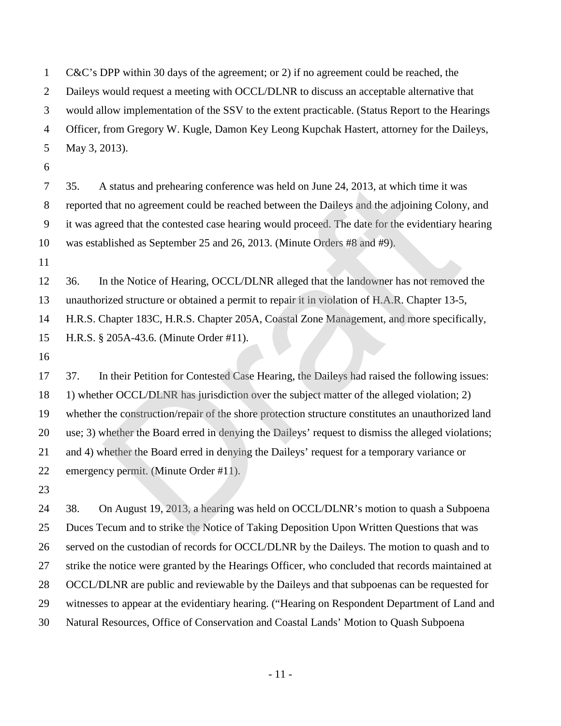C&C's DPP within 30 days of the agreement; or 2) if no agreement could be reached, the Daileys would request a meeting with OCCL/DLNR to discuss an acceptable alternative that would allow implementation of the SSV to the extent practicable. (Status Report to the Hearings Officer, from Gregory W. Kugle, Damon Key Leong Kupchak Hastert, attorney for the Daileys, May 3, 2013).

 35. A status and prehearing conference was held on June 24, 2013, at which time it was reported that no agreement could be reached between the Daileys and the adjoining Colony, and it was agreed that the contested case hearing would proceed. The date for the evidentiary hearing was established as September 25 and 26, 2013. (Minute Orders #8 and #9).

 36. In the Notice of Hearing, OCCL/DLNR alleged that the landowner has not removed the unauthorized structure or obtained a permit to repair it in violation of H.A.R. Chapter 13-5, H.R.S. Chapter 183C, H.R.S. Chapter 205A, Coastal Zone Management, and more specifically, H.R.S. § 205A-43.6. (Minute Order #11).

 37. In their Petition for Contested Case Hearing, the Daileys had raised the following issues: 1) whether OCCL/DLNR has jurisdiction over the subject matter of the alleged violation; 2) whether the construction/repair of the shore protection structure constitutes an unauthorized land use; 3) whether the Board erred in denying the Daileys' request to dismiss the alleged violations; and 4) whether the Board erred in denying the Daileys' request for a temporary variance or emergency permit. (Minute Order #11). A status and prehearing conference was held on June 24, 2013, at which time it wa<br>that no agreement could be reached between the Daileys and the adjoining Colon;<br>reed that the contested case hearing would proceed. The date

 38. On August 19, 2013, a hearing was held on OCCL/DLNR's motion to quash a Subpoena Duces Tecum and to strike the Notice of Taking Deposition Upon Written Questions that was served on the custodian of records for OCCL/DLNR by the Daileys. The motion to quash and to strike the notice were granted by the Hearings Officer, who concluded that records maintained at OCCL/DLNR are public and reviewable by the Daileys and that subpoenas can be requested for witnesses to appear at the evidentiary hearing. ("Hearing on Respondent Department of Land and Natural Resources, Office of Conservation and Coastal Lands' Motion to Quash Subpoena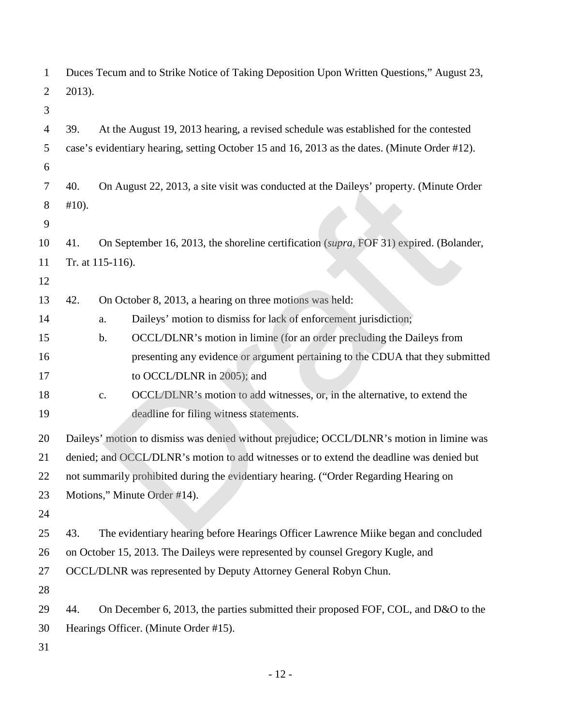| 1              |          |                  | Duces Tecum and to Strike Notice of Taking Deposition Upon Written Questions," August 23,     |
|----------------|----------|------------------|-----------------------------------------------------------------------------------------------|
| $\overline{2}$ | 2013).   |                  |                                                                                               |
| 3              |          |                  |                                                                                               |
| 4              | 39.      |                  | At the August 19, 2013 hearing, a revised schedule was established for the contested          |
| 5              |          |                  | case's evidentiary hearing, setting October 15 and 16, 2013 as the dates. (Minute Order #12). |
| 6              |          |                  |                                                                                               |
| 7              | 40.      |                  | On August 22, 2013, a site visit was conducted at the Daileys' property. (Minute Order        |
| 8              | $#10$ ). |                  |                                                                                               |
| 9              |          |                  |                                                                                               |
| 10             | 41.      |                  | On September 16, 2013, the shoreline certification (supra, FOF 31) expired. (Bolander,        |
| 11             |          | Tr. at 115-116). |                                                                                               |
| 12             |          |                  |                                                                                               |
| 13             | 42.      |                  | On October 8, 2013, a hearing on three motions was held:                                      |
| 14             |          | a.               | Daileys' motion to dismiss for lack of enforcement jurisdiction;                              |
| 15             |          | b.               | OCCL/DLNR's motion in limine (for an order precluding the Daileys from                        |
| 16             |          |                  | presenting any evidence or argument pertaining to the CDUA that they submitted                |
| 17             |          |                  | to OCCL/DLNR in 2005); and                                                                    |
| 18             |          | $\mathbf{c}$ .   | OCCL/DLNR's motion to add witnesses, or, in the alternative, to extend the                    |
| 19             |          |                  | deadline for filing witness statements.                                                       |
| 20             |          |                  | Daileys' motion to dismiss was denied without prejudice; OCCL/DLNR's motion in limine was     |
| 21             |          |                  | denied; and OCCL/DLNR's motion to add witnesses or to extend the deadline was denied but      |
| 22             |          |                  | not summarily prohibited during the evidentiary hearing. ("Order Regarding Hearing on         |
| 23             |          |                  | Motions," Minute Order #14).                                                                  |
| 24             |          |                  |                                                                                               |
| 25             | 43.      |                  | The evidentiary hearing before Hearings Officer Lawrence Miike began and concluded            |
| 26             |          |                  | on October 15, 2013. The Daileys were represented by counsel Gregory Kugle, and               |
| 27             |          |                  | OCCL/DLNR was represented by Deputy Attorney General Robyn Chun.                              |
| 28             |          |                  |                                                                                               |
| 29             | 44.      |                  | On December 6, 2013, the parties submitted their proposed FOF, COL, and D&O to the            |
| 30             |          |                  | Hearings Officer. (Minute Order #15).                                                         |
| 31             |          |                  |                                                                                               |

- 12 -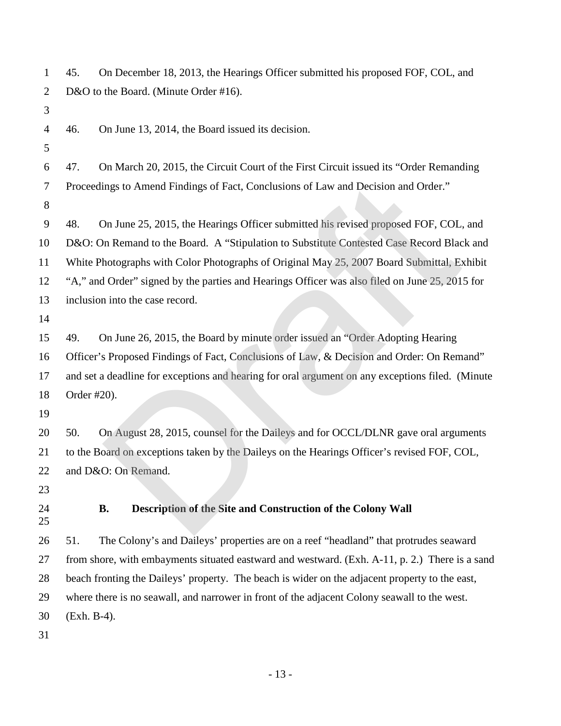| 1              | On December 18, 2013, the Hearings Officer submitted his proposed FOF, COL, and<br>45.           |
|----------------|--------------------------------------------------------------------------------------------------|
| $\overline{2}$ | D&O to the Board. (Minute Order #16).                                                            |
| 3              |                                                                                                  |
| 4              | On June 13, 2014, the Board issued its decision.<br>46.                                          |
| 5              |                                                                                                  |
| 6              | On March 20, 2015, the Circuit Court of the First Circuit issued its "Order Remanding"<br>47.    |
| 7              | Proceedings to Amend Findings of Fact, Conclusions of Law and Decision and Order."               |
| 8              |                                                                                                  |
| 9              | On June 25, 2015, the Hearings Officer submitted his revised proposed FOF, COL, and<br>48.       |
| 10             | D&O: On Remand to the Board. A "Stipulation to Substitute Contested Case Record Black and        |
| 11             | White Photographs with Color Photographs of Original May 25, 2007 Board Submittal, Exhibit       |
| 12             | "A," and Order" signed by the parties and Hearings Officer was also filed on June 25, 2015 for   |
| 13             | inclusion into the case record.                                                                  |
| 14             |                                                                                                  |
| 15             | On June 26, 2015, the Board by minute order issued an "Order Adopting Hearing<br>49.             |
| 16             | Officer's Proposed Findings of Fact, Conclusions of Law, & Decision and Order: On Remand"        |
| 17             | and set a deadline for exceptions and hearing for oral argument on any exceptions filed. (Minute |
| 18             | Order #20).                                                                                      |
| 19             |                                                                                                  |
| 20             | On August 28, 2015, counsel for the Daileys and for OCCL/DLNR gave oral arguments<br>50.         |
| 21             | to the Board on exceptions taken by the Daileys on the Hearings Officer's revised FOF, COL,      |
| 22             | and D&O: On Remand.                                                                              |
| 23             |                                                                                                  |
| 24<br>25       | Description of the Site and Construction of the Colony Wall<br><b>B.</b>                         |
| 26             | The Colony's and Daileys' properties are on a reef "headland" that protrudes seaward<br>51.      |
| 27             | from shore, with embayments situated eastward and westward. (Exh. A-11, p. 2.) There is a sand   |
| 28             | beach fronting the Daileys' property. The beach is wider on the adjacent property to the east,   |
| 29             | where there is no seawall, and narrower in front of the adjacent Colony seawall to the west.     |
| 30             | $(Exh. B-4).$                                                                                    |
| 31             |                                                                                                  |

- 13 -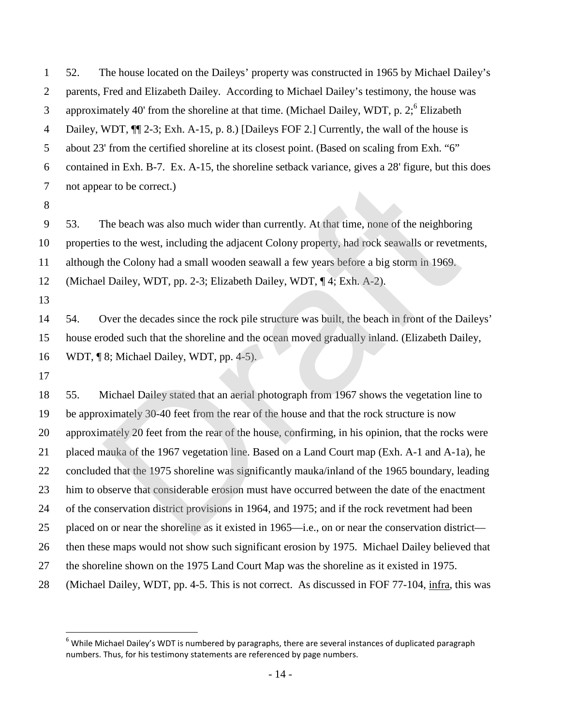52. The house located on the Daileys' property was constructed in 1965 by Michael Dailey's parents, Fred and Elizabeth Dailey. According to Michael Dailey's testimony, the house was approximately 40' from the shoreline at that time. (Michael Dailey, WDT, p. 2[;](#page-16-0) Elizabeth 4 Dailey, WDT,  $\P$  2-3; Exh. A-15, p. 8.) [Daileys FOF 2.] Currently, the wall of the house is about 23' from the certified shoreline at its closest point. (Based on scaling from Exh. "6" contained in Exh. B-7. Ex. A-15, the shoreline setback variance, gives a 28' figure, but this does not appear to be correct.)

 53. The beach was also much wider than currently. At that time, none of the neighboring properties to the west, including the adjacent Colony property, had rock seawalls or revetments, although the Colony had a small wooden seawall a few years before a big storm in 1969. (Michael Dailey, WDT, pp. 2-3; Elizabeth Dailey, WDT, ¶ 4; Exh. A-2). 

 54. Over the decades since the rock pile structure was built, the beach in front of the Daileys' house eroded such that the shoreline and the ocean moved gradually inland. (Elizabeth Dailey, WDT, ¶ 8; Michael Dailey, WDT, pp. 4-5).

 55. Michael Dailey stated that an aerial photograph from 1967 shows the vegetation line to be approximately 30-40 feet from the rear of the house and that the rock structure is now approximately 20 feet from the rear of the house, confirming, in his opinion, that the rocks were placed mauka of the 1967 vegetation line. Based on a Land Court map (Exh. A-1 and A-1a), he concluded that the 1975 shoreline was significantly mauka/inland of the 1965 boundary, leading him to observe that considerable erosion must have occurred between the date of the enactment of the conservation district provisions in 1964, and 1975; and if the rock revetment had been placed on or near the shoreline as it existed in 1965—i.e., on or near the conservation district— then these maps would not show such significant erosion by 1975. Michael Dailey believed that the shoreline shown on the 1975 Land Court Map was the shoreline as it existed in 1975. (Michael Dailey, WDT, pp. 4-5. This is not correct. As discussed in FOF 77-104, infra, this was ar to be correct.)<br>The beach was also much wider than currently. At that time, none of the neighboris<br>rest of the west, including the adjacent Colony property, had rock seawalls or revetn<br>the Colony had a small wooden seaw

<span id="page-16-0"></span><sup>&</sup>lt;sup>6</sup> While Michael Dailey's WDT is numbered by paragraphs, there are several instances of duplicated paragraph numbers. Thus, for his testimony statements are referenced by page numbers.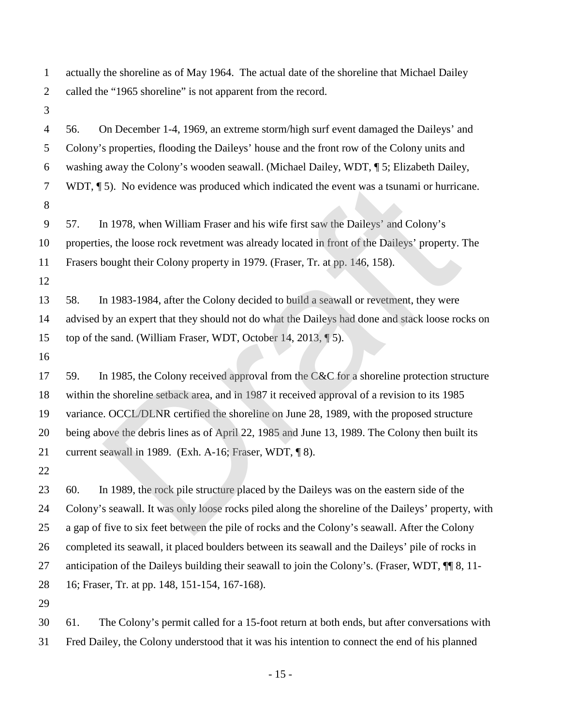actually the shoreline as of May 1964. The actual date of the shoreline that Michael Dailey called the "1965 shoreline" is not apparent from the record.

56. On December 1-4, 1969, an extreme storm/high surf event damaged the Daileys' and

 Colony's properties, flooding the Daileys' house and the front row of the Colony units and washing away the Colony's wooden seawall. (Michael Dailey, WDT, ¶ 5; Elizabeth Dailey, WDT, ¶ 5). No evidence was produced which indicated the event was a tsunami or hurricane. 57. In 1978, when William Fraser and his wife first saw the Daileys' and Colony's properties, the loose rock revetment was already located in front of the Daileys' property. The Frasers bought their Colony property in 1979. (Fraser, Tr. at pp. 146, 158). 58. In 1983-1984, after the Colony decided to build a seawall or revetment, they were advised by an expert that they should not do what the Daileys had done and stack loose rocks on top of the sand. (William Fraser, WDT, October 14, 2013, ¶ 5). 17 59. In 1985, the Colony received approval from the C&C for a shoreline protection structure within the shoreline setback area, and in 1987 it received approval of a revision to its 1985 variance. OCCL/DLNR certified the shoreline on June 28, 1989, with the proposed structure 5). No evidence was produced which indicated the event was a tsunami or hurrics<br>
1978, when William Fraser and his wife first saw the Daileys' and Colony's<br>
28. the loose rock revetment was already located in front of the

 being above the debris lines as of April 22, 1985 and June 13, 1989. The Colony then built its current seawall in 1989. (Exh. A-16; Fraser, WDT, ¶ 8).

 60. In 1989, the rock pile structure placed by the Daileys was on the eastern side of the Colony's seawall. It was only loose rocks piled along the shoreline of the Daileys' property, with a gap of five to six feet between the pile of rocks and the Colony's seawall. After the Colony completed its seawall, it placed boulders between its seawall and the Daileys' pile of rocks in 27 anticipation of the Daileys building their seawall to join the Colony's. (Fraser, WDT,  $\P$  8, 11-16; Fraser, Tr. at pp. 148, 151-154, 167-168).

 61. The Colony's permit called for a 15-foot return at both ends, but after conversations with Fred Dailey, the Colony understood that it was his intention to connect the end of his planned

- 15 -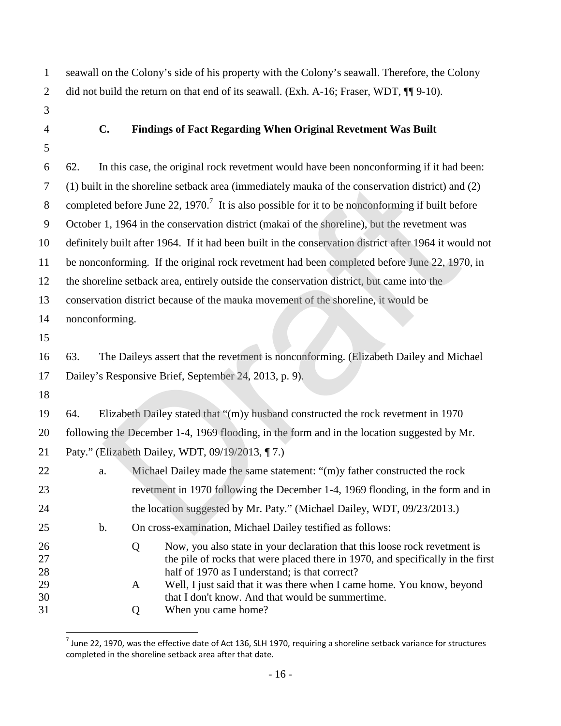seawall on the Colony's side of his property with the Colony's seawall. Therefore, the Colony 2 did not build the return on that end of its seawall. (Exh. A-16; Fraser, WDT,  $\P$ [9-10).

- 
- 

### **C. Findings of Fact Regarding When Original Revetment Was Built**

 62. In this case, the original rock revetment would have been nonconforming if it had been: (1) built in the shoreline setback area (immediately mauka of the conservation district) and (2) 8 completed before June 22, 1970.<sup>7</sup> It is also possible for it to be nonconforming if built before October 1, 1964 in the conservation district (makai of the shoreline), but the revetment was definitely built after 1964. If it had been built in the conservation district after 1964 it would not be nonconforming. If the original rock revetment had been completed before June 22, 1970, in the shoreline setback area, entirely outside the conservation district, but came into the conservation district because of the mauka movement of the shoreline, it would be nonconforming. 63. The Daileys assert that the revetment is nonconforming. (Elizabeth Dailey and Michael Dailey's Responsive Brief, September 24, 2013, p. 9). 64. Elizabeth Dailey stated that "(m)y husband constructed the rock revetment in 1970 following the December 1-4, 1969 flooding, in the form and in the location suggested by Mr. Paty." (Elizabeth Dailey, WDT, 09/19/2013, ¶ 7.) a. Michael Dailey made the same statement: "(m)y father constructed the rock revetment in 1970 following the December 1-4, 1969 flooding, in the form and in 24 the location suggested by Mr. Paty." (Michael Dailey, WDT, 09/23/2013.) b. On cross-examination, Michael Dailey testified as follows: 26 C Now, you also state in your declaration that this loose rock revetment is the pile of rocks that were placed there in 1970, and specifically in the first half of 1970 as I understand; is that correct? A Well, I just said that it was there when I came home. You know, beyond that I don't know. And that would be summertime. Q When you came home? in the shoreline setback area (immediately mauka of the conservation district) and<br>ed before June 22, 1970.<sup>7</sup> It is also possible for it to be nonconforming if built be<br>1, 1964 in the conservation district (makai of the

<span id="page-18-0"></span> $^7$  June 22, 1970, was the effective date of Act 136, SLH 1970, requiring a shoreline setback variance for structures completed in the shoreline setback area after that date.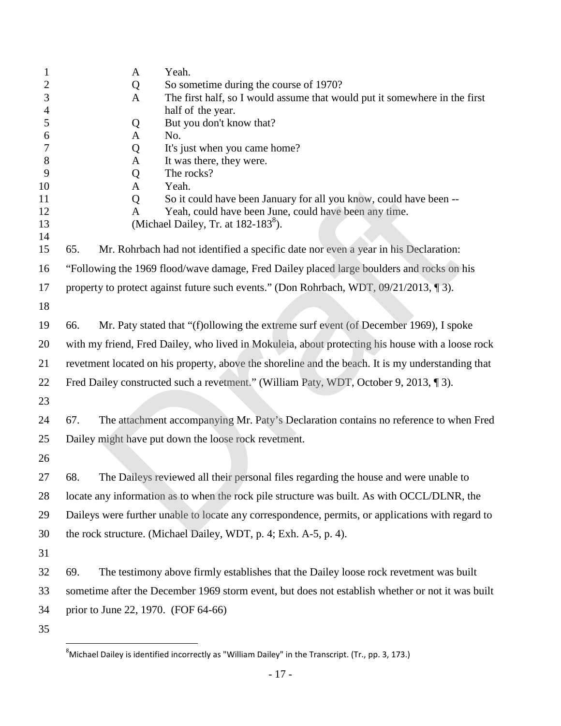| $\mathbf{1}$             | Yeah.<br>$\mathbf{A}$                                                                             |  |
|--------------------------|---------------------------------------------------------------------------------------------------|--|
| 2                        | So sometime during the course of 1970?<br>Q                                                       |  |
| 3                        | The first half, so I would assume that would put it somewhere in the first<br>A                   |  |
| $\overline{\mathcal{A}}$ | half of the year.                                                                                 |  |
| 5                        | But you don't know that?<br>Q                                                                     |  |
| 6<br>7                   | No.<br>A<br>It's just when you came home?                                                         |  |
| $8\,$                    | Q<br>It was there, they were.<br>$\mathbf{A}$                                                     |  |
| 9                        | The rocks?<br>Q                                                                                   |  |
| 10                       | Yeah.<br>$\mathbf{A}$                                                                             |  |
| 11                       | So it could have been January for all you know, could have been --<br>Q                           |  |
| 12                       | Yeah, could have been June, could have been any time.<br>A                                        |  |
| 13<br>14                 | (Michael Dailey, Tr. at 182-183 <sup>8</sup> ).                                                   |  |
| 15                       | Mr. Rohrbach had not identified a specific date nor even a year in his Declaration:<br>65.        |  |
| 16                       | "Following the 1969 flood/wave damage, Fred Dailey placed large boulders and rocks on his         |  |
| 17                       | property to protect against future such events." (Don Rohrbach, WDT, 09/21/2013, 13).             |  |
| 18                       |                                                                                                   |  |
| 19                       | Mr. Paty stated that "(f) ollowing the extreme surf event (of December 1969), I spoke<br>66.      |  |
| 20                       | with my friend, Fred Dailey, who lived in Mokuleia, about protecting his house with a loose rock  |  |
| 21                       | revetment located on his property, above the shoreline and the beach. It is my understanding that |  |
| 22                       | Fred Dailey constructed such a revetment." (William Paty, WDT, October 9, 2013, 13).              |  |
| 23                       |                                                                                                   |  |
| 24                       | The attachment accompanying Mr. Paty's Declaration contains no reference to when Fred<br>67.      |  |
| 25                       | Dailey might have put down the loose rock revetment.                                              |  |
| 26                       |                                                                                                   |  |
| 27                       | The Daileys reviewed all their personal files regarding the house and were unable to<br>68.       |  |
| 28                       | locate any information as to when the rock pile structure was built. As with OCCL/DLNR, the       |  |
| 29                       | Daileys were further unable to locate any correspondence, permits, or applications with regard to |  |
| 30                       | the rock structure. (Michael Dailey, WDT, p. 4; Exh. A-5, p. 4).                                  |  |
| 31                       |                                                                                                   |  |
| 32                       | The testimony above firmly establishes that the Dailey loose rock revetment was built<br>69.      |  |
| 33                       | sometime after the December 1969 storm event, but does not establish whether or not it was built  |  |
| 34                       | prior to June 22, 1970. (FOF 64-66)                                                               |  |
| 35                       |                                                                                                   |  |

<span id="page-19-0"></span> ${}^{8}$ Michael Dailey is identified incorrectly as "William Dailey" in the Transcript. (Tr., pp. 3, 173.)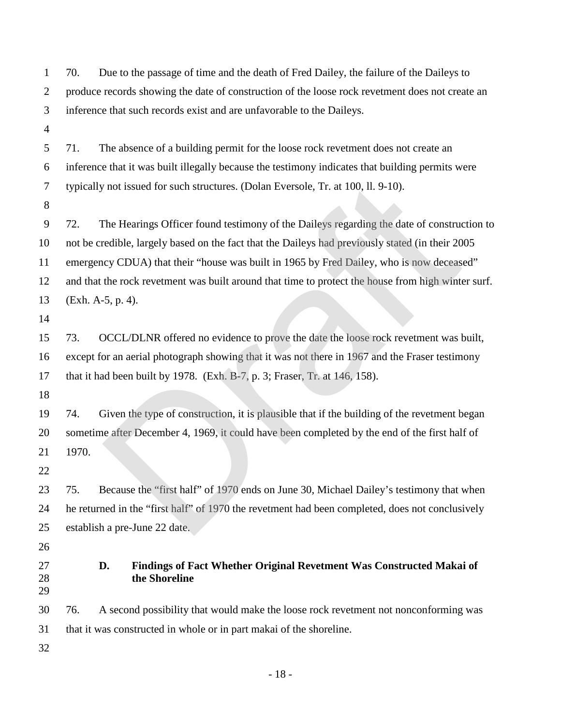| $\mathbf{1}$   | Due to the passage of time and the death of Fred Dailey, the failure of the Daileys to<br>70.      |  |  |  |
|----------------|----------------------------------------------------------------------------------------------------|--|--|--|
| $\mathfrak{2}$ | produce records showing the date of construction of the loose rock revetment does not create an    |  |  |  |
| $\mathfrak{Z}$ | inference that such records exist and are unfavorable to the Daileys.                              |  |  |  |
| $\overline{4}$ |                                                                                                    |  |  |  |
| 5              | The absence of a building permit for the loose rock revetment does not create an<br>71.            |  |  |  |
| 6              | inference that it was built illegally because the testimony indicates that building permits were   |  |  |  |
| $\tau$         | typically not issued for such structures. (Dolan Eversole, Tr. at 100, ll. 9-10).                  |  |  |  |
| 8              |                                                                                                    |  |  |  |
| 9              | The Hearings Officer found testimony of the Daileys regarding the date of construction to<br>72.   |  |  |  |
| 10             | not be credible, largely based on the fact that the Daileys had previously stated (in their 2005   |  |  |  |
| 11             | emergency CDUA) that their "house was built in 1965 by Fred Dailey, who is now deceased"           |  |  |  |
| 12             | and that the rock revetment was built around that time to protect the house from high winter surf. |  |  |  |
| 13             | (Exh. A-5, p. 4).                                                                                  |  |  |  |
| 14             |                                                                                                    |  |  |  |
| 15             | OCCL/DLNR offered no evidence to prove the date the loose rock revetment was built,<br>73.         |  |  |  |
| 16             | except for an aerial photograph showing that it was not there in 1967 and the Fraser testimony     |  |  |  |
| 17             | that it had been built by 1978. (Exh. B-7, p. 3; Fraser, Tr. at 146, 158).                         |  |  |  |
| 18             |                                                                                                    |  |  |  |
| 19             | Given the type of construction, it is plausible that if the building of the revetment began<br>74. |  |  |  |
| 20             | sometime after December 4, 1969, it could have been completed by the end of the first half of      |  |  |  |
| 21             | 1970.                                                                                              |  |  |  |
| 22             |                                                                                                    |  |  |  |
| 23             | Because the "first half" of 1970 ends on June 30, Michael Dailey's testimony that when<br>75.      |  |  |  |
| 24             | he returned in the "first half" of 1970 the revetment had been completed, does not conclusively    |  |  |  |
| 25             | establish a pre-June 22 date.                                                                      |  |  |  |
| 26             |                                                                                                    |  |  |  |
| 27<br>28<br>29 | D.<br>Findings of Fact Whether Original Revetment Was Constructed Makai of<br>the Shoreline        |  |  |  |
| 30             | 76.<br>A second possibility that would make the loose rock revetment not nonconforming was         |  |  |  |
| 31             | that it was constructed in whole or in part makai of the shoreline.                                |  |  |  |
| 32             |                                                                                                    |  |  |  |
|                | $-18-$                                                                                             |  |  |  |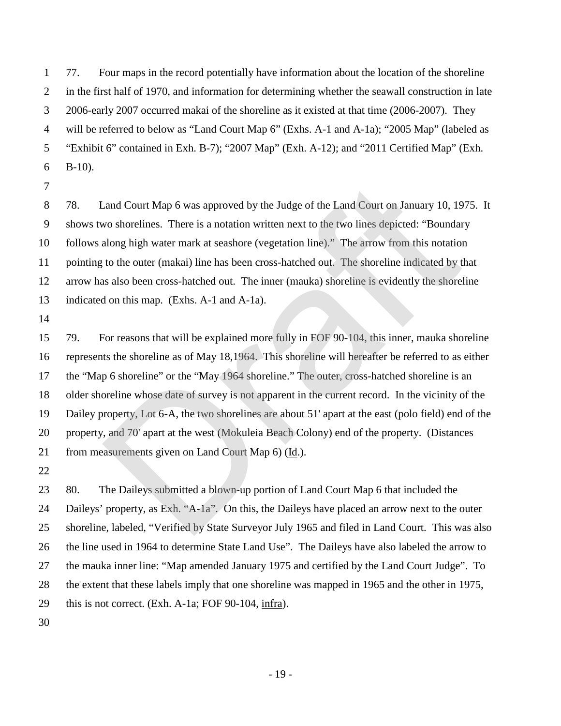77. Four maps in the record potentially have information about the location of the shoreline in the first half of 1970, and information for determining whether the seawall construction in late 2006-early 2007 occurred makai of the shoreline as it existed at that time (2006-2007). They will be referred to below as "Land Court Map 6" (Exhs. A-1 and A-1a); "2005 Map" (labeled as "Exhibit 6" contained in Exh. B-7); "2007 Map" (Exh. A-12); and "2011 Certified Map" (Exh. 6  $B-10$ ).

 78. Land Court Map 6 was approved by the Judge of the Land Court on January 10, 1975. It shows two shorelines. There is a notation written next to the two lines depicted: "Boundary follows along high water mark at seashore (vegetation line)." The arrow from this notation pointing to the outer (makai) line has been cross-hatched out. The shoreline indicated by that arrow has also been cross-hatched out. The inner (mauka) shoreline is evidently the shoreline indicated on this map. (Exhs. A-1 and A-1a).

 79. For reasons that will be explained more fully in FOF 90-104, this inner, mauka shoreline represents the shoreline as of May 18,1964. This shoreline will hereafter be referred to as either the "Map 6 shoreline" or the "May 1964 shoreline." The outer, cross-hatched shoreline is an older shoreline whose date of survey is not apparent in the current record. In the vicinity of the Dailey property, Lot 6-A, the two shorelines are about 51' apart at the east (polo field) end of the property, and 70' apart at the west (Mokuleia Beach Colony) end of the property. (Distances from measurements given on Land Court Map 6) (Id.). Land Court Map 6 was approved by the Judge of the Land Court on January 10, 19<br>vo shorelines. There is a notation written next to the two lines depicted: "Boundar<br>along high water mark at seashore (vegetation line)." The

 80. The Daileys submitted a blown-up portion of Land Court Map 6 that included the Daileys' property, as Exh. "A-1a". On this, the Daileys have placed an arrow next to the outer shoreline, labeled, "Verified by State Surveyor July 1965 and filed in Land Court. This was also the line used in 1964 to determine State Land Use". The Daileys have also labeled the arrow to the mauka inner line: "Map amended January 1975 and certified by the Land Court Judge". To the extent that these labels imply that one shoreline was mapped in 1965 and the other in 1975, this is not correct. (Exh. A-1a; FOF 90-104, infra).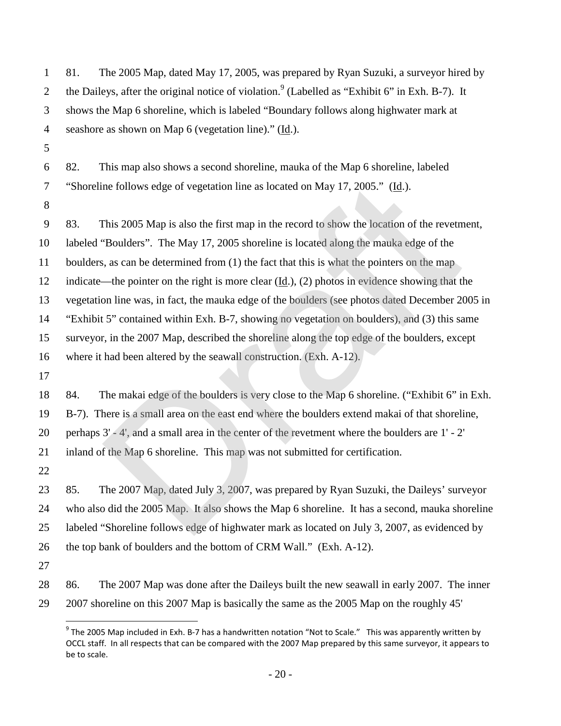| $\mathbf{1}$   | 81.<br>The 2005 Map, dated May 17, 2005, was prepared by Ryan Suzuki, a surveyor hired by                     |
|----------------|---------------------------------------------------------------------------------------------------------------|
| 2              | the Daileys, after the original notice of violation. <sup>9</sup> (Labelled as "Exhibit 6" in Exh. B-7). It   |
| 3              | shows the Map 6 shoreline, which is labeled "Boundary follows along highwater mark at                         |
| $\overline{4}$ | seashore as shown on Map 6 (vegetation line)." (Id.).                                                         |
| 5              |                                                                                                               |
| 6              | 82.<br>This map also shows a second shoreline, mauka of the Map 6 shoreline, labeled                          |
| $\tau$         | "Shoreline follows edge of vegetation line as located on May 17, 2005." (Id.).                                |
| 8              |                                                                                                               |
| 9              | This 2005 Map is also the first map in the record to show the location of the revetment,<br>83.               |
| 10             | labeled "Boulders". The May 17, 2005 shoreline is located along the mauka edge of the                         |
| 11             | boulders, as can be determined from (1) the fact that this is what the pointers on the map                    |
| 12             | indicate—the pointer on the right is more clear $(\underline{Id}.)$ , (2) photos in evidence showing that the |
| 13             | vegetation line was, in fact, the mauka edge of the boulders (see photos dated December 2005 in               |
| 14             | "Exhibit 5" contained within Exh. B-7, showing no vegetation on boulders), and (3) this same                  |
| 15             | surveyor, in the 2007 Map, described the shoreline along the top edge of the boulders, except                 |
| 16             | where it had been altered by the seawall construction. (Exh. A-12).                                           |
| 17             |                                                                                                               |
| 18             | The makai edge of the boulders is very close to the Map 6 shoreline. ("Exhibit 6" in Exh.<br>84.              |
| 19             | B-7). There is a small area on the east end where the boulders extend makai of that shoreline,                |
| 20             | perhaps 3' - 4', and a small area in the center of the revetment where the boulders are 1' - 2'               |
| 21             | inland of the Map 6 shoreline. This map was not submitted for certification.                                  |
| 22             |                                                                                                               |
| 23             | The 2007 Map, dated July 3, 2007, was prepared by Ryan Suzuki, the Daileys' surveyor<br>85.                   |
| 24             | who also did the 2005 Map. It also shows the Map 6 shoreline. It has a second, mauka shoreline                |
| 25             | labeled "Shoreline follows edge of highwater mark as located on July 3, 2007, as evidenced by                 |
| 26             | the top bank of boulders and the bottom of CRM Wall." (Exh. A-12).                                            |
| 27             |                                                                                                               |
| 28             | The 2007 Map was done after the Daileys built the new seawall in early 2007. The inner<br>86.                 |
| 29             | 2007 shoreline on this 2007 Map is basically the same as the 2005 Map on the roughly 45'                      |

<span id="page-22-0"></span> $^9$  The 2005 Map included in Exh. B-7 has a handwritten notation "Not to Scale." This was apparently written by OCCL staff. In all respects that can be compared with the 2007 Map prepared by this same surveyor, it appears to be to scale.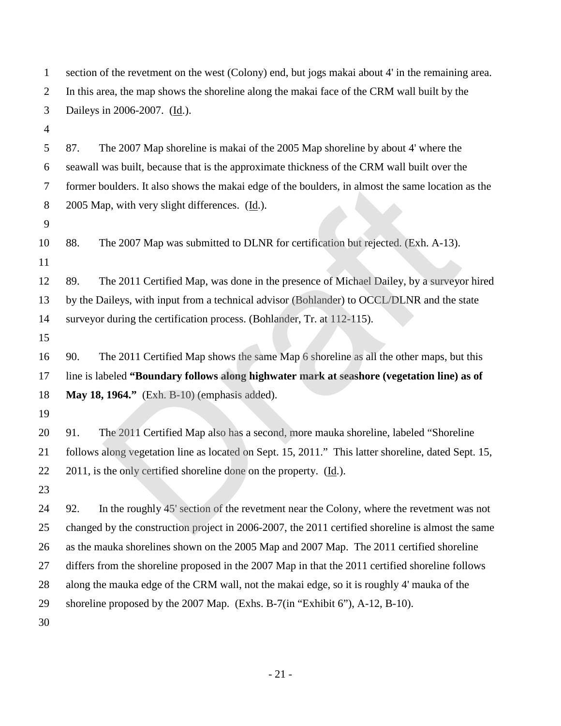| $\mathbf{1}$   | section of the revetment on the west (Colony) end, but jogs makai about 4' in the remaining area.   |
|----------------|-----------------------------------------------------------------------------------------------------|
| $\overline{2}$ | In this area, the map shows the shoreline along the makai face of the CRM wall built by the         |
| 3              | Daileys in 2006-2007. (Id.).                                                                        |
| $\overline{4}$ |                                                                                                     |
| 5              | The 2007 Map shoreline is makai of the 2005 Map shoreline by about 4' where the<br>87.              |
| 6              | seawall was built, because that is the approximate thickness of the CRM wall built over the         |
| 7              | former boulders. It also shows the makai edge of the boulders, in almost the same location as the   |
| 8              | 2005 Map, with very slight differences. (Id.).                                                      |
| 9              |                                                                                                     |
| 10             | The 2007 Map was submitted to DLNR for certification but rejected. (Exh. A-13).<br>88.              |
| 11             |                                                                                                     |
| 12             | 89.<br>The 2011 Certified Map, was done in the presence of Michael Dailey, by a surveyor hired      |
| 13             | by the Daileys, with input from a technical advisor (Bohlander) to OCCL/DLNR and the state          |
| 14             | surveyor during the certification process. (Bohlander, Tr. at 112-115).                             |
| 15             |                                                                                                     |
| 16             | The 2011 Certified Map shows the same Map 6 shoreline as all the other maps, but this<br>90.        |
| 17             | line is labeled "Boundary follows along highwater mark at seashore (vegetation line) as of          |
| 18             | May 18, 1964." (Exh. B-10) (emphasis added).                                                        |
| 19             |                                                                                                     |
| 20             | The 2011 Certified Map also has a second, more mauka shoreline, labeled "Shoreline"<br>91.          |
| 21             | follows along vegetation line as located on Sept. 15, 2011." This latter shoreline, dated Sept. 15, |
| 22             | $2011$ , is the only certified shoreline done on the property. $(\underline{Id})$ .                 |
| 23             |                                                                                                     |
| 24             | In the roughly 45' section of the revetment near the Colony, where the revetment was not<br>92.     |
| 25             | changed by the construction project in 2006-2007, the 2011 certified shoreline is almost the same   |
| 26             | as the mauka shorelines shown on the 2005 Map and 2007 Map. The 2011 certified shoreline            |
| 27             | differs from the shoreline proposed in the 2007 Map in that the 2011 certified shoreline follows    |
| 28             | along the mauka edge of the CRM wall, not the makai edge, so it is roughly 4' mauka of the          |
| 29             | shoreline proposed by the 2007 Map. (Exhs. B-7(in "Exhibit 6"), A-12, B-10).                        |
| 30             |                                                                                                     |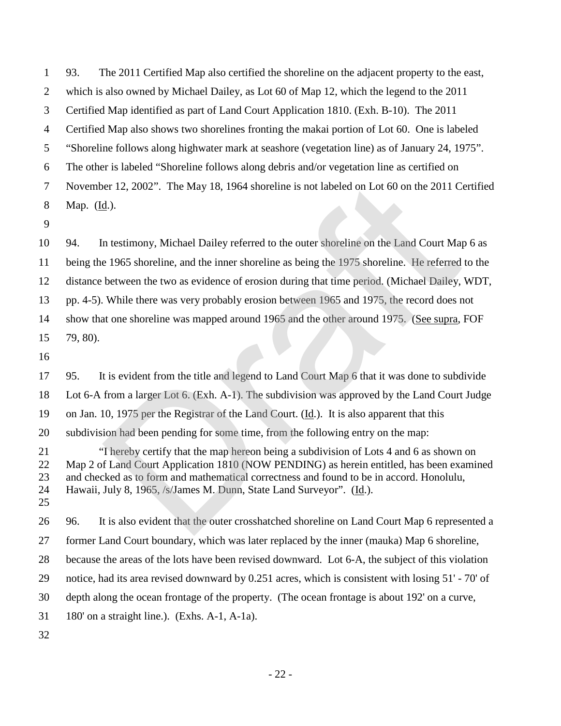93. The 2011 Certified Map also certified the shoreline on the adjacent property to the east, which is also owned by Michael Dailey, as Lot 60 of Map 12, which the legend to the 2011 Certified Map identified as part of Land Court Application 1810. (Exh. B-10). The 2011 Certified Map also shows two shorelines fronting the makai portion of Lot 60. One is labeled "Shoreline follows along highwater mark at seashore (vegetation line) as of January 24, 1975". The other is labeled "Shoreline follows along debris and/or vegetation line as certified on November 12, 2002". The May 18, 1964 shoreline is not labeled on Lot 60 on the 2011 Certified Map. (Id.).

 94. In testimony, Michael Dailey referred to the outer shoreline on the Land Court Map 6 as being the 1965 shoreline, and the inner shoreline as being the 1975 shoreline. He referred to the distance between the two as evidence of erosion during that time period. (Michael Dailey, WDT, pp. 4-5). While there was very probably erosion between 1965 and 1975, the record does not show that one shoreline was mapped around 1965 and the other around 1975. (See supra, FOF 79, 80).

 95. It is evident from the title and legend to Land Court Map 6 that it was done to subdivide Lot 6-A from a larger Lot 6. (Exh. A-1). The subdivision was approved by the Land Court Judge on Jan. 10, 1975 per the Registrar of the Land Court. (Id.). It is also apparent that this subdivision had been pending for some time, from the following entry on the map: "I hereby certify that the map hereon being a subdivision of Lots 4 and 6 as shown on Map 2 of Land Court Application 1810 (NOW PENDING) as herein entitled, has been examined and checked as to form and mathematical correctness and found to be in accord. Honolulu, Hawaii, July 8, 1965, /s/James M. Dunn, State Land Surveyor". (Id.). 96. It is also evident that the outer crosshatched shoreline on Land Court Map 6 represented a former Land Court boundary, which was later replaced by the inner (mauka) Map 6 shoreline, because the areas of the lots have been revised downward. Lot 6-A, the subject of this violation notice, had its area revised downward by 0.251 acres, which is consistent with losing 51' - 70' of depth along the ocean frontage of the property. (The ocean frontage is about 192' on a curve, 180' on a straight line.). (Exhs. A-1, A-1a). er 12, 2002". The May 18, 1964 shoreline is not labeled on Lot 60 on the 2011 C<br>
<u>d</u>.).<br>
1. testimony, Michael Dailey referred to the outer shoreline on the Land Court Ma<br>
1. testimony, Michael Dailey referred to the oute

- 22 -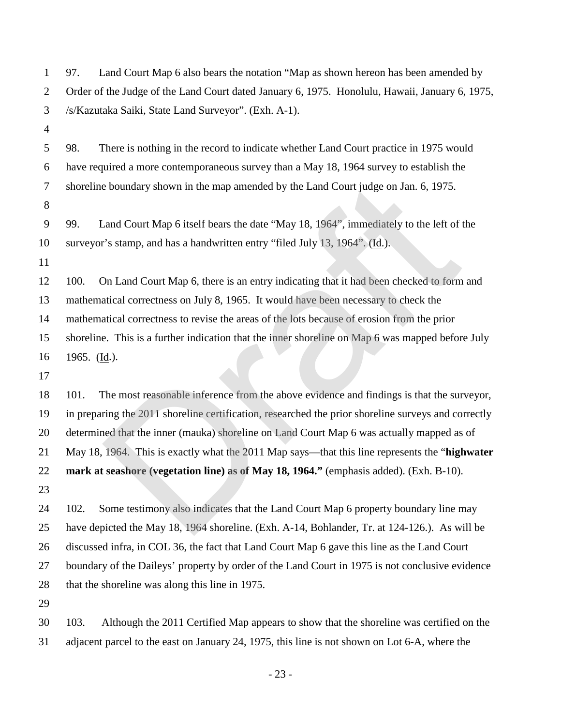| $\mathbf{1}$   | Land Court Map 6 also bears the notation "Map as shown hereon has been amended by<br>97.            |  |  |  |
|----------------|-----------------------------------------------------------------------------------------------------|--|--|--|
| $\overline{2}$ | Order of the Judge of the Land Court dated January 6, 1975. Honolulu, Hawaii, January 6, 1975,      |  |  |  |
| 3              | /s/Kazutaka Saiki, State Land Surveyor". (Exh. A-1).                                                |  |  |  |
| $\overline{4}$ |                                                                                                     |  |  |  |
| 5              | There is nothing in the record to indicate whether Land Court practice in 1975 would<br>98.         |  |  |  |
| 6              | have required a more contemporaneous survey than a May 18, 1964 survey to establish the             |  |  |  |
| $\tau$         | shoreline boundary shown in the map amended by the Land Court judge on Jan. 6, 1975.                |  |  |  |
| $8\,$          |                                                                                                     |  |  |  |
| 9              | Land Court Map 6 itself bears the date "May 18, 1964", immediately to the left of the<br>99.        |  |  |  |
| 10             | surveyor's stamp, and has a handwritten entry "filed July 13, 1964". (Id.).                         |  |  |  |
| 11             |                                                                                                     |  |  |  |
| 12             | On Land Court Map 6, there is an entry indicating that it had been checked to form and<br>100.      |  |  |  |
| 13             | mathematical correctness on July 8, 1965. It would have been necessary to check the                 |  |  |  |
| 14             | mathematical correctness to revise the areas of the lots because of erosion from the prior          |  |  |  |
| 15             | shoreline. This is a further indication that the inner shoreline on Map 6 was mapped before July    |  |  |  |
| 16             | 1965. $(\underline{Id.})$ .                                                                         |  |  |  |
| 17             |                                                                                                     |  |  |  |
| 18             | The most reasonable inference from the above evidence and findings is that the surveyor,<br>101.    |  |  |  |
| 19             | in preparing the 2011 shoreline certification, researched the prior shoreline surveys and correctly |  |  |  |
| 20             | determined that the inner (mauka) shoreline on Land Court Map 6 was actually mapped as of           |  |  |  |
| 21             | May 18, 1964. This is exactly what the 2011 Map says—that this line represents the "highwater"      |  |  |  |
| 22             | mark at seashore (vegetation line) as of May 18, 1964." (emphasis added). (Exh. B-10).              |  |  |  |
| 23             |                                                                                                     |  |  |  |
| 24             | Some testimony also indicates that the Land Court Map 6 property boundary line may<br>102.          |  |  |  |
| 25             | have depicted the May 18, 1964 shoreline. (Exh. A-14, Bohlander, Tr. at 124-126.). As will be       |  |  |  |
| 26             | discussed infra, in COL 36, the fact that Land Court Map 6 gave this line as the Land Court         |  |  |  |
| 27             | boundary of the Daileys' property by order of the Land Court in 1975 is not conclusive evidence     |  |  |  |
| 28             | that the shoreline was along this line in 1975.                                                     |  |  |  |
| 29             |                                                                                                     |  |  |  |
| 30             | 103.<br>Although the 2011 Certified Map appears to show that the shoreline was certified on the     |  |  |  |
| 31             | adjacent parcel to the east on January 24, 1975, this line is not shown on Lot 6-A, where the       |  |  |  |

- 23 -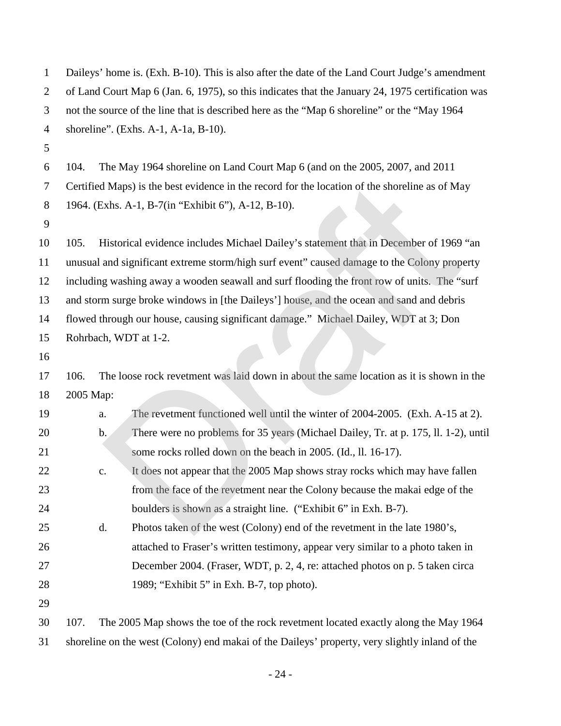| $\mathbf{1}$   | Daileys' home is. (Exh. B-10). This is also after the date of the Land Court Judge's amendment    |  |  |  |
|----------------|---------------------------------------------------------------------------------------------------|--|--|--|
| $\overline{2}$ | of Land Court Map 6 (Jan. 6, 1975), so this indicates that the January 24, 1975 certification was |  |  |  |
| 3              | not the source of the line that is described here as the "Map 6 shoreline" or the "May 1964       |  |  |  |
| $\overline{4}$ | shoreline". (Exhs. A-1, A-1a, B-10).                                                              |  |  |  |
| 5              |                                                                                                   |  |  |  |
| 6              | The May 1964 shoreline on Land Court Map 6 (and on the 2005, 2007, and 2011)<br>104.              |  |  |  |
| 7              | Certified Maps) is the best evidence in the record for the location of the shoreline as of May    |  |  |  |
| 8              | 1964. (Exhs. A-1, B-7(in "Exhibit 6"), A-12, B-10).                                               |  |  |  |
| 9              |                                                                                                   |  |  |  |
| 10             | Historical evidence includes Michael Dailey's statement that in December of 1969 "an<br>105.      |  |  |  |
| 11             | unusual and significant extreme storm/high surf event" caused damage to the Colony property       |  |  |  |
| 12             | including washing away a wooden seawall and surf flooding the front row of units. The "surf       |  |  |  |
| 13             | and storm surge broke windows in [the Daileys'] house, and the ocean and sand and debris          |  |  |  |
| 14             | flowed through our house, causing significant damage." Michael Dailey, WDT at 3; Don              |  |  |  |
| 15             | Rohrbach, WDT at 1-2.                                                                             |  |  |  |
| 16             |                                                                                                   |  |  |  |
| 17             | The loose rock revetment was laid down in about the same location as it is shown in the<br>106.   |  |  |  |
| 18             | 2005 Map:                                                                                         |  |  |  |
| 19             | The revetment functioned well until the winter of 2004-2005. (Exh. A-15 at 2).<br>a.              |  |  |  |
| 20             | There were no problems for 35 years (Michael Dailey, Tr. at p. 175, ll. 1-2), until<br>b.         |  |  |  |
| 21             | some rocks rolled down on the beach in 2005. (Id., ll. 16-17).                                    |  |  |  |
| 22             | It does not appear that the 2005 Map shows stray rocks which may have fallen<br>c.                |  |  |  |
| 23             | from the face of the revetment near the Colony because the makai edge of the                      |  |  |  |
| 24             | boulders is shown as a straight line. ("Exhibit 6" in Exh. B-7).                                  |  |  |  |
| 25             | Photos taken of the west (Colony) end of the revetment in the late 1980's,<br>d.                  |  |  |  |
| 26             | attached to Fraser's written testimony, appear very similar to a photo taken in                   |  |  |  |
| 27             | December 2004. (Fraser, WDT, p. 2, 4, re: attached photos on p. 5 taken circa                     |  |  |  |
| 28             | 1989; "Exhibit 5" in Exh. B-7, top photo).                                                        |  |  |  |
| 29             |                                                                                                   |  |  |  |
| 30             | The 2005 Map shows the toe of the rock revetment located exactly along the May 1964<br>107.       |  |  |  |
| 31             | shoreline on the west (Colony) end makai of the Daileys' property, very slightly inland of the    |  |  |  |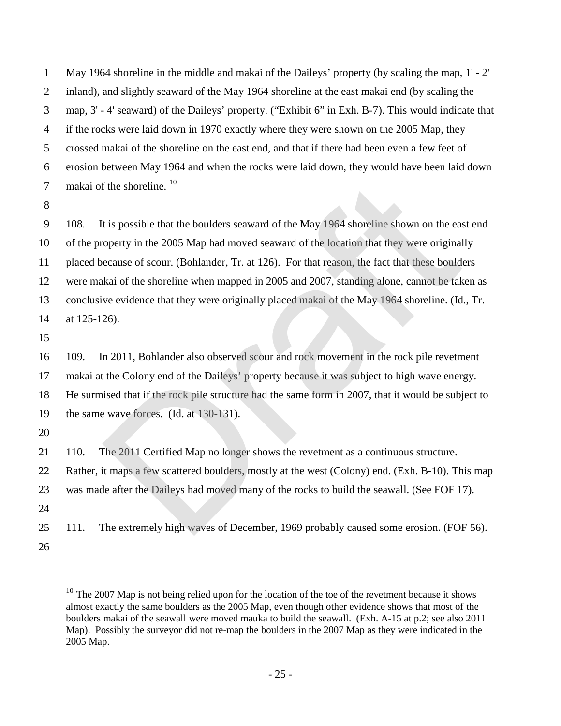May 1964 shoreline in the middle and makai of the Daileys' property (by scaling the map, 1' - 2' inland), and slightly seaward of the May 1964 shoreline at the east makai end (by scaling the map, 3' - 4' seaward) of the Daileys' property. ("Exhibit 6" in Exh. B-7). This would indicate that if the rocks were laid down in 1970 exactly where they were shown on the 2005 Map, they crossed makai of the shoreline on the east end, and that if there had been even a few feet of erosion between May 1964 and when the rocks were laid down, they would have been laid down 7 makai of the shoreline.

 108. It is possible that the boulders seaward of the May 1964 shoreline shown on the east end of the property in the 2005 Map had moved seaward of the location that they were originally placed because of scour. (Bohlander, Tr. at 126). For that reason, the fact that these boulders were makai of the shoreline when mapped in 2005 and 2007, standing alone, cannot be taken as 13 conclusive evidence that they were originally placed makai of the May 1964 shoreline. (Id., Tr. at 125-126). f the shoreline. <sup>10</sup><br>ti s possible that the boulders seaward of the May 1964 shoreline shown on the ear<br>operty in the 2005 Map had moved seaward of the location that they were original<br>ecause of scour. (Bohlander, Tr. at

 109. In 2011, Bohlander also observed scour and rock movement in the rock pile revetment makai at the Colony end of the Daileys' property because it was subject to high wave energy. He surmised that if the rock pile structure had the same form in 2007, that it would be subject to the same wave forces. (Id. at 130-131).

110. The 2011 Certified Map no longer shows the revetment as a continuous structure.

 Rather, it maps a few scattered boulders, mostly at the west (Colony) end. (Exh. B-10). This map was made after the Daileys had moved many of the rocks to build the seawall. (See FOF 17).

111. The extremely high waves of December, 1969 probably caused some erosion. (FOF 56).

<span id="page-27-0"></span> The 2007 Map is not being relied upon for the location of the toe of the revetment because it shows almost exactly the same boulders as the 2005 Map, even though other evidence shows that most of the boulders makai of the seawall were moved mauka to build the seawall. (Exh. A-15 at p.2; see also 2011 Map). Possibly the surveyor did not re-map the boulders in the 2007 Map as they were indicated in the 2005 Map.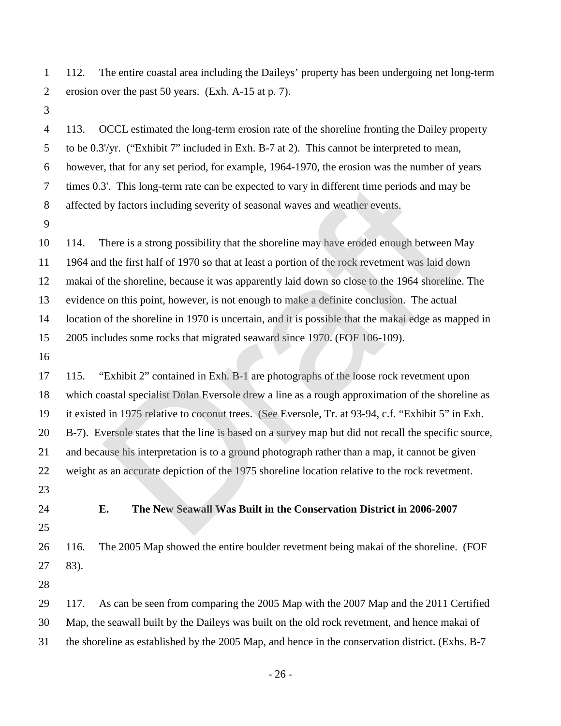112. The entire coastal area including the Daileys' property has been undergoing net long-term erosion over the past 50 years. (Exh. A-15 at p. 7).

 113. OCCL estimated the long-term erosion rate of the shoreline fronting the Dailey property to be 0.3'/yr. ("Exhibit 7" included in Exh. B-7 at 2). This cannot be interpreted to mean, however, that for any set period, for example, 1964-1970, the erosion was the number of years times 0.3'. This long-term rate can be expected to vary in different time periods and may be affected by factors including severity of seasonal waves and weather events.

 114. There is a strong possibility that the shoreline may have eroded enough between May 1964 and the first half of 1970 so that at least a portion of the rock revetment was laid down makai of the shoreline, because it was apparently laid down so close to the 1964 shoreline. The evidence on this point, however, is not enough to make a definite conclusion. The actual location of the shoreline in 1970 is uncertain, and it is possible that the makai edge as mapped in 2005 includes some rocks that migrated seaward since 1970. (FOF 106-109). 3'. This long-term rate can be expected to vary in different time periods and may b<br>by factors including severity of seasonal waves and weather events.<br>There is a strong possibility that the shoreline may have eroded enou

 115. "Exhibit 2" contained in Exh. B-1 are photographs of the loose rock revetment upon which coastal specialist Dolan Eversole drew a line as a rough approximation of the shoreline as it existed in 1975 relative to coconut trees. (See Eversole, Tr. at 93-94, c.f. "Exhibit 5" in Exh. B-7). Eversole states that the line is based on a survey map but did not recall the specific source, and because his interpretation is to a ground photograph rather than a map, it cannot be given weight as an accurate depiction of the 1975 shoreline location relative to the rock revetment.

- 
- 

### **E. The New Seawall Was Built in the Conservation District in 2006-2007**

 116. The 2005 Map showed the entire boulder revetment being makai of the shoreline. (FOF 27 83).

117. As can be seen from comparing the 2005 Map with the 2007 Map and the 2011 Certified

Map, the seawall built by the Daileys was built on the old rock revetment, and hence makai of

the shoreline as established by the 2005 Map, and hence in the conservation district. (Exhs. B-7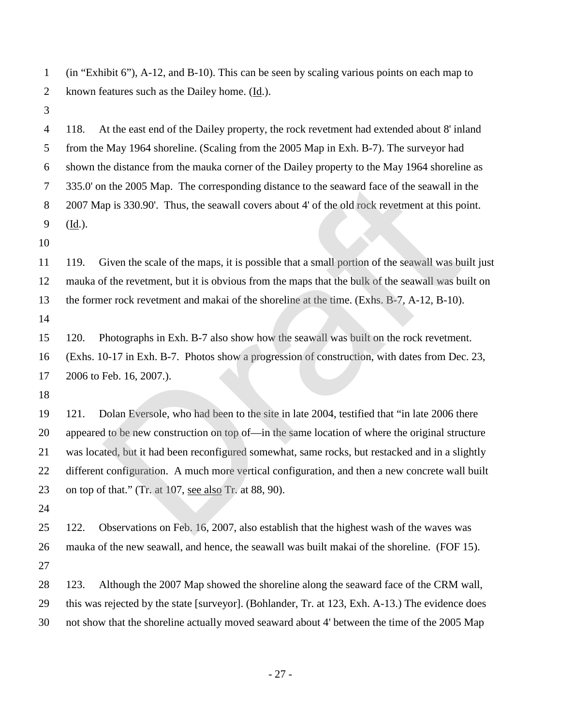(in "Exhibit 6"), A-12, and B-10). This can be seen by scaling various points on each map to known features such as the Dailey home. (Id.).

 118. At the east end of the Dailey property, the rock revetment had extended about 8' inland from the May 1964 shoreline. (Scaling from the 2005 Map in Exh. B-7). The surveyor had shown the distance from the mauka corner of the Dailey property to the May 1964 shoreline as 335.0' on the 2005 Map. The corresponding distance to the seaward face of the seawall in the 2007 Map is 330.90'. Thus, the seawall covers about 4' of the old rock revetment at this point. (Id.).

 119. Given the scale of the maps, it is possible that a small portion of the seawall was built just mauka of the revetment, but it is obvious from the maps that the bulk of the seawall was built on the former rock revetment and makai of the shoreline at the time. (Exhs. B-7, A-12, B-10).

120. Photographs in Exh. B-7 also show how the seawall was built on the rock revetment.

 (Exhs. 10-17 in Exh. B-7. Photos show a progression of construction, with dates from Dec. 23, 2006 to Feb. 16, 2007.).

 121. Dolan Eversole, who had been to the site in late 2004, testified that "in late 2006 there appeared to be new construction on top of—in the same location of where the original structure was located, but it had been reconfigured somewhat, same rocks, but restacked and in a slightly different configuration. A much more vertical configuration, and then a new concrete wall built on top of that." (Tr. at 107, see also Tr. at 88, 90). n the 2005 Map. The corresponding distance to the seaward face of the seawall in<br>ap is 330.90'. Thus, the seawall covers about 4' of the old rock revetment at this po<br>iven the scale of the maps, it is possible that a small

 122. Observations on Feb. 16, 2007, also establish that the highest wash of the waves was mauka of the new seawall, and hence, the seawall was built makai of the shoreline. (FOF 15). 

 123. Although the 2007 Map showed the shoreline along the seaward face of the CRM wall, this was rejected by the state [surveyor]. (Bohlander, Tr. at 123, Exh. A-13.) The evidence does not show that the shoreline actually moved seaward about 4' between the time of the 2005 Map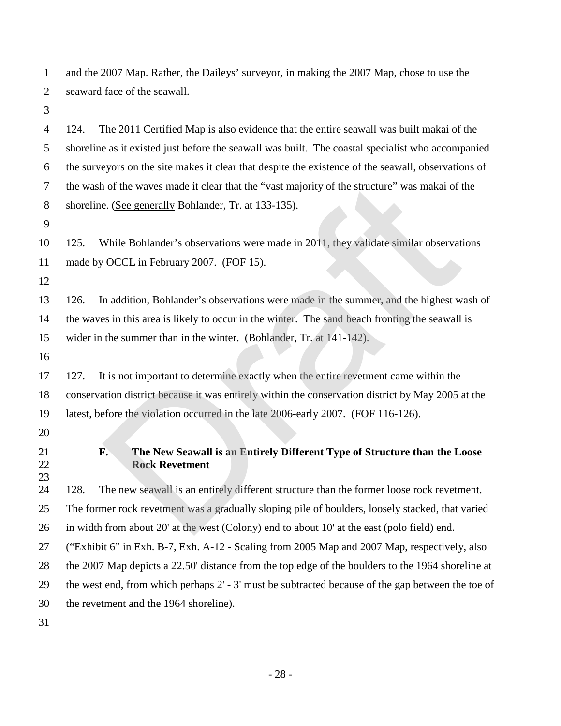and the 2007 Map. Rather, the Daileys' surveyor, in making the 2007 Map, chose to use the seaward face of the seawall.

 124. The 2011 Certified Map is also evidence that the entire seawall was built makai of the shoreline as it existed just before the seawall was built. The coastal specialist who accompanied the surveyors on the site makes it clear that despite the existence of the seawall, observations of the wash of the waves made it clear that the "vast majority of the structure" was makai of the shoreline. (See generally Bohlander, Tr. at 133-135). 125. While Bohlander's observations were made in 2011, they validate similar observations 11 made by OCCL in February 2007. (FOF 15). 126. In addition, Bohlander's observations were made in the summer, and the highest wash of the waves in this area is likely to occur in the winter. The sand beach fronting the seawall is wider in the summer than in the winter. (Bohlander, Tr. at 141-142). 127. It is not important to determine exactly when the entire revetment came within the conservation district because it was entirely within the conservation district by May 2005 at the latest, before the violation occurred in the late 2006-early 2007. (FOF 116-126). of the waves made it clear that the "vast majority of the structure" was makai of the Area Consequently Bohlander, Tr. at 133-135).<br>
While Bohlander's observations were made in 2011, they validate similar observat OCCL in

### **F. The New Seawall is an Entirely Different Type of Structure than the Loose Rock Revetment**

 128. The new seawall is an entirely different structure than the former loose rock revetment. The former rock revetment was a gradually sloping pile of boulders, loosely stacked, that varied in width from about 20' at the west (Colony) end to about 10' at the east (polo field) end. ("Exhibit 6" in Exh. B-7, Exh. A-12 - Scaling from 2005 Map and 2007 Map, respectively, also the 2007 Map depicts a 22.50' distance from the top edge of the boulders to the 1964 shoreline at the west end, from which perhaps 2' - 3' must be subtracted because of the gap between the toe of the revetment and the 1964 shoreline).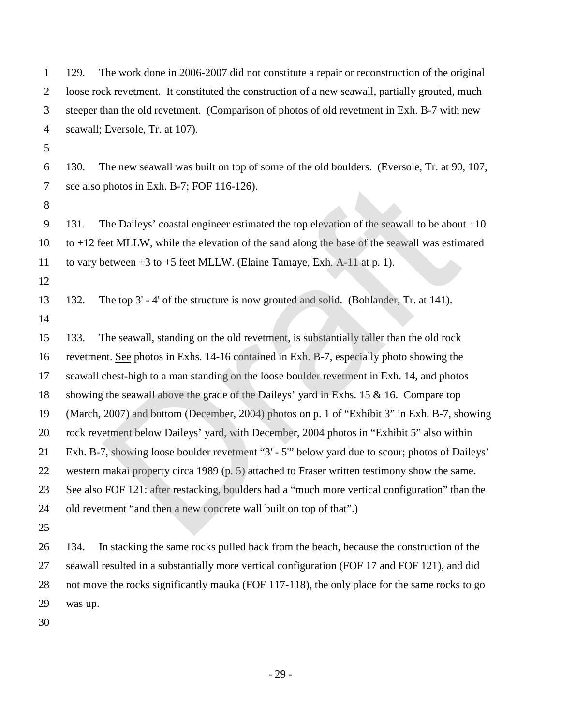| $\mathbf{1}$   | The work done in 2006-2007 did not constitute a repair or reconstruction of the original<br>129.   |  |  |  |
|----------------|----------------------------------------------------------------------------------------------------|--|--|--|
| $\overline{c}$ | loose rock revetment. It constituted the construction of a new seawall, partially grouted, much    |  |  |  |
| 3              | steeper than the old revetment. (Comparison of photos of old revetment in Exh. B-7 with new        |  |  |  |
| $\overline{4}$ | seawall; Eversole, Tr. at 107).                                                                    |  |  |  |
| 5              |                                                                                                    |  |  |  |
| 6              | The new seawall was built on top of some of the old boulders. (Eversole, Tr. at 90, 107,<br>130.   |  |  |  |
| 7              | see also photos in Exh. B-7; FOF 116-126).                                                         |  |  |  |
| 8              |                                                                                                    |  |  |  |
| 9              | The Daileys' coastal engineer estimated the top elevation of the seawall to be about $+10$<br>131. |  |  |  |
| 10             | to $+12$ feet MLLW, while the elevation of the sand along the base of the seawall was estimated    |  |  |  |
| 11             | to vary between $+3$ to $+5$ feet MLLW. (Elaine Tamaye, Exh. A-11 at p. 1).                        |  |  |  |
| 12             |                                                                                                    |  |  |  |
| 13             | The top 3' - 4' of the structure is now grouted and solid. (Bohlander, Tr. at 141).<br>132.        |  |  |  |
| 14             |                                                                                                    |  |  |  |
| 15             | The seawall, standing on the old revetment, is substantially taller than the old rock<br>133.      |  |  |  |
| 16             | revetment. See photos in Exhs. 14-16 contained in Exh. B-7, especially photo showing the           |  |  |  |
| 17             | seawall chest-high to a man standing on the loose boulder revetment in Exh. 14, and photos         |  |  |  |
| 18             | showing the seawall above the grade of the Daileys' yard in Exhs. 15 $\&$ 16. Compare top          |  |  |  |
| 19             | (March, 2007) and bottom (December, 2004) photos on p. 1 of "Exhibit 3" in Exh. B-7, showing       |  |  |  |
| 20             | rock revetment below Daileys' yard, with December, 2004 photos in "Exhibit 5" also within          |  |  |  |
| 21             | Exh. B-7, showing loose boulder revetment "3' - 5" below yard due to scour; photos of Daileys'     |  |  |  |
| 22             | western makai property circa 1989 (p. 5) attached to Fraser written testimony show the same.       |  |  |  |
| 23             | See also FOF 121: after restacking, boulders had a "much more vertical configuration" than the     |  |  |  |
| 24             | old revetment "and then a new concrete wall built on top of that".)                                |  |  |  |
| 25             |                                                                                                    |  |  |  |
| 26             | In stacking the same rocks pulled back from the beach, because the construction of the<br>134.     |  |  |  |
| 27             | seawall resulted in a substantially more vertical configuration (FOF 17 and FOF 121), and did      |  |  |  |
| 28             | not move the rocks significantly mauka (FOF 117-118), the only place for the same rocks to go      |  |  |  |
| 29             | was up.                                                                                            |  |  |  |
| 30             |                                                                                                    |  |  |  |

- 29 -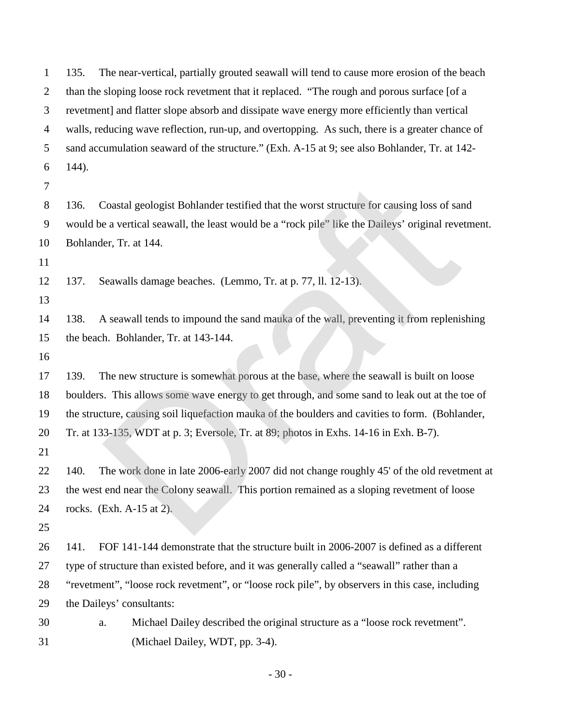| $\mathbf{1}$   | The near-vertical, partially grouted seawall will tend to cause more erosion of the beach<br>135.   |  |  |  |  |
|----------------|-----------------------------------------------------------------------------------------------------|--|--|--|--|
| $\overline{c}$ | than the sloping loose rock revetment that it replaced. "The rough and porous surface [of a         |  |  |  |  |
| 3              | revetment] and flatter slope absorb and dissipate wave energy more efficiently than vertical        |  |  |  |  |
| 4              | walls, reducing wave reflection, run-up, and overtopping. As such, there is a greater chance of     |  |  |  |  |
| 5              | sand accumulation seaward of the structure." (Exh. A-15 at 9; see also Bohlander, Tr. at 142-       |  |  |  |  |
| 6              | 144).                                                                                               |  |  |  |  |
| 7              |                                                                                                     |  |  |  |  |
| 8              | Coastal geologist Bohlander testified that the worst structure for causing loss of sand<br>136.     |  |  |  |  |
| 9              | would be a vertical seawall, the least would be a "rock pile" like the Daileys' original revetment. |  |  |  |  |
| 10             | Bohlander, Tr. at 144.                                                                              |  |  |  |  |
| 11             |                                                                                                     |  |  |  |  |
| 12             | Seawalls damage beaches. (Lemmo, Tr. at p. 77, ll. 12-13).<br>137.                                  |  |  |  |  |
| 13             |                                                                                                     |  |  |  |  |
| 14             | A seawall tends to impound the sand mauka of the wall, preventing it from replenishing<br>138.      |  |  |  |  |
| 15             | the beach. Bohlander, Tr. at 143-144.                                                               |  |  |  |  |
| 16             |                                                                                                     |  |  |  |  |
| 17             | The new structure is somewhat porous at the base, where the seawall is built on loose<br>139.       |  |  |  |  |
| 18             | boulders. This allows some wave energy to get through, and some sand to leak out at the toe of      |  |  |  |  |
| 19             | the structure, causing soil liquefaction mauka of the boulders and cavities to form. (Bohlander,    |  |  |  |  |
| 20             | Tr. at 133-135, WDT at p. 3; Eversole, Tr. at 89; photos in Exhs. 14-16 in Exh. B-7).               |  |  |  |  |
| 21             |                                                                                                     |  |  |  |  |
| 22             | The work done in late 2006-early 2007 did not change roughly 45' of the old revetment at<br>140.    |  |  |  |  |
| 23             | the west end near the Colony seawall. This portion remained as a sloping revetment of loose         |  |  |  |  |
| 24             | rocks. $(Exh. A-15 at 2).$                                                                          |  |  |  |  |
| 25             |                                                                                                     |  |  |  |  |
| 26             | FOF 141-144 demonstrate that the structure built in 2006-2007 is defined as a different<br>141.     |  |  |  |  |
| 27             | type of structure than existed before, and it was generally called a "seawall" rather than a        |  |  |  |  |
| 28             | "revetment", "loose rock revetment", or "loose rock pile", by observers in this case, including     |  |  |  |  |
| 29             | the Daileys' consultants:                                                                           |  |  |  |  |
| 30             | Michael Dailey described the original structure as a "loose rock revetment".<br>a.                  |  |  |  |  |
| 31             | (Michael Dailey, WDT, pp. 3-4).                                                                     |  |  |  |  |

- 30 -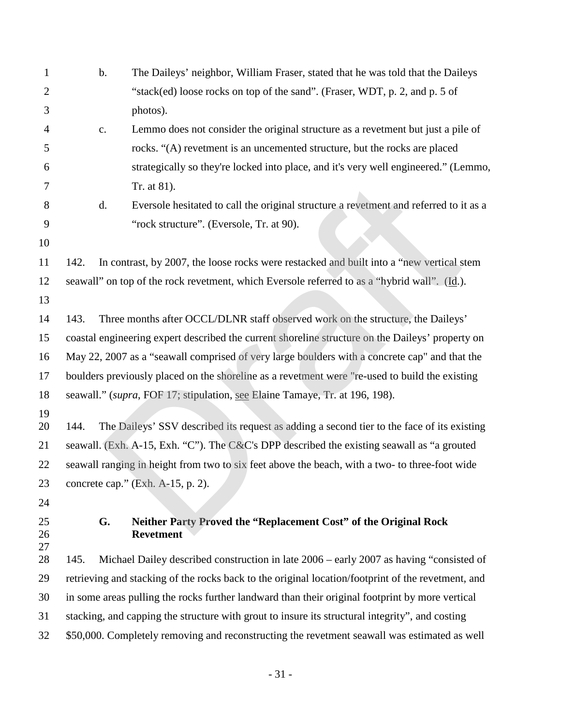| $\mathbf{1}$   | $\mathbf b$ .                                                                                    | The Daileys' neighbor, William Fraser, stated that he was told that the Daileys                    |  |  |  |  |
|----------------|--------------------------------------------------------------------------------------------------|----------------------------------------------------------------------------------------------------|--|--|--|--|
| $\overline{2}$ |                                                                                                  | "stack(ed) loose rocks on top of the sand". (Fraser, WDT, p. 2, and p. 5 of                        |  |  |  |  |
| 3              |                                                                                                  | photos).                                                                                           |  |  |  |  |
| $\overline{4}$ | $\mathbf{c}$ .                                                                                   | Lemmo does not consider the original structure as a revetment but just a pile of                   |  |  |  |  |
| 5              |                                                                                                  | rocks. "(A) revetment is an uncemented structure, but the rocks are placed                         |  |  |  |  |
| 6              |                                                                                                  | strategically so they're locked into place, and it's very well engineered." (Lemmo,                |  |  |  |  |
| 7              |                                                                                                  | Tr. at 81).                                                                                        |  |  |  |  |
| 8              | d.                                                                                               | Eversole hesitated to call the original structure a revetment and referred to it as a              |  |  |  |  |
| 9              |                                                                                                  | "rock structure". (Eversole, Tr. at 90).                                                           |  |  |  |  |
| 10             |                                                                                                  |                                                                                                    |  |  |  |  |
| 11             | 142.                                                                                             | In contrast, by 2007, the loose rocks were restacked and built into a "new vertical stem           |  |  |  |  |
| 12             |                                                                                                  | seawall" on top of the rock revetment, which Eversole referred to as a "hybrid wall". (Id.).       |  |  |  |  |
| 13             |                                                                                                  |                                                                                                    |  |  |  |  |
| 14             | 143.                                                                                             | Three months after OCCL/DLNR staff observed work on the structure, the Daileys'                    |  |  |  |  |
| 15             | coastal engineering expert described the current shoreline structure on the Daileys' property on |                                                                                                    |  |  |  |  |
| 16             |                                                                                                  | May 22, 2007 as a "seawall comprised of very large boulders with a concrete cap" and that the      |  |  |  |  |
| 17             |                                                                                                  | boulders previously placed on the shoreline as a revetment were "re-used to build the existing     |  |  |  |  |
| 18             |                                                                                                  | seawall." (supra, FOF 17; stipulation, see Elaine Tamaye, Tr. at 196, 198).                        |  |  |  |  |
| 19             |                                                                                                  |                                                                                                    |  |  |  |  |
| 20             | 144.                                                                                             | The Daileys' SSV described its request as adding a second tier to the face of its existing         |  |  |  |  |
| 21             |                                                                                                  | seawall. (Exh. A-15, Exh. "C"). The C&C's DPP described the existing seawall as "a grouted         |  |  |  |  |
| 22             |                                                                                                  | seawall ranging in height from two to six feet above the beach, with a two- to three-foot wide     |  |  |  |  |
| 23             |                                                                                                  | concrete cap." $(Exh. A-15, p. 2)$ .                                                               |  |  |  |  |
| 24             |                                                                                                  |                                                                                                    |  |  |  |  |
| 25<br>26<br>27 | G.                                                                                               | Neither Party Proved the "Replacement Cost" of the Original Rock<br><b>Revetment</b>               |  |  |  |  |
| 28             | 145.                                                                                             | Michael Dailey described construction in late 2006 – early 2007 as having "consisted of            |  |  |  |  |
| 29             |                                                                                                  | retrieving and stacking of the rocks back to the original location/footprint of the revetment, and |  |  |  |  |
| 30             | in some areas pulling the rocks further landward than their original footprint by more vertical  |                                                                                                    |  |  |  |  |
| 31             | stacking, and capping the structure with grout to insure its structural integrity", and costing  |                                                                                                    |  |  |  |  |
| 32             |                                                                                                  | \$50,000. Completely removing and reconstructing the revetment seawall was estimated as well       |  |  |  |  |
|                |                                                                                                  |                                                                                                    |  |  |  |  |

- 31 -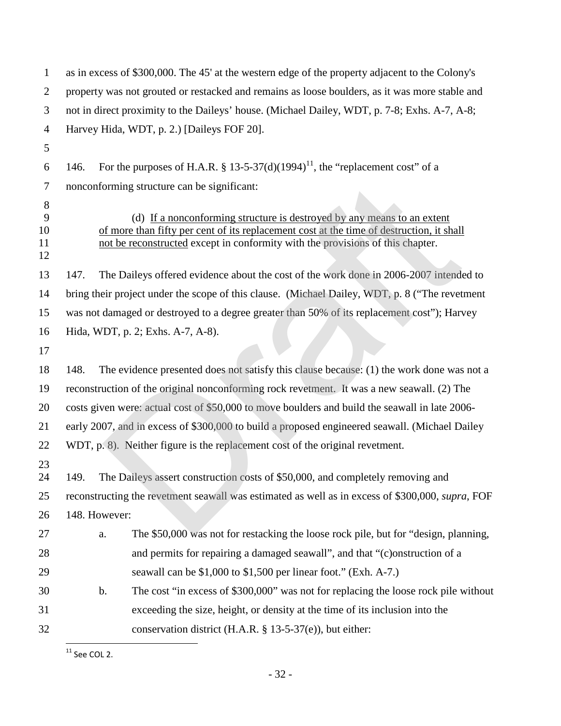| 1                        | as in excess of \$300,000. The 45' at the western edge of the property adjacent to the Colony's  |               |                                                                                                                                                                                                                                                       |  |  |
|--------------------------|--------------------------------------------------------------------------------------------------|---------------|-------------------------------------------------------------------------------------------------------------------------------------------------------------------------------------------------------------------------------------------------------|--|--|
| $\overline{2}$           |                                                                                                  |               | property was not grouted or restacked and remains as loose boulders, as it was more stable and                                                                                                                                                        |  |  |
| 3                        |                                                                                                  |               | not in direct proximity to the Daileys' house. (Michael Dailey, WDT, p. 7-8; Exhs. A-7, A-8;                                                                                                                                                          |  |  |
| 4                        |                                                                                                  |               | Harvey Hida, WDT, p. 2.) [Daileys FOF 20].                                                                                                                                                                                                            |  |  |
| 5                        |                                                                                                  |               |                                                                                                                                                                                                                                                       |  |  |
| 6                        | 146.                                                                                             |               | For the purposes of H.A.R. § 13-5-37(d)(1994) <sup>11</sup> , the "replacement cost" of a                                                                                                                                                             |  |  |
| 7                        |                                                                                                  |               | nonconforming structure can be significant:                                                                                                                                                                                                           |  |  |
| 8<br>9<br>10<br>11<br>12 |                                                                                                  |               | (d) If a nonconforming structure is destroyed by any means to an extent<br>of more than fifty per cent of its replacement cost at the time of destruction, it shall<br>not be reconstructed except in conformity with the provisions of this chapter. |  |  |
| 13                       | 147.                                                                                             |               | The Daileys offered evidence about the cost of the work done in 2006-2007 intended to                                                                                                                                                                 |  |  |
| 14                       |                                                                                                  |               | bring their project under the scope of this clause. (Michael Dailey, WDT, p. 8 ("The revetment                                                                                                                                                        |  |  |
| 15                       | was not damaged or destroyed to a degree greater than 50% of its replacement cost"); Harvey      |               |                                                                                                                                                                                                                                                       |  |  |
| 16                       | Hida, WDT, p. 2; Exhs. A-7, A-8).                                                                |               |                                                                                                                                                                                                                                                       |  |  |
| 17                       |                                                                                                  |               |                                                                                                                                                                                                                                                       |  |  |
| 18                       | 148.                                                                                             |               | The evidence presented does not satisfy this clause because: (1) the work done was not a                                                                                                                                                              |  |  |
| 19                       | reconstruction of the original nonconforming rock revetment. It was a new seawall. (2) The       |               |                                                                                                                                                                                                                                                       |  |  |
| 20                       | costs given were: actual cost of \$50,000 to move boulders and build the seawall in late 2006-   |               |                                                                                                                                                                                                                                                       |  |  |
| 21                       | early 2007, and in excess of \$300,000 to build a proposed engineered seawall. (Michael Dailey   |               |                                                                                                                                                                                                                                                       |  |  |
| 22                       |                                                                                                  |               | WDT, p. 8). Neither figure is the replacement cost of the original revetment.                                                                                                                                                                         |  |  |
| 23<br>24                 | 149.                                                                                             |               | The Daileys assert construction costs of \$50,000, and completely removing and                                                                                                                                                                        |  |  |
| 25                       | reconstructing the revetment seawall was estimated as well as in excess of \$300,000, supra, FOF |               |                                                                                                                                                                                                                                                       |  |  |
| 26                       |                                                                                                  | 148. However: |                                                                                                                                                                                                                                                       |  |  |
| 27                       |                                                                                                  | a.            | The \$50,000 was not for restacking the loose rock pile, but for "design, planning,                                                                                                                                                                   |  |  |
| 28                       |                                                                                                  |               | and permits for repairing a damaged seawall", and that "(c) on struction of a                                                                                                                                                                         |  |  |
| 29                       |                                                                                                  |               | seawall can be \$1,000 to \$1,500 per linear foot." (Exh. A-7.)                                                                                                                                                                                       |  |  |
| 30                       |                                                                                                  | $b$ .         | The cost "in excess of \$300,000" was not for replacing the loose rock pile without                                                                                                                                                                   |  |  |
| 31                       |                                                                                                  |               | exceeding the size, height, or density at the time of its inclusion into the                                                                                                                                                                          |  |  |
| 32                       |                                                                                                  |               | conservation district (H.A.R. $\S$ 13-5-37(e)), but either:                                                                                                                                                                                           |  |  |

<span id="page-34-0"></span> $\overline{11}$  See COL 2.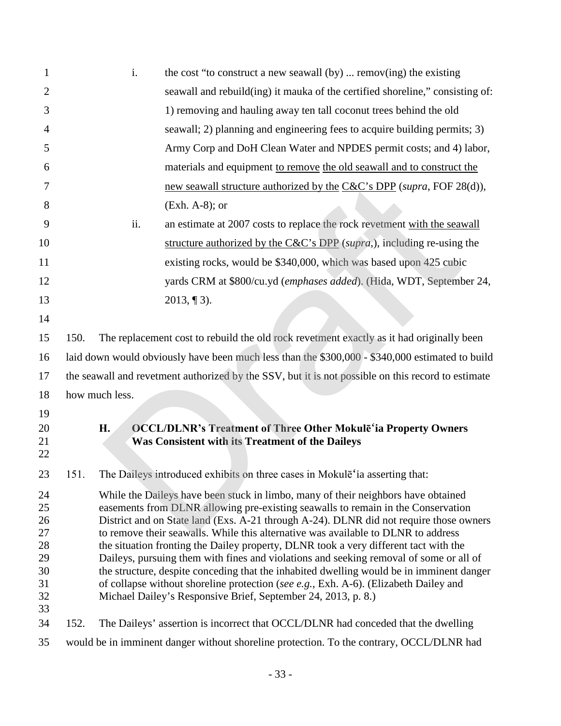| 1                                                        |                                                                                                                                                                                                                                                                                                                                                                                                                                                                                                                                                                                                                                                                                                                                                                                             | i.             | the cost "to construct a new seawall $(by)$ remov(ing) the existing                                                              |  |  |
|----------------------------------------------------------|---------------------------------------------------------------------------------------------------------------------------------------------------------------------------------------------------------------------------------------------------------------------------------------------------------------------------------------------------------------------------------------------------------------------------------------------------------------------------------------------------------------------------------------------------------------------------------------------------------------------------------------------------------------------------------------------------------------------------------------------------------------------------------------------|----------------|----------------------------------------------------------------------------------------------------------------------------------|--|--|
| $\overline{2}$                                           |                                                                                                                                                                                                                                                                                                                                                                                                                                                                                                                                                                                                                                                                                                                                                                                             |                | seawall and rebuild(ing) it mauka of the certified shoreline," consisting of:                                                    |  |  |
| 3                                                        |                                                                                                                                                                                                                                                                                                                                                                                                                                                                                                                                                                                                                                                                                                                                                                                             |                | 1) removing and hauling away ten tall coconut trees behind the old                                                               |  |  |
| 4                                                        |                                                                                                                                                                                                                                                                                                                                                                                                                                                                                                                                                                                                                                                                                                                                                                                             |                | seawall; 2) planning and engineering fees to acquire building permits; 3)                                                        |  |  |
| 5                                                        |                                                                                                                                                                                                                                                                                                                                                                                                                                                                                                                                                                                                                                                                                                                                                                                             |                | Army Corp and DoH Clean Water and NPDES permit costs; and 4) labor,                                                              |  |  |
| 6                                                        |                                                                                                                                                                                                                                                                                                                                                                                                                                                                                                                                                                                                                                                                                                                                                                                             |                | materials and equipment to remove the old seawall and to construct the                                                           |  |  |
| 7                                                        |                                                                                                                                                                                                                                                                                                                                                                                                                                                                                                                                                                                                                                                                                                                                                                                             |                | new seawall structure authorized by the C&C's DPP (supra, FOF 28(d)),                                                            |  |  |
| 8                                                        |                                                                                                                                                                                                                                                                                                                                                                                                                                                                                                                                                                                                                                                                                                                                                                                             |                | $(Exh. A-8)$ ; or                                                                                                                |  |  |
| 9                                                        |                                                                                                                                                                                                                                                                                                                                                                                                                                                                                                                                                                                                                                                                                                                                                                                             | ii.            | an estimate at 2007 costs to replace the rock revetment with the seawall                                                         |  |  |
| 10                                                       |                                                                                                                                                                                                                                                                                                                                                                                                                                                                                                                                                                                                                                                                                                                                                                                             |                | structure authorized by the $C&C$ 's DPP (supra,), including re-using the                                                        |  |  |
| 11                                                       |                                                                                                                                                                                                                                                                                                                                                                                                                                                                                                                                                                                                                                                                                                                                                                                             |                | existing rocks, would be \$340,000, which was based upon 425 cubic                                                               |  |  |
| 12                                                       |                                                                                                                                                                                                                                                                                                                                                                                                                                                                                                                                                                                                                                                                                                                                                                                             |                | yards CRM at \$800/cu.yd (emphases added). (Hida, WDT, September 24,                                                             |  |  |
| 13                                                       |                                                                                                                                                                                                                                                                                                                                                                                                                                                                                                                                                                                                                                                                                                                                                                                             |                | $2013, \P 3$ ).                                                                                                                  |  |  |
| 14                                                       |                                                                                                                                                                                                                                                                                                                                                                                                                                                                                                                                                                                                                                                                                                                                                                                             |                |                                                                                                                                  |  |  |
| 15                                                       | 150.                                                                                                                                                                                                                                                                                                                                                                                                                                                                                                                                                                                                                                                                                                                                                                                        |                | The replacement cost to rebuild the old rock revetment exactly as it had originally been                                         |  |  |
| 16                                                       | laid down would obviously have been much less than the \$300,000 - \$340,000 estimated to build                                                                                                                                                                                                                                                                                                                                                                                                                                                                                                                                                                                                                                                                                             |                |                                                                                                                                  |  |  |
| 17                                                       | the seawall and revetment authorized by the SSV, but it is not possible on this record to estimate                                                                                                                                                                                                                                                                                                                                                                                                                                                                                                                                                                                                                                                                                          |                |                                                                                                                                  |  |  |
| 18                                                       |                                                                                                                                                                                                                                                                                                                                                                                                                                                                                                                                                                                                                                                                                                                                                                                             | how much less. |                                                                                                                                  |  |  |
| 19                                                       |                                                                                                                                                                                                                                                                                                                                                                                                                                                                                                                                                                                                                                                                                                                                                                                             |                |                                                                                                                                  |  |  |
| 20<br>21<br>22                                           |                                                                                                                                                                                                                                                                                                                                                                                                                                                                                                                                                                                                                                                                                                                                                                                             | <b>H.</b>      | <b>OCCL/DLNR's Treatment of Three Other Mokulē'ia Property Owners</b><br><b>Was Consistent with its Treatment of the Daileys</b> |  |  |
| 23                                                       | 151.                                                                                                                                                                                                                                                                                                                                                                                                                                                                                                                                                                                                                                                                                                                                                                                        |                | The Daileys introduced exhibits on three cases in Mokulē'ia asserting that:                                                      |  |  |
| 24<br>25<br>26<br>27<br>28<br>29<br>30<br>31<br>32<br>33 | While the Daileys have been stuck in limbo, many of their neighbors have obtained<br>easements from DLNR allowing pre-existing seawalls to remain in the Conservation<br>District and on State land (Exs. A-21 through A-24). DLNR did not require those owners<br>to remove their seawalls. While this alternative was available to DLNR to address<br>the situation fronting the Dailey property, DLNR took a very different tact with the<br>Daileys, pursuing them with fines and violations and seeking removal of some or all of<br>the structure, despite conceding that the inhabited dwelling would be in imminent danger<br>of collapse without shoreline protection (see e.g., Exh. A-6). (Elizabeth Dailey and<br>Michael Dailey's Responsive Brief, September 24, 2013, p. 8.) |                |                                                                                                                                  |  |  |
| 34                                                       | 152.                                                                                                                                                                                                                                                                                                                                                                                                                                                                                                                                                                                                                                                                                                                                                                                        |                | The Daileys' assertion is incorrect that OCCL/DLNR had conceded that the dwelling                                                |  |  |
| 35                                                       | would be in imminent danger without shoreline protection. To the contrary, OCCL/DLNR had                                                                                                                                                                                                                                                                                                                                                                                                                                                                                                                                                                                                                                                                                                    |                |                                                                                                                                  |  |  |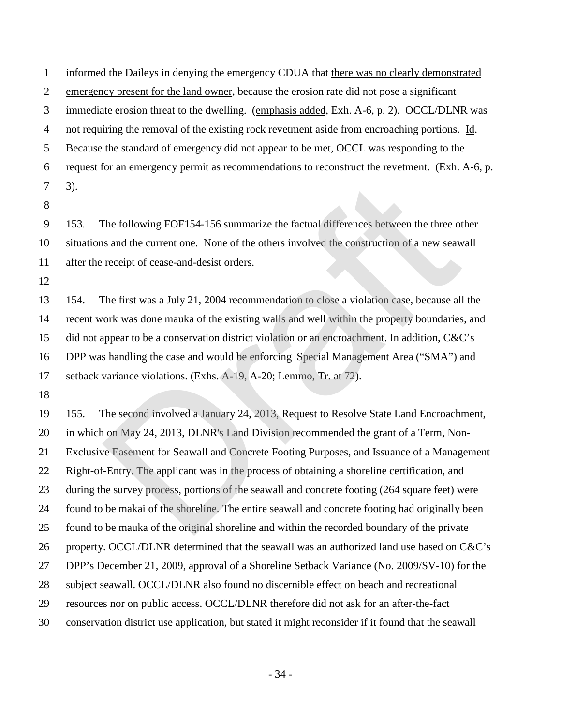informed the Daileys in denying the emergency CDUA that there was no clearly demonstrated emergency present for the land owner, because the erosion rate did not pose a significant immediate erosion threat to the dwelling. (emphasis added, Exh. A-6, p. 2). OCCL/DLNR was not requiring the removal of the existing rock revetment aside from encroaching portions. Id. Because the standard of emergency did not appear to be met, OCCL was responding to the request for an emergency permit as recommendations to reconstruct the revetment. (Exh. A-6, p.  $7 - 3$ ).

 153. The following FOF154-156 summarize the factual differences between the three other situations and the current one. None of the others involved the construction of a new seawall after the receipt of cease-and-desist orders.

 154. The first was a July 21, 2004 recommendation to close a violation case, because all the recent work was done mauka of the existing walls and well within the property boundaries, and did not appear to be a conservation district violation or an encroachment. In addition, C&C's DPP was handling the case and would be enforcing Special Management Area ("SMA") and setback variance violations. (Exhs. A-19, A-20; Lemmo, Tr. at 72).

 155. The second involved a January 24, 2013, Request to Resolve State Land Encroachment, in which on May 24, 2013, DLNR's Land Division recommended the grant of a Term, Non- Exclusive Easement for Seawall and Concrete Footing Purposes, and Issuance of a Management Right-of-Entry. The applicant was in the process of obtaining a shoreline certification, and during the survey process, portions of the seawall and concrete footing (264 square feet) were found to be makai of the shoreline. The entire seawall and concrete footing had originally been found to be mauka of the original shoreline and within the recorded boundary of the private property. OCCL/DLNR determined that the seawall was an authorized land use based on C&C's DPP's December 21, 2009, approval of a Shoreline Setback Variance (No. 2009/SV-10) for the subject seawall. OCCL/DLNR also found no discernible effect on beach and recreational resources nor on public access. OCCL/DLNR therefore did not ask for an after-the-fact conservation district use application, but stated it might reconsider if it found that the seawall The following FOF154-156 summarize the factual differences between the three of<br>s and the current one. None of the others involved the construction of a new seaw<br>receipt of cease-and-desist orders.<br>The first was a July 21,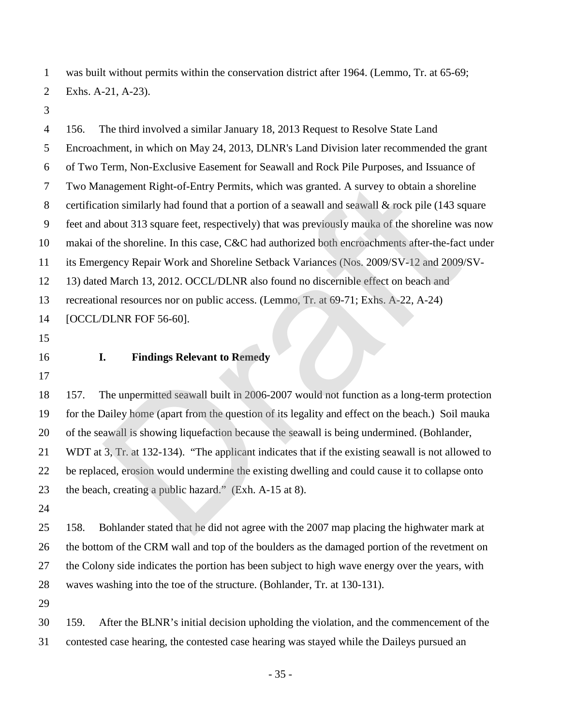was built without permits within the conservation district after 1964. (Lemmo, Tr. at 65-69; Exhs. A-21, A-23).

 156. The third involved a similar January 18, 2013 Request to Resolve State Land Encroachment, in which on May 24, 2013, DLNR's Land Division later recommended the grant of Two Term, Non-Exclusive Easement for Seawall and Rock Pile Purposes, and Issuance of Two Management Right-of-Entry Permits, which was granted. A survey to obtain a shoreline 8 certification similarly had found that a portion of a seawall and seawall & rock pile (143 square feet and about 313 square feet, respectively) that was previously mauka of the shoreline was now makai of the shoreline. In this case, C&C had authorized both encroachments after-the-fact under its Emergency Repair Work and Shoreline Setback Variances (Nos. 2009/SV-12 and 2009/SV- 13) dated March 13, 2012. OCCL/DLNR also found no discernible effect on beach and recreational resources nor on public access. (Lemmo, Tr. at 69-71; Exhs. A-22, A-24) [OCCL/DLNR FOF 56-60]. **I. Findings Relevant to Remedy** 157. The unpermitted seawall built in 2006-2007 would not function as a long-term protection for the Dailey home (apart from the question of its legality and effect on the beach.) Soil mauka of the seawall is showing liquefaction because the seawall is being undermined. (Bohlander, WDT at 3, Tr. at 132-134). "The applicant indicates that if the existing seawall is not allowed to be replaced, erosion would undermine the existing dwelling and could cause it to collapse onto the beach, creating a public hazard." (Exh. A-15 at 8). 158. Bohlander stated that he did not agree with the 2007 map placing the highwater mark at the bottom of the CRM wall and top of the boulders as the damaged portion of the revetment on the Colony side indicates the portion has been subject to high wave energy over the years, with waves washing into the toe of the structure. (Bohlander, Tr. at 130-131). 159. After the BLNR's initial decision upholding the violation, and the commencement of the contested case hearing, the contested case hearing was stayed while the Daileys pursued an magement Right-of-Entry Permits, which was granted. A survey to obtain a shorel<br>tion similarly had found that a portion of a seawall and seawall & rock pile (143 sq<br>about 313 square feet, respectively) that was previously

- 35 -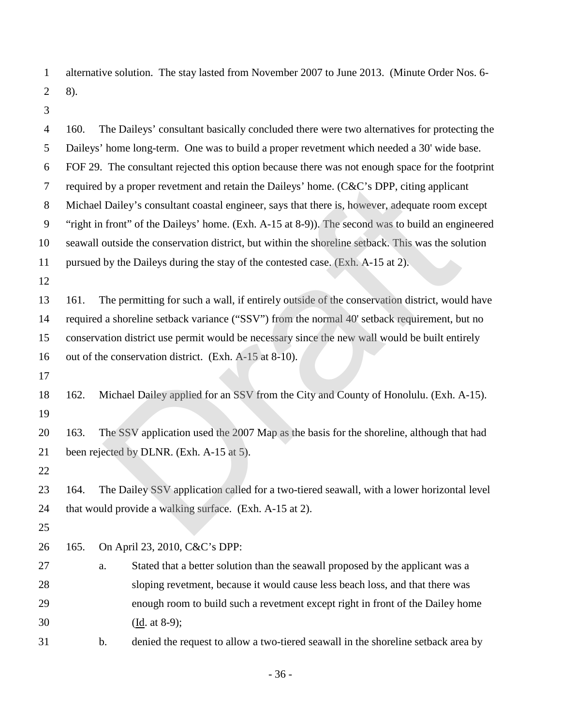alternative solution. The stay lasted from November 2007 to June 2013. (Minute Order Nos. 6- 2 8).

| $\overline{4}$ | 160. |    | The Daileys' consultant basically concluded there were two alternatives for protecting the         |
|----------------|------|----|----------------------------------------------------------------------------------------------------|
| 5              |      |    | Daileys' home long-term. One was to build a proper revetment which needed a 30' wide base.         |
| 6              |      |    | FOF 29. The consultant rejected this option because there was not enough space for the footprint   |
| $\tau$         |      |    | required by a proper revetment and retain the Daileys' home. (C&C's DPP, citing applicant          |
| $8\,$          |      |    | Michael Dailey's consultant coastal engineer, says that there is, however, adequate room except    |
| 9              |      |    | "right in front" of the Daileys' home. (Exh. A-15 at 8-9)). The second was to build an engineered  |
| 10             |      |    | seawall outside the conservation district, but within the shoreline setback. This was the solution |
| 11             |      |    | pursued by the Daileys during the stay of the contested case. (Exh. A-15 at 2).                    |
| 12             |      |    |                                                                                                    |
| 13             | 161. |    | The permitting for such a wall, if entirely outside of the conservation district, would have       |
| 14             |      |    | required a shoreline setback variance ("SSV") from the normal 40' setback requirement, but no      |
| 15             |      |    | conservation district use permit would be necessary since the new wall would be built entirely     |
| 16             |      |    | out of the conservation district. (Exh. A-15 at 8-10).                                             |
| 17             |      |    |                                                                                                    |
| 18             | 162. |    | Michael Dailey applied for an SSV from the City and County of Honolulu. (Exh. A-15).               |
| 19             |      |    |                                                                                                    |
| 20             | 163. |    | The SSV application used the 2007 Map as the basis for the shoreline, although that had            |
| 21             |      |    | been rejected by DLNR. (Exh. A-15 at 5).                                                           |
| 22             |      |    |                                                                                                    |
| 23             | 164. |    | The Dailey SSV application called for a two-tiered seawall, with a lower horizontal level          |
| 24             |      |    | that would provide a walking surface. (Exh. A-15 at 2).                                            |
| 25             |      |    |                                                                                                    |
| 26             | 165. |    | On April 23, 2010, C&C's DPP:                                                                      |
| 27             |      | a. | Stated that a better solution than the seawall proposed by the applicant was a                     |
| 28             |      |    | sloping revetment, because it would cause less beach loss, and that there was                      |
| 29             |      |    | enough room to build such a revetment except right in front of the Dailey home                     |
| 30             |      |    | $(Id·at 8-9);$                                                                                     |
| 31             |      | b. | denied the request to allow a two-tiered seawall in the shoreline setback area by                  |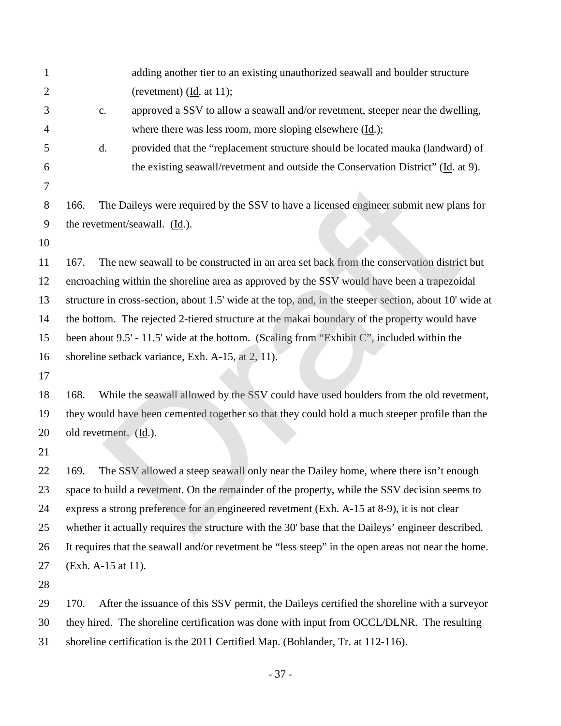| $\mathbf{1}$ |                                     | adding another tier to an existing unauthorized seawall and boulder structure                          |
|--------------|-------------------------------------|--------------------------------------------------------------------------------------------------------|
| 2            |                                     | (revetment) $(\underline{Id}$ . at 11);                                                                |
| 3            | $\mathbf{C}$ .                      | approved a SSV to allow a seawall and/or revetment, steeper near the dwelling,                         |
| 4            |                                     | where there was less room, more sloping elsewhere $(\underline{Id.})$ ;                                |
| 5            | d.                                  | provided that the "replacement structure should be located mauka (landward) of                         |
| 6            |                                     | the existing seawall/revetment and outside the Conservation District" (Id. at 9).                      |
| 7            |                                     |                                                                                                        |
| 8            | 166.                                | The Daileys were required by the SSV to have a licensed engineer submit new plans for                  |
| 9            |                                     | the revetment/seawall. (Id.).                                                                          |
| 10           |                                     |                                                                                                        |
| 11           | 167.                                | The new seawall to be constructed in an area set back from the conservation district but               |
| 12           |                                     | encroaching within the shoreline area as approved by the SSV would have been a trapezoidal             |
| 13           |                                     | structure in cross-section, about 1.5' wide at the top, and, in the steeper section, about 10' wide at |
| 14           |                                     | the bottom. The rejected 2-tiered structure at the makai boundary of the property would have           |
| 15           |                                     | been about 9.5' - 11.5' wide at the bottom. (Scaling from "Exhibit C", included within the             |
| 16           |                                     | shoreline setback variance, Exh. A-15, at 2, 11).                                                      |
| 17           |                                     |                                                                                                        |
| 18           | 168.                                | While the seawall allowed by the SSV could have used boulders from the old revetment,                  |
| 19           |                                     | they would have been cemented together so that they could hold a much steeper profile than the         |
| 20           | old revetment. $(\underline{Id})$ . |                                                                                                        |
| 21           |                                     |                                                                                                        |
| 22           | 169.                                | The SSV allowed a steep seawall only near the Dailey home, where there isn't enough                    |
| 23           |                                     | space to build a revetment. On the remainder of the property, while the SSV decision seems to          |
| 24           |                                     | express a strong preference for an engineered revetment (Exh. A-15 at 8-9), it is not clear            |
| 25           |                                     | whether it actually requires the structure with the 30' base that the Daileys' engineer described.     |
| 26           |                                     | It requires that the seawall and/or revetment be "less steep" in the open areas not near the home.     |
| 27           | (Exh. A-15 at 11).                  |                                                                                                        |
| 28           |                                     |                                                                                                        |
| 29           | 170.                                | After the issuance of this SSV permit, the Daileys certified the shoreline with a surveyor             |
| 30           |                                     | they hired. The shoreline certification was done with input from OCCL/DLNR. The resulting              |
| 31           |                                     | shoreline certification is the 2011 Certified Map. (Bohlander, Tr. at 112-116).                        |

- 37 -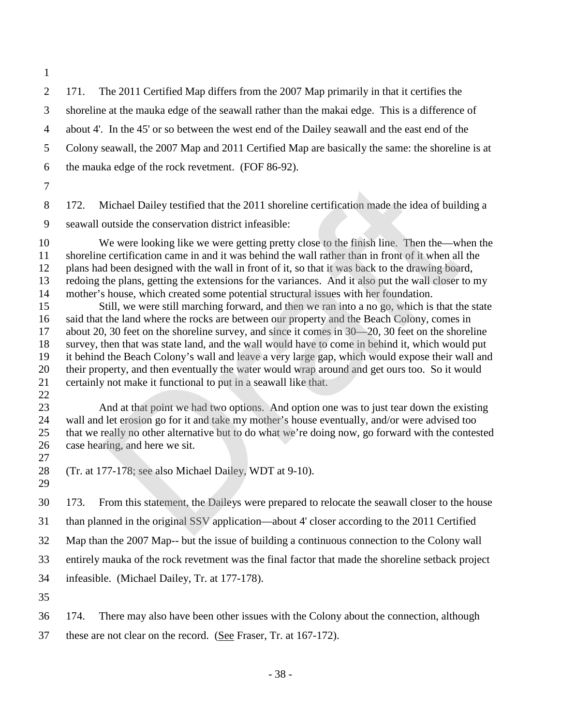171. The 2011 Certified Map differs from the 2007 Map primarily in that it certifies the shoreline at the mauka edge of the seawall rather than the makai edge. This is a difference of about 4'. In the 45' or so between the west end of the Dailey seawall and the east end of the Colony seawall, the 2007 Map and 2011 Certified Map are basically the same: the shoreline is at the mauka edge of the rock revetment. (FOF 86-92).

 172. Michael Dailey testified that the 2011 shoreline certification made the idea of building a seawall outside the conservation district infeasible:

 We were looking like we were getting pretty close to the finish line. Then the—when the shoreline certification came in and it was behind the wall rather than in front of it when all the plans had been designed with the wall in front of it, so that it was back to the drawing board, redoing the plans, getting the extensions for the variances. And it also put the wall closer to my mother's house, which created some potential structural issues with her foundation.

 Still, we were still marching forward, and then we ran into a no go, which is that the state said that the land where the rocks are between our property and the Beach Colony, comes in about 20, 30 feet on the shoreline survey, and since it comes in 30—20, 30 feet on the shoreline survey, then that was state land, and the wall would have to come in behind it, which would put it behind the Beach Colony's wall and leave a very large gap, which would expose their wall and their property, and then eventually the water would wrap around and get ours too. So it would certainly not make it functional to put in a seawall like that. Michael Dailey testified that the 2011 shoreline certification made the idea of build<br>outside the conservation district infeasible:<br>We were looking like we were getting pretty close to the finish line. Then the—wl<br>e certi

 And at that point we had two options. And option one was to just tear down the existing wall and let erosion go for it and take my mother's house eventually, and/or were advised too that we really no other alternative but to do what we're doing now, go forward with the contested case hearing, and here we sit.

(Tr. at 177-178; see also Michael Dailey, WDT at 9-10).

173. From this statement, the Daileys were prepared to relocate the seawall closer to the house

than planned in the original SSV application—about 4' closer according to the 2011 Certified

Map than the 2007 Map-- but the issue of building a continuous connection to the Colony wall

entirely mauka of the rock revetment was the final factor that made the shoreline setback project

- infeasible. (Michael Dailey, Tr. at 177-178).
- 

174. There may also have been other issues with the Colony about the connection, although

these are not clear on the record. (See Fraser, Tr. at 167-172).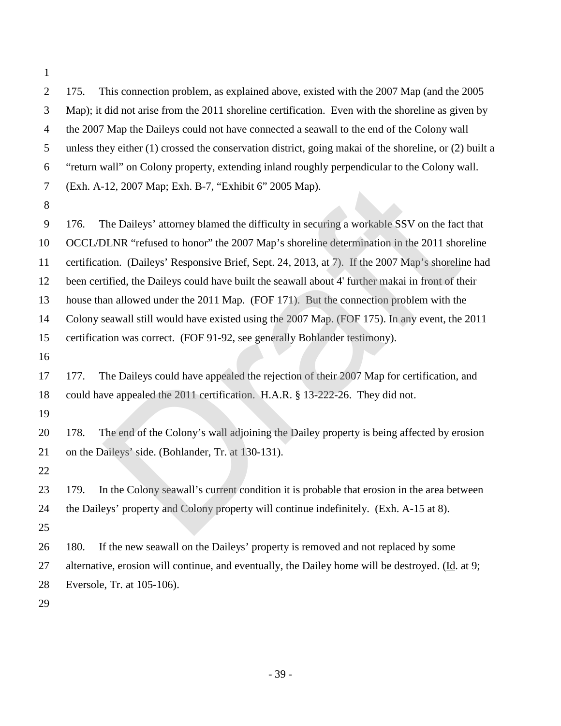the 2007 Map the Daileys could not have connected a seawall to the end of the Colony wall unless they either (1) crossed the conservation district, going makai of the shoreline, or (2) built a "return wall" on Colony property, extending inland roughly perpendicular to the Colony wall. (Exh. A-12, 2007 Map; Exh. B-7, "Exhibit 6" 2005 Map). 176. The Daileys' attorney blamed the difficulty in securing a workable SSV on the fact that OCCL/DLNR "refused to honor" the 2007 Map's shoreline determination in the 2011 shoreline certification. (Daileys' Responsive Brief, Sept. 24, 2013, at 7). If the 2007 Map's shoreline had been certified, the Daileys could have built the seawall about 4' further makai in front of their house than allowed under the 2011 Map. (FOF 171). But the connection problem with the Colony seawall still would have existed using the 2007 Map. (FOF 175). In any event, the 2011 certification was correct. (FOF 91-92, see generally Bohlander testimony). 177. The Daileys could have appealed the rejection of their 2007 Map for certification, and could have appealed the 2011 certification. H.A.R. § 13-222-26. They did not. 178. The end of the Colony's wall adjoining the Dailey property is being affected by erosion on the Daileys' side. (Bohlander, Tr. at 130-131). 179. In the Colony seawall's current condition it is probable that erosion in the area between the Daileys' property and Colony property will continue indefinitely. (Exh. A-15 at 8). 180. If the new seawall on the Daileys' property is removed and not replaced by some -12, 2007 Map; Exh. B-7, "Exhibit 6" 2005 Map).<br>The Daileys' attorney blamed the difficulty in securing a workable SSV on the fact<br>DLNR "refused to honor" the 2007 Map's shoreline determination in the 2011 shot<br>tion. (Dail

175. This connection problem, as explained above, existed with the 2007 Map (and the 2005

Map); it did not arise from the 2011 shoreline certification. Even with the shoreline as given by

 alternative, erosion will continue, and eventually, the Dailey home will be destroyed. (Id. at 9; Eversole, Tr. at 105-106).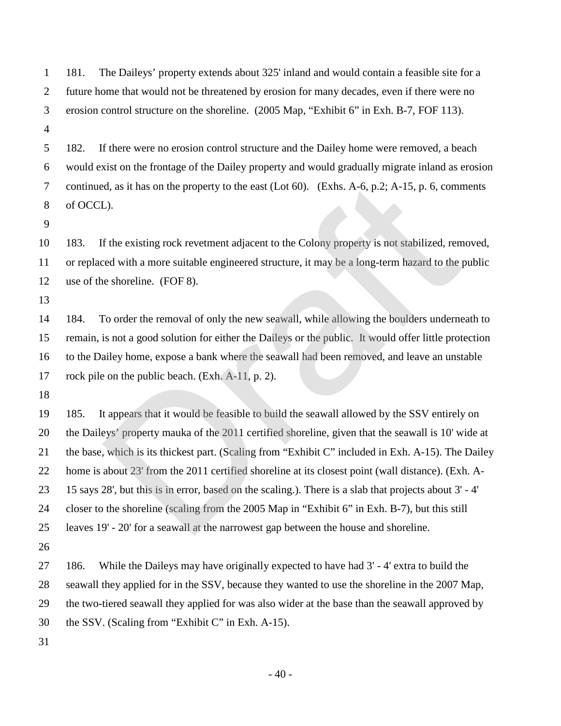181. The Daileys' property extends about 325' inland and would contain a feasible site for a future home that would not be threatened by erosion for many decades, even if there were no erosion control structure on the shoreline. (2005 Map, "Exhibit 6" in Exh. B-7, FOF 113).

 182. If there were no erosion control structure and the Dailey home were removed, a beach would exist on the frontage of the Dailey property and would gradually migrate inland as erosion continued, as it has on the property to the east (Lot 60). (Exhs. A-6, p.2; A-15, p. 6, comments of OCCL).

 183. If the existing rock revetment adjacent to the Colony property is not stabilized, removed, or replaced with a more suitable engineered structure, it may be a long-term hazard to the public use of the shoreline. (FOF 8).

 184. To order the removal of only the new seawall, while allowing the boulders underneath to remain, is not a good solution for either the Daileys or the public. It would offer little protection to the Dailey home, expose a bank where the seawall had been removed, and leave an unstable rock pile on the public beach. (Exh. A-11, p. 2).

 185. It appears that it would be feasible to build the seawall allowed by the SSV entirely on the Daileys' property mauka of the 2011 certified shoreline, given that the seawall is 10' wide at the base, which is its thickest part. (Scaling from "Exhibit C" included in Exh. A-15). The Dailey home is about 23' from the 2011 certified shoreline at its closest point (wall distance). (Exh. A- 15 says 28', but this is in error, based on the scaling.). There is a slab that projects about 3' - 4' closer to the shoreline (scaling from the 2005 Map in "Exhibit 6" in Exh. B-7), but this still leaves 19' - 20' for a seawall at the narrowest gap between the house and shoreline. d, as it has on the property to the east (Lot 60). (Exhs. A-6, p.2; A-15, p. 6, comm<br>
L).<br>
L).<br>
L).<br>
L).<br>
L).<br>
Show the existing rock revetment adjacent to the Colony property is not stabilized, rened with a more suitable

 186. While the Daileys may have originally expected to have had 3' - 4' extra to build the seawall they applied for in the SSV, because they wanted to use the shoreline in the 2007 Map, the two-tiered seawall they applied for was also wider at the base than the seawall approved by the SSV. (Scaling from "Exhibit C" in Exh. A-15).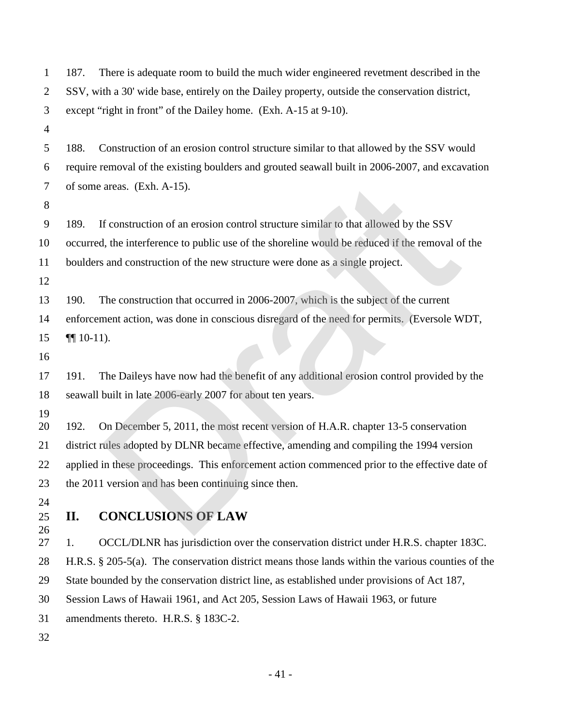| 1                | 187.           | There is adequate room to build the much wider engineered revetment described in the                 |
|------------------|----------------|------------------------------------------------------------------------------------------------------|
| $\overline{2}$   |                | SSV, with a 30' wide base, entirely on the Dailey property, outside the conservation district,       |
| 3                |                | except "right in front" of the Dailey home. (Exh. A-15 at 9-10).                                     |
| $\overline{4}$   |                |                                                                                                      |
| 5                | 188.           | Construction of an erosion control structure similar to that allowed by the SSV would                |
| 6                |                | require removal of the existing boulders and grouted seawall built in 2006-2007, and excavation      |
| 7                |                | of some areas. (Exh. A-15).                                                                          |
| 8                |                |                                                                                                      |
| $\boldsymbol{9}$ | 189.           | If construction of an erosion control structure similar to that allowed by the SSV                   |
| 10               |                | occurred, the interference to public use of the shoreline would be reduced if the removal of the     |
| 11               |                | boulders and construction of the new structure were done as a single project.                        |
| 12               |                |                                                                                                      |
| 13               | 190.           | The construction that occurred in 2006-2007, which is the subject of the current                     |
| 14               |                | enforcement action, was done in conscious disregard of the need for permits. (Eversole WDT,          |
| 15               | $\P\P$ 10-11). |                                                                                                      |
| 16               |                |                                                                                                      |
| 17               | 191.           | The Daileys have now had the benefit of any additional erosion control provided by the               |
| 18               |                | seawall built in late 2006-early 2007 for about ten years.                                           |
| 19               |                |                                                                                                      |
| 20               | 192.           | On December 5, 2011, the most recent version of H.A.R. chapter 13-5 conservation                     |
| 21               |                | district rules adopted by DLNR became effective, amending and compiling the 1994 version             |
| 22               |                | applied in these proceedings. This enforcement action commenced prior to the effective date of       |
| 23               |                | the 2011 version and has been continuing since then.                                                 |
| 24               |                |                                                                                                      |
| 25<br>26         | II.            | <b>CONCLUSIONS OF LAW</b>                                                                            |
| 27               | 1.             | OCCL/DLNR has jurisdiction over the conservation district under H.R.S. chapter 183C.                 |
| 28               |                | H.R.S. $\S$ 205-5(a). The conservation district means those lands within the various counties of the |
| 29               |                | State bounded by the conservation district line, as established under provisions of Act 187,         |
| 30               |                | Session Laws of Hawaii 1961, and Act 205, Session Laws of Hawaii 1963, or future                     |
| 31               |                | amendments thereto. H.R.S. § 183C-2.                                                                 |
| 32               |                |                                                                                                      |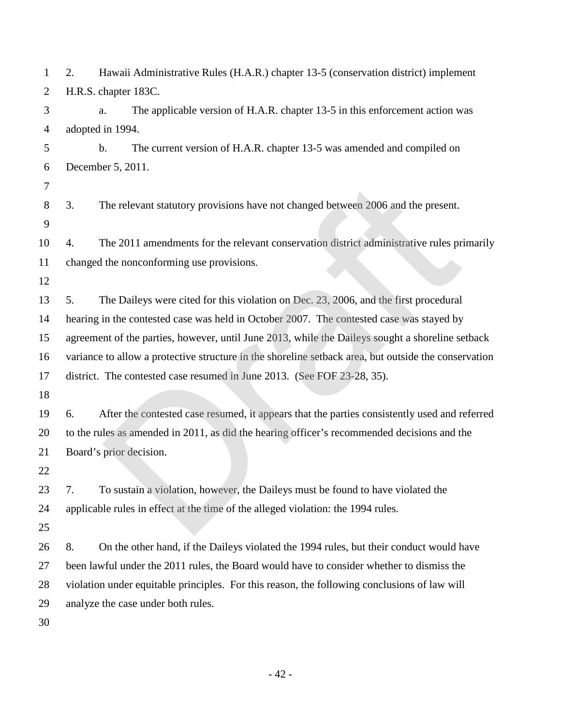| 1              | Hawaii Administrative Rules (H.A.R.) chapter 13-5 (conservation district) implement<br>2.            |
|----------------|------------------------------------------------------------------------------------------------------|
| $\overline{2}$ | H.R.S. chapter 183C.                                                                                 |
| 3              | The applicable version of H.A.R. chapter 13-5 in this enforcement action was<br>a.                   |
| 4              | adopted in 1994.                                                                                     |
| 5              | $b$ .<br>The current version of H.A.R. chapter 13-5 was amended and compiled on                      |
| 6              | December 5, 2011.                                                                                    |
| 7              |                                                                                                      |
| 8              | The relevant statutory provisions have not changed between 2006 and the present.<br>3.               |
| 9              |                                                                                                      |
| 10             | The 2011 amendments for the relevant conservation district administrative rules primarily<br>4.      |
| 11             | changed the nonconforming use provisions.                                                            |
| 12             |                                                                                                      |
| 13             | The Daileys were cited for this violation on Dec. 23, 2006, and the first procedural<br>5.           |
| 14             | hearing in the contested case was held in October 2007. The contested case was stayed by             |
| 15             | agreement of the parties, however, until June 2013, while the Daileys sought a shoreline setback     |
| 16             | variance to allow a protective structure in the shoreline setback area, but outside the conservation |
| 17             | district. The contested case resumed in June 2013. (See FOF 23-28, 35).                              |
| 18             |                                                                                                      |
| 19             | After the contested case resumed, it appears that the parties consistently used and referred<br>6.   |
| 20             | to the rules as amended in 2011, as did the hearing officer's recommended decisions and the          |
| 21             | Board's prior decision.                                                                              |
| 22             |                                                                                                      |
| 23             | To sustain a violation, however, the Daileys must be found to have violated the<br>7.                |
| 24             | applicable rules in effect at the time of the alleged violation: the 1994 rules.                     |
| 25             |                                                                                                      |
| 26             | 8.<br>On the other hand, if the Daileys violated the 1994 rules, but their conduct would have        |
| $27\,$         | been lawful under the 2011 rules, the Board would have to consider whether to dismiss the            |
| 28             | violation under equitable principles. For this reason, the following conclusions of law will         |
| 29             | analyze the case under both rules.                                                                   |
| 30             |                                                                                                      |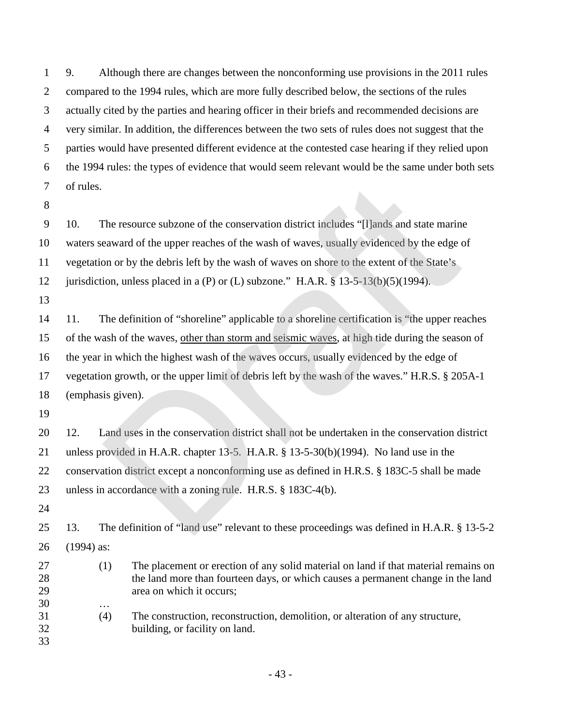9. Although there are changes between the nonconforming use provisions in the 2011 rules compared to the 1994 rules, which are more fully described below, the sections of the rules actually cited by the parties and hearing officer in their briefs and recommended decisions are very similar. In addition, the differences between the two sets of rules does not suggest that the parties would have presented different evidence at the contested case hearing if they relied upon the 1994 rules: the types of evidence that would seem relevant would be the same under both sets of rules.

 10. The resource subzone of the conservation district includes "[l]ands and state marine waters seaward of the upper reaches of the wash of waves, usually evidenced by the edge of vegetation or by the debris left by the wash of waves on shore to the extent of the State's

12 jurisdiction, unless placed in a (P) or (L) subzone." H.A.R. § 13-5-13(b)(5)(1994).

 11. The definition of "shoreline" applicable to a shoreline certification is "the upper reaches of the wash of the waves, other than storm and seismic waves, at high tide during the season of the year in which the highest wash of the waves occurs, usually evidenced by the edge of vegetation growth, or the upper limit of debris left by the wash of the waves." H.R.S. § 205A-1 (emphasis given). The resource subzone of the conservation district includes "[I]ands and state marine a exampled to the upper reaches of the wash of waves, usually evidenced by the edge on or by the debris left by the wash of waves on shor

 12. Land uses in the conservation district shall not be undertaken in the conservation district unless provided in H.A.R. chapter 13-5. H.A.R. § 13-5-30(b)(1994). No land use in the conservation district except a nonconforming use as defined in H.R.S. § 183C-5 shall be made unless in accordance with a zoning rule. H.R.S. § 183C-4(b).

 13. The definition of "land use" relevant to these proceedings was defined in H.A.R. § 13-5-2 (1994) as:

- (1) The placement or erection of any solid material on land if that material remains on the land more than fourteen days, or which causes a permanent change in the land area on which it occurs;
- (4) The construction, reconstruction, demolition, or alteration of any structure, building, or facility on land.
- 

…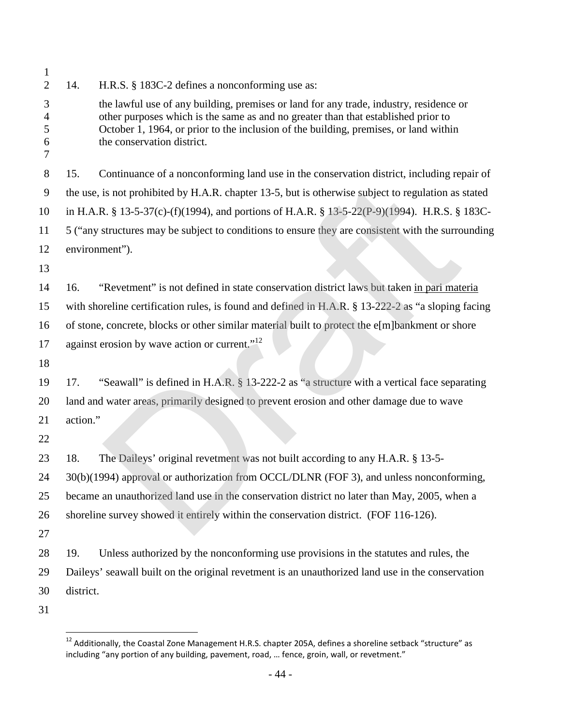| 1                     |                                                                                                    |                                                                                                                                                                                                                                                                                                   |  |  |  |
|-----------------------|----------------------------------------------------------------------------------------------------|---------------------------------------------------------------------------------------------------------------------------------------------------------------------------------------------------------------------------------------------------------------------------------------------------|--|--|--|
| $\overline{2}$        | 14.                                                                                                | H.R.S. § 183C-2 defines a nonconforming use as:                                                                                                                                                                                                                                                   |  |  |  |
| 3<br>4<br>5<br>6<br>7 |                                                                                                    | the lawful use of any building, premises or land for any trade, industry, residence or<br>other purposes which is the same as and no greater than that established prior to<br>October 1, 1964, or prior to the inclusion of the building, premises, or land within<br>the conservation district. |  |  |  |
| 8                     | 15.                                                                                                | Continuance of a nonconforming land use in the conservation district, including repair of                                                                                                                                                                                                         |  |  |  |
| 9                     |                                                                                                    | the use, is not prohibited by H.A.R. chapter 13-5, but is otherwise subject to regulation as stated                                                                                                                                                                                               |  |  |  |
| 10                    |                                                                                                    | in H.A.R. § 13-5-37(c)-(f)(1994), and portions of H.A.R. § 13-5-22(P-9)(1994). H.R.S. § 183C-                                                                                                                                                                                                     |  |  |  |
| 11                    |                                                                                                    | 5 ("any structures may be subject to conditions to ensure they are consistent with the surrounding                                                                                                                                                                                                |  |  |  |
| 12                    |                                                                                                    | environment").                                                                                                                                                                                                                                                                                    |  |  |  |
| 13                    |                                                                                                    |                                                                                                                                                                                                                                                                                                   |  |  |  |
| 14                    | 16.                                                                                                | "Revetment" is not defined in state conservation district laws but taken in pari materia                                                                                                                                                                                                          |  |  |  |
| 15                    | with shoreline certification rules, is found and defined in H.A.R. § 13-222-2 as "a sloping facing |                                                                                                                                                                                                                                                                                                   |  |  |  |
| 16                    | of stone, concrete, blocks or other similar material built to protect the e[m]bankment or shore    |                                                                                                                                                                                                                                                                                                   |  |  |  |
| 17                    |                                                                                                    | against erosion by wave action or current." <sup>12</sup>                                                                                                                                                                                                                                         |  |  |  |
| 18                    |                                                                                                    |                                                                                                                                                                                                                                                                                                   |  |  |  |
| 19                    | 17.                                                                                                | "Seawall" is defined in H.A.R. § 13-222-2 as "a structure with a vertical face separating                                                                                                                                                                                                         |  |  |  |
| 20                    |                                                                                                    | land and water areas, primarily designed to prevent erosion and other damage due to wave                                                                                                                                                                                                          |  |  |  |
| 21                    | action."                                                                                           |                                                                                                                                                                                                                                                                                                   |  |  |  |
| 22                    |                                                                                                    |                                                                                                                                                                                                                                                                                                   |  |  |  |
| 23                    | 18.                                                                                                | The Daileys' original revetment was not built according to any H.A.R. § 13-5-                                                                                                                                                                                                                     |  |  |  |
| 24                    |                                                                                                    | 30(b)(1994) approval or authorization from OCCL/DLNR (FOF 3), and unless nonconforming,                                                                                                                                                                                                           |  |  |  |
| 25                    |                                                                                                    | became an unauthorized land use in the conservation district no later than May, 2005, when a                                                                                                                                                                                                      |  |  |  |
| 26                    |                                                                                                    | shoreline survey showed it entirely within the conservation district. (FOF 116-126).                                                                                                                                                                                                              |  |  |  |
| 27                    |                                                                                                    |                                                                                                                                                                                                                                                                                                   |  |  |  |
| 28                    | 19.                                                                                                | Unless authorized by the nonconforming use provisions in the statutes and rules, the                                                                                                                                                                                                              |  |  |  |
| 29                    |                                                                                                    | Daileys' seawall built on the original revetment is an unauthorized land use in the conservation                                                                                                                                                                                                  |  |  |  |
| 30                    | district.                                                                                          |                                                                                                                                                                                                                                                                                                   |  |  |  |
| 31                    |                                                                                                    |                                                                                                                                                                                                                                                                                                   |  |  |  |

<span id="page-46-0"></span> $^{12}$  Additionally, the Coastal Zone Management H.R.S. chapter 205A, defines a shoreline setback "structure" as including "any portion of any building, pavement, road, … fence, groin, wall, or revetment."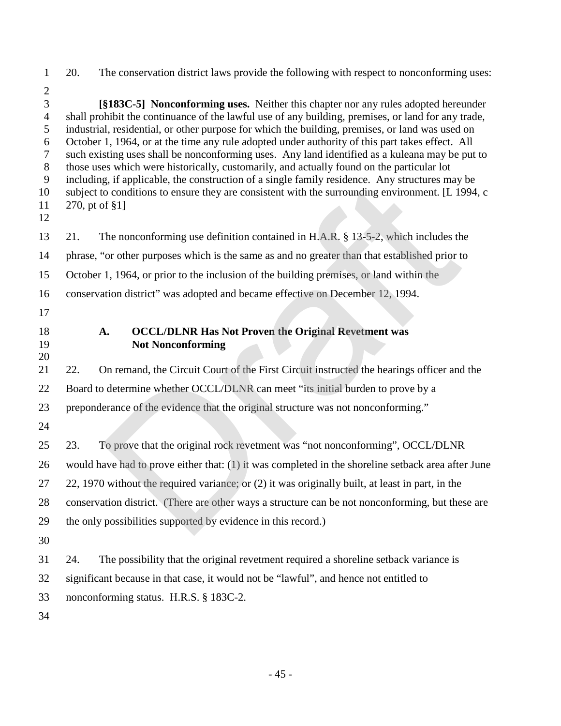- 20. The conservation district laws provide the following with respect to nonconforming uses: **[§183C-5] Nonconforming uses.** Neither this chapter nor any rules adopted hereunder shall prohibit the continuance of the lawful use of any building, premises, or land for any trade, industrial, residential, or other purpose for which the building, premises, or land was used on October 1, 1964, or at the time any rule adopted under authority of this part takes effect. All such existing uses shall be nonconforming uses. Any land identified as a kuleana may be put to those uses which were historically, customarily, and actually found on the particular lot including, if applicable, the construction of a single family residence. Any structures may be subject to conditions to ensure they are consistent with the surrounding environment. [L 1994, c 270, pt of §1] 21. The nonconforming use definition contained in H.A.R. § 13-5-2, which includes the phrase, "or other purposes which is the same as and no greater than that established prior to October 1, 1964, or prior to the inclusion of the building premises, or land within the conservation district" was adopted and became effective on December 12, 1994. **A. OCCL/DLNR Has Not Proven the Original Revetment was Not Nonconforming** 22. On remand, the Circuit Court of the First Circuit instructed the hearings officer and the 22 Board to determine whether OCCL/DLNR can meet "its initial burden to prove by a preponderance of the evidence that the original structure was not nonconforming." 23. To prove that the original rock revetment was "not nonconforming", OCCL/DLNR would have had to prove either that: (1) it was completed in the shoreline setback area after June 27 22, 1970 without the required variance; or (2) it was originally built, at least in part, in the conservation district. (There are other ways a structure can be not nonconforming, but these are the only possibilities supported by evidence in this record.) 24. The possibility that the original revetment required a shoreline setback variance is significant because in that case, it would not be "lawful", and hence not entitled to nonconforming status. H.R.S. § 183C-2. g, if applicable, the construction of a single family residence. Any structures may<br>o conditions to ensure they are consistent with the surrounding environment. [L 19<br>of f §1]<br>The nonconforming use definition contained in
-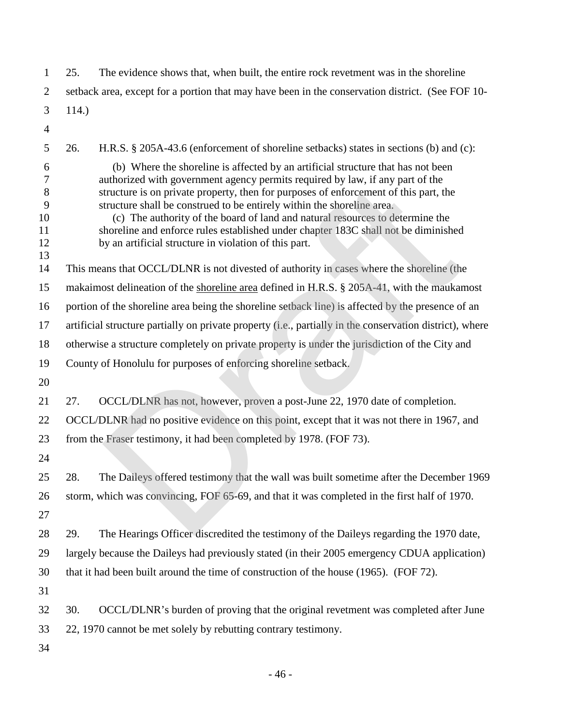| $\mathbf{1}$                             | 25.   | The evidence shows that, when built, the entire rock revetment was in the shoreline                                                                                                                                                                                                                                                                                                                                                                                                                                                                                 |
|------------------------------------------|-------|---------------------------------------------------------------------------------------------------------------------------------------------------------------------------------------------------------------------------------------------------------------------------------------------------------------------------------------------------------------------------------------------------------------------------------------------------------------------------------------------------------------------------------------------------------------------|
| $\overline{2}$                           |       | setback area, except for a portion that may have been in the conservation district. (See FOF 10-                                                                                                                                                                                                                                                                                                                                                                                                                                                                    |
| 3                                        | 114.) |                                                                                                                                                                                                                                                                                                                                                                                                                                                                                                                                                                     |
| $\overline{4}$                           |       |                                                                                                                                                                                                                                                                                                                                                                                                                                                                                                                                                                     |
| 5                                        | 26.   | H.R.S. § 205A-43.6 (enforcement of shoreline setbacks) states in sections (b) and (c):                                                                                                                                                                                                                                                                                                                                                                                                                                                                              |
| 6<br>7<br>8<br>9<br>10<br>11<br>12<br>13 |       | (b) Where the shoreline is affected by an artificial structure that has not been<br>authorized with government agency permits required by law, if any part of the<br>structure is on private property, then for purposes of enforcement of this part, the<br>structure shall be construed to be entirely within the shoreline area.<br>(c) The authority of the board of land and natural resources to determine the<br>shoreline and enforce rules established under chapter 183C shall not be diminished<br>by an artificial structure in violation of this part. |
| 14                                       |       | This means that OCCL/DLNR is not divested of authority in cases where the shoreline (the                                                                                                                                                                                                                                                                                                                                                                                                                                                                            |
| 15                                       |       | makaimost delineation of the shoreline area defined in H.R.S. § 205A-41, with the maukamost                                                                                                                                                                                                                                                                                                                                                                                                                                                                         |
| 16                                       |       | portion of the shoreline area being the shoreline setback line) is affected by the presence of an                                                                                                                                                                                                                                                                                                                                                                                                                                                                   |
| 17                                       |       | artificial structure partially on private property (i.e., partially in the conservation district), where                                                                                                                                                                                                                                                                                                                                                                                                                                                            |
| 18                                       |       | otherwise a structure completely on private property is under the jurisdiction of the City and                                                                                                                                                                                                                                                                                                                                                                                                                                                                      |
| 19                                       |       | County of Honolulu for purposes of enforcing shoreline setback.                                                                                                                                                                                                                                                                                                                                                                                                                                                                                                     |
| 20                                       |       |                                                                                                                                                                                                                                                                                                                                                                                                                                                                                                                                                                     |
| 21                                       | 27.   | OCCL/DLNR has not, however, proven a post-June 22, 1970 date of completion.                                                                                                                                                                                                                                                                                                                                                                                                                                                                                         |
| 22                                       |       | OCCL/DLNR had no positive evidence on this point, except that it was not there in 1967, and                                                                                                                                                                                                                                                                                                                                                                                                                                                                         |
| 23                                       |       | from the Fraser testimony, it had been completed by 1978. (FOF 73).                                                                                                                                                                                                                                                                                                                                                                                                                                                                                                 |
| 24                                       |       |                                                                                                                                                                                                                                                                                                                                                                                                                                                                                                                                                                     |
| 25                                       | 28.   | The Daileys offered testimony that the wall was built sometime after the December 1969                                                                                                                                                                                                                                                                                                                                                                                                                                                                              |
| 26                                       |       | storm, which was convincing, FOF 65-69, and that it was completed in the first half of 1970.                                                                                                                                                                                                                                                                                                                                                                                                                                                                        |
| 27                                       |       |                                                                                                                                                                                                                                                                                                                                                                                                                                                                                                                                                                     |
| 28                                       | 29.   | The Hearings Officer discredited the testimony of the Daileys regarding the 1970 date,                                                                                                                                                                                                                                                                                                                                                                                                                                                                              |
| 29                                       |       | largely because the Daileys had previously stated (in their 2005 emergency CDUA application)                                                                                                                                                                                                                                                                                                                                                                                                                                                                        |
| 30                                       |       | that it had been built around the time of construction of the house (1965). (FOF 72).                                                                                                                                                                                                                                                                                                                                                                                                                                                                               |
| 31                                       |       |                                                                                                                                                                                                                                                                                                                                                                                                                                                                                                                                                                     |
| 32                                       | 30.   | OCCL/DLNR's burden of proving that the original revetment was completed after June                                                                                                                                                                                                                                                                                                                                                                                                                                                                                  |
| 33                                       |       | 22, 1970 cannot be met solely by rebutting contrary testimony.                                                                                                                                                                                                                                                                                                                                                                                                                                                                                                      |
| 34                                       |       |                                                                                                                                                                                                                                                                                                                                                                                                                                                                                                                                                                     |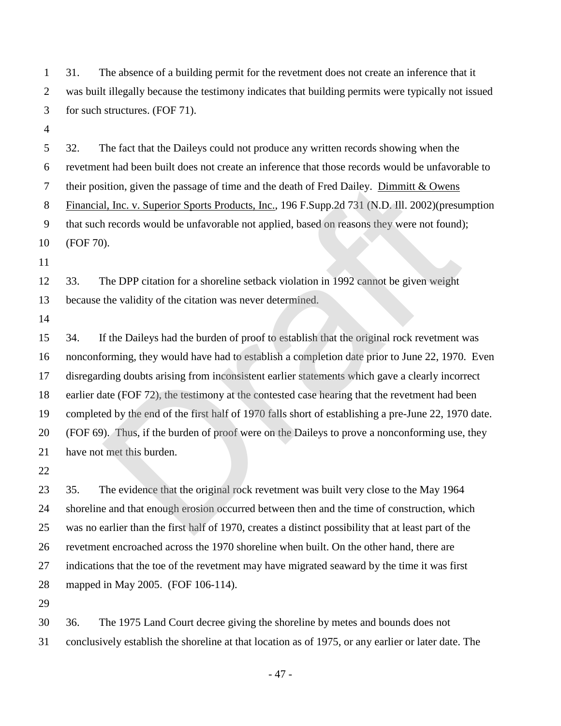31. The absence of a building permit for the revetment does not create an inference that it was built illegally because the testimony indicates that building permits were typically not issued for such structures. (FOF 71).

 32. The fact that the Daileys could not produce any written records showing when the revetment had been built does not create an inference that those records would be unfavorable to their position, given the passage of time and the death of Fred Dailey. Dimmitt & Owens Financial, Inc. v. Superior Sports Products, Inc., 196 F.Supp.2d 731 (N.D. Ill. 2002)(presumption that such records would be unfavorable not applied, based on reasons they were not found); (FOF 70).

 33. The DPP citation for a shoreline setback violation in 1992 cannot be given weight because the validity of the citation was never determined.

 34. If the Daileys had the burden of proof to establish that the original rock revetment was nonconforming, they would have had to establish a completion date prior to June 22, 1970. Even disregarding doubts arising from inconsistent earlier statements which gave a clearly incorrect earlier date (FOF 72), the testimony at the contested case hearing that the revetment had been completed by the end of the first half of 1970 falls short of establishing a pre-June 22, 1970 date. (FOF 69). Thus, if the burden of proof were on the Daileys to prove a nonconforming use, they have not met this burden. ition, given the passage of time and the death of Fred Dailey. <u>Dimmitt & Owens<br>
II, Inc. v. Superior Sports Products, Inc.</u>, 196 F.Supp.2d 731 (N.D. III. 2002)(presu<br>
1. Inc. v. Superior Sports Products, Inc., 196 F.Supp.

 35. The evidence that the original rock revetment was built very close to the May 1964 shoreline and that enough erosion occurred between then and the time of construction, which was no earlier than the first half of 1970, creates a distinct possibility that at least part of the revetment encroached across the 1970 shoreline when built. On the other hand, there are indications that the toe of the revetment may have migrated seaward by the time it was first mapped in May 2005. (FOF 106-114).

 36. The 1975 Land Court decree giving the shoreline by metes and bounds does not conclusively establish the shoreline at that location as of 1975, or any earlier or later date. The

- 47 -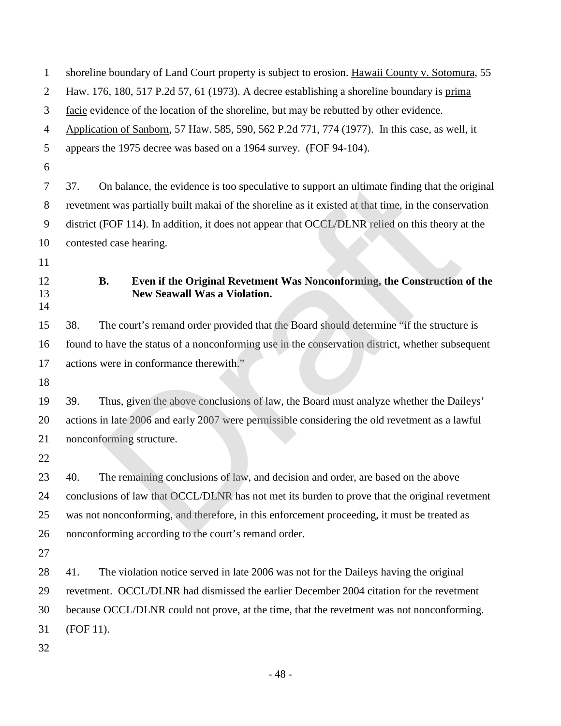| 1              | shoreline boundary of Land Court property is subject to erosion. Hawaii County v. Sotomura, 55 |           |                                                                                                                  |  |
|----------------|------------------------------------------------------------------------------------------------|-----------|------------------------------------------------------------------------------------------------------------------|--|
| $\overline{2}$ | Haw. 176, 180, 517 P.2d 57, 61 (1973). A decree establishing a shoreline boundary is prima     |           |                                                                                                                  |  |
| 3              | facie evidence of the location of the shoreline, but may be rebutted by other evidence.        |           |                                                                                                                  |  |
| 4              |                                                                                                |           | Application of Sanborn, 57 Haw. 585, 590, 562 P.2d 771, 774 (1977). In this case, as well, it                    |  |
| 5              |                                                                                                |           | appears the 1975 decree was based on a 1964 survey. (FOF 94-104).                                                |  |
| 6              |                                                                                                |           |                                                                                                                  |  |
| 7              | 37.                                                                                            |           | On balance, the evidence is too speculative to support an ultimate finding that the original                     |  |
| 8              |                                                                                                |           | revetment was partially built makai of the shoreline as it existed at that time, in the conservation             |  |
| 9              |                                                                                                |           | district (FOF 114). In addition, it does not appear that OCCL/DLNR relied on this theory at the                  |  |
| 10             |                                                                                                |           | contested case hearing.                                                                                          |  |
| 11             |                                                                                                |           |                                                                                                                  |  |
| 12<br>13<br>14 |                                                                                                | <b>B.</b> | Even if the Original Revetment Was Nonconforming, the Construction of the<br><b>New Seawall Was a Violation.</b> |  |
| 15             | 38.                                                                                            |           | The court's remand order provided that the Board should determine "if the structure is                           |  |
| 16             |                                                                                                |           | found to have the status of a nonconforming use in the conservation district, whether subsequent                 |  |
| 17             |                                                                                                |           | actions were in conformance therewith."                                                                          |  |
| 18             |                                                                                                |           |                                                                                                                  |  |
| 19             | 39.                                                                                            |           | Thus, given the above conclusions of law, the Board must analyze whether the Daileys'                            |  |
| 20             |                                                                                                |           | actions in late 2006 and early 2007 were permissible considering the old revetment as a lawful                   |  |
| 21             | nonconforming structure.                                                                       |           |                                                                                                                  |  |
| 22             |                                                                                                |           |                                                                                                                  |  |
| 23             | 40.                                                                                            |           | The remaining conclusions of law, and decision and order, are based on the above                                 |  |
| 24             |                                                                                                |           | conclusions of law that OCCL/DLNR has not met its burden to prove that the original revetment                    |  |
| 25             | was not nonconforming, and therefore, in this enforcement proceeding, it must be treated as    |           |                                                                                                                  |  |
| 26             |                                                                                                |           | nonconforming according to the court's remand order.                                                             |  |
| 27             |                                                                                                |           |                                                                                                                  |  |
| 28             | 41.                                                                                            |           | The violation notice served in late 2006 was not for the Daileys having the original                             |  |
| 29             |                                                                                                |           | revetment. OCCL/DLNR had dismissed the earlier December 2004 citation for the revetment                          |  |
| 30             |                                                                                                |           | because OCCL/DLNR could not prove, at the time, that the revetment was not nonconforming.                        |  |
| 31             | (FOF 11).                                                                                      |           |                                                                                                                  |  |
| 32             |                                                                                                |           |                                                                                                                  |  |

- 48 -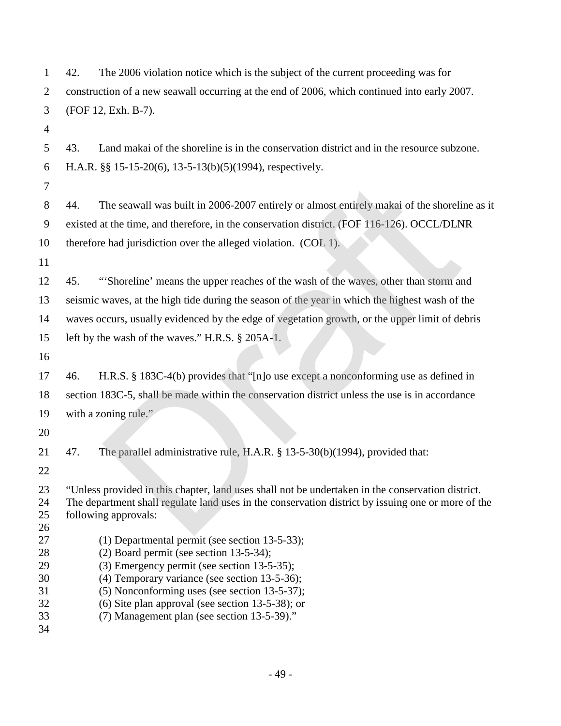| $\mathbf{1}$                                 | 42.<br>The 2006 violation notice which is the subject of the current proceeding was for                                                                                                                                                                                                                                                               |
|----------------------------------------------|-------------------------------------------------------------------------------------------------------------------------------------------------------------------------------------------------------------------------------------------------------------------------------------------------------------------------------------------------------|
| $\overline{c}$                               | construction of a new seawall occurring at the end of 2006, which continued into early 2007.                                                                                                                                                                                                                                                          |
| 3                                            | (FOF 12, Exh. B-7).                                                                                                                                                                                                                                                                                                                                   |
| $\overline{4}$                               |                                                                                                                                                                                                                                                                                                                                                       |
| 5                                            | 43.<br>Land makai of the shoreline is in the conservation district and in the resource subzone.                                                                                                                                                                                                                                                       |
| 6                                            | H.A.R. §§ 15-15-20(6), 13-5-13(b)(5)(1994), respectively.                                                                                                                                                                                                                                                                                             |
| 7                                            |                                                                                                                                                                                                                                                                                                                                                       |
| 8                                            | The seawall was built in 2006-2007 entirely or almost entirely makai of the shoreline as it<br>44.                                                                                                                                                                                                                                                    |
| 9                                            | existed at the time, and therefore, in the conservation district. (FOF 116-126). OCCL/DLNR                                                                                                                                                                                                                                                            |
| 10                                           | therefore had jurisdiction over the alleged violation. (COL 1).                                                                                                                                                                                                                                                                                       |
| 11                                           |                                                                                                                                                                                                                                                                                                                                                       |
| 12                                           | "Shoreline' means the upper reaches of the wash of the waves, other than storm and<br>45.                                                                                                                                                                                                                                                             |
| 13                                           | seismic waves, at the high tide during the season of the year in which the highest wash of the                                                                                                                                                                                                                                                        |
| 14                                           | waves occurs, usually evidenced by the edge of vegetation growth, or the upper limit of debris                                                                                                                                                                                                                                                        |
| 15                                           | left by the wash of the waves." H.R.S. $\S$ 205A-1.                                                                                                                                                                                                                                                                                                   |
| 16                                           |                                                                                                                                                                                                                                                                                                                                                       |
| 17                                           | H.R.S. $\S$ 183C-4(b) provides that "[n]o use except a nonconforming use as defined in<br>46.                                                                                                                                                                                                                                                         |
| 18                                           | section 183C-5, shall be made within the conservation district unless the use is in accordance                                                                                                                                                                                                                                                        |
| 19                                           | with a zoning rule."                                                                                                                                                                                                                                                                                                                                  |
| 20                                           |                                                                                                                                                                                                                                                                                                                                                       |
| 21                                           | 47.<br>The parallel administrative rule, H.A.R. § 13-5-30(b)(1994), provided that:                                                                                                                                                                                                                                                                    |
| 22                                           |                                                                                                                                                                                                                                                                                                                                                       |
| 23<br>24<br>25<br>26                         | "Unless provided in this chapter, land uses shall not be undertaken in the conservation district.<br>The department shall regulate land uses in the conservation district by issuing one or more of the<br>following approvals:                                                                                                                       |
| 27<br>28<br>29<br>30<br>31<br>32<br>33<br>34 | $(1)$ Departmental permit (see section 13-5-33);<br>$(2)$ Board permit (see section 13-5-34);<br>$(3)$ Emergency permit (see section 13-5-35);<br>(4) Temporary variance (see section 13-5-36);<br>(5) Nonconforming uses (see section 13-5-37);<br>$(6)$ Site plan approval (see section 13-5-38); or<br>(7) Management plan (see section 13-5-39)." |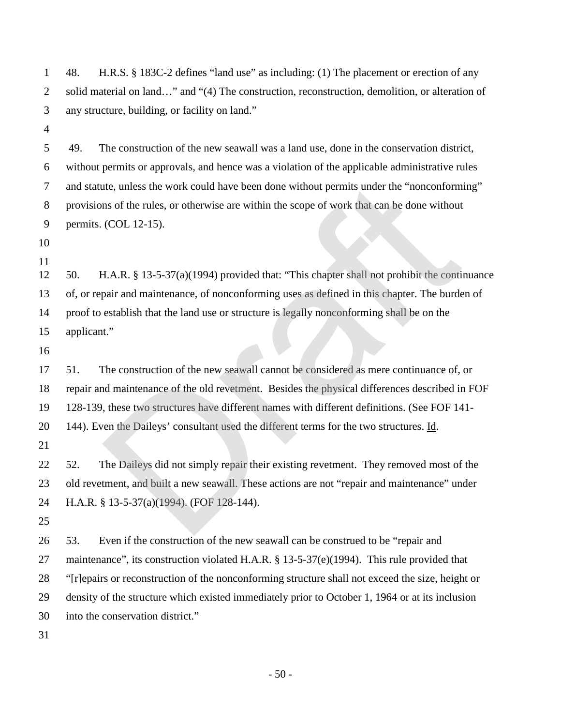48. H.R.S. § 183C-2 defines "land use" as including: (1) The placement or erection of any 2 solid material on land…" and "(4) The construction, reconstruction, demolition, or alteration of any structure, building, or facility on land."

 49. The construction of the new seawall was a land use, done in the conservation district, without permits or approvals, and hence was a violation of the applicable administrative rules and statute, unless the work could have been done without permits under the "nonconforming" provisions of the rules, or otherwise are within the scope of work that can be done without permits. (COL 12-15).

 

 50. H.A.R. § 13-5-37(a)(1994) provided that: "This chapter shall not prohibit the continuance of, or repair and maintenance, of nonconforming uses as defined in this chapter. The burden of proof to establish that the land use or structure is legally nonconforming shall be on the applicant."

 51. The construction of the new seawall cannot be considered as mere continuance of, or repair and maintenance of the old revetment. Besides the physical differences described in FOF 128-139, these two structures have different names with different definitions. (See FOF 141- 20 144). Even the Daileys' consultant used the different terms for the two structures. Id. the, unless the work could have been done without permits under the "nonconform<br>ns of the rules, or otherwise are within the scope of work that can be done without<br>(COL 12-15).<br>H.A.R. § 13-5-37(a)(1994) provided that: "Th

22 52. The Daileys did not simply repair their existing revetment. They removed most of the old revetment, and built a new seawall. These actions are not "repair and maintenance" under H.A.R. § 13-5-37(a)(1994). (FOF 128-144).

 53. Even if the construction of the new seawall can be construed to be "repair and 27 maintenance", its construction violated H.A.R. § 13-5-37(e)(1994). This rule provided that "[r]epairs or reconstruction of the nonconforming structure shall not exceed the size, height or density of the structure which existed immediately prior to October 1, 1964 or at its inclusion into the conservation district."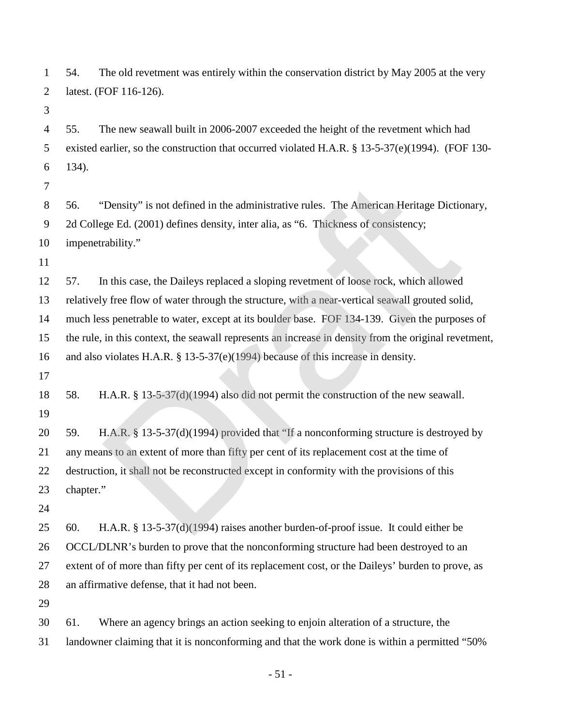54. The old revetment was entirely within the conservation district by May 2005 at the very latest. (FOF 116-126).

 55. The new seawall built in 2006-2007 exceeded the height of the revetment which had existed earlier, so the construction that occurred violated H.A.R. § 13-5-37(e)(1994). (FOF 130- 134).

 56. "Density" is not defined in the administrative rules. The American Heritage Dictionary, 2d College Ed. (2001) defines density, inter alia, as "6. Thickness of consistency; impenetrability."

 57. In this case, the Daileys replaced a sloping revetment of loose rock, which allowed relatively free flow of water through the structure, with a near-vertical seawall grouted solid, much less penetrable to water, except at its boulder base. FOF 134-139. Given the purposes of the rule, in this context, the seawall represents an increase in density from the original revetment, and also violates H.A.R. § 13-5-37(e)(1994) because of this increase in density. "Density" is not defined in the administrative rules. The American Heritage Dictic<br>ge Ed. (2001) defines density, inter alia, as "6. Thickness of consistency;<br>rability."<br>n this case, the Daileys replaced a sloping revertm

 58. H.A.R. § 13-5-37(d)(1994) also did not permit the construction of the new seawall. 

 59. H.A.R. § 13-5-37(d)(1994) provided that "If a nonconforming structure is destroyed by any means to an extent of more than fifty per cent of its replacement cost at the time of destruction, it shall not be reconstructed except in conformity with the provisions of this chapter."

 60. H.A.R. § 13-5-37(d)(1994) raises another burden-of-proof issue. It could either be OCCL/DLNR's burden to prove that the nonconforming structure had been destroyed to an extent of of more than fifty per cent of its replacement cost, or the Daileys' burden to prove, as an affirmative defense, that it had not been.

 61. Where an agency brings an action seeking to enjoin alteration of a structure, the landowner claiming that it is nonconforming and that the work done is within a permitted "50%

- 51 -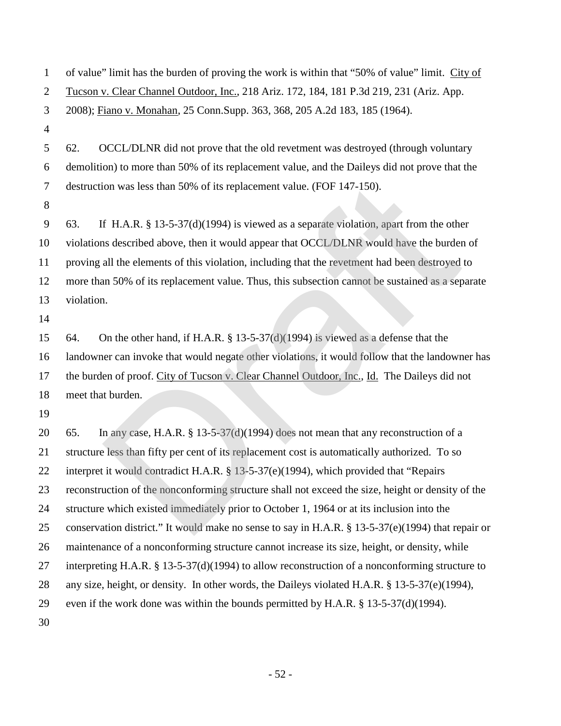| $\mathbf{1}$   | of value" limit has the burden of proving the work is within that "50% of value" limit. City of      |
|----------------|------------------------------------------------------------------------------------------------------|
| $\overline{2}$ | Tucson v. Clear Channel Outdoor, Inc., 218 Ariz. 172, 184, 181 P.3d 219, 231 (Ariz. App.             |
| 3              | 2008); Fiano v. Monahan, 25 Conn. Supp. 363, 368, 205 A.2d 183, 185 (1964).                          |
| $\overline{4}$ |                                                                                                      |
| 5              | 62.<br>OCCL/DLNR did not prove that the old revetment was destroyed (through voluntary               |
| 6              | demolition) to more than 50% of its replacement value, and the Daileys did not prove that the        |
| 7              | destruction was less than 50% of its replacement value. (FOF 147-150).                               |
| 8              |                                                                                                      |
| 9              | If H.A.R. $\S$ 13-5-37(d)(1994) is viewed as a separate violation, apart from the other<br>63.       |
| 10             | violations described above, then it would appear that OCCL/DLNR would have the burden of             |
| 11             | proving all the elements of this violation, including that the revetment had been destroyed to       |
| 12             | more than 50% of its replacement value. Thus, this subsection cannot be sustained as a separate      |
| 13             | violation.                                                                                           |
| 14             |                                                                                                      |
| 15             | On the other hand, if H.A.R. § 13-5-37(d)(1994) is viewed as a defense that the<br>64.               |
| 16             | landowner can invoke that would negate other violations, it would follow that the landowner has      |
| 17             | the burden of proof. City of Tucson v. Clear Channel Outdoor, Inc., Id. The Daileys did not          |
| 18             | meet that burden.                                                                                    |
| 19             |                                                                                                      |
| 20             | In any case, H.A.R. $\S$ 13-5-37(d)(1994) does not mean that any reconstruction of a<br>65.          |
| 21             | structure less than fifty per cent of its replacement cost is automatically authorized. To so        |
| 22             | interpret it would contradict H.A.R. § 13-5-37(e)(1994), which provided that "Repairs                |
| 23             | reconstruction of the nonconforming structure shall not exceed the size, height or density of the    |
| 24             | structure which existed immediately prior to October 1, 1964 or at its inclusion into the            |
| 25             | conservation district." It would make no sense to say in H.A.R. $\S$ 13-5-37(e)(1994) that repair or |
| 26             | maintenance of a nonconforming structure cannot increase its size, height, or density, while         |
| 27             | interpreting H.A.R. $\S$ 13-5-37(d)(1994) to allow reconstruction of a nonconforming structure to    |
| 28             | any size, height, or density. In other words, the Daileys violated H.A.R. § 13-5-37(e)(1994),        |
| 29             | even if the work done was within the bounds permitted by H.A.R. $\S$ 13-5-37(d)(1994).               |
| 30             |                                                                                                      |

- 52 -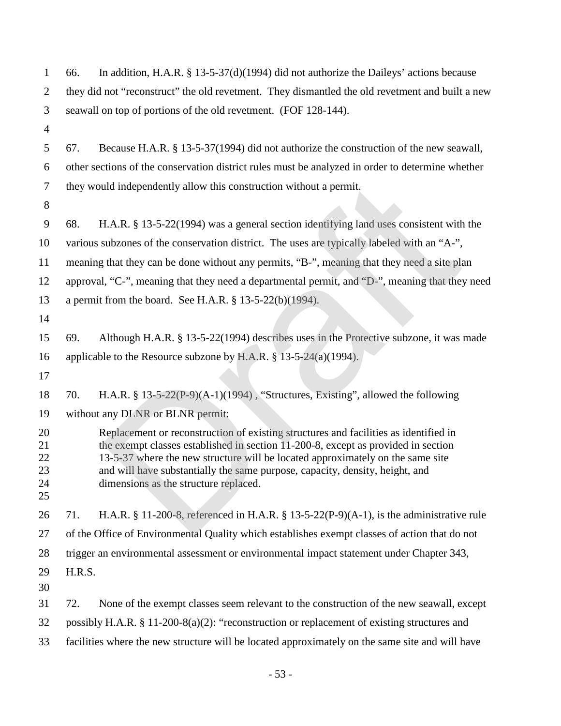| $\mathbf{1}$                     | 66.                                                                                             | In addition, H.A.R. $\S$ 13-5-37(d)(1994) did not authorize the Daileys' actions because                                                                                                                                                                                                                                                                                             |  |  |  |
|----------------------------------|-------------------------------------------------------------------------------------------------|--------------------------------------------------------------------------------------------------------------------------------------------------------------------------------------------------------------------------------------------------------------------------------------------------------------------------------------------------------------------------------------|--|--|--|
| $\overline{2}$                   | they did not "reconstruct" the old revetment. They dismantled the old revetment and built a new |                                                                                                                                                                                                                                                                                                                                                                                      |  |  |  |
| 3                                | seawall on top of portions of the old revetment. (FOF 128-144).                                 |                                                                                                                                                                                                                                                                                                                                                                                      |  |  |  |
| $\overline{4}$                   |                                                                                                 |                                                                                                                                                                                                                                                                                                                                                                                      |  |  |  |
| 5                                | 67.                                                                                             | Because H.A.R. § 13-5-37(1994) did not authorize the construction of the new seawall,                                                                                                                                                                                                                                                                                                |  |  |  |
| 6                                |                                                                                                 | other sections of the conservation district rules must be analyzed in order to determine whether                                                                                                                                                                                                                                                                                     |  |  |  |
| 7                                |                                                                                                 | they would independently allow this construction without a permit.                                                                                                                                                                                                                                                                                                                   |  |  |  |
| 8                                |                                                                                                 |                                                                                                                                                                                                                                                                                                                                                                                      |  |  |  |
| 9                                | 68.                                                                                             | H.A.R. § 13-5-22(1994) was a general section identifying land uses consistent with the                                                                                                                                                                                                                                                                                               |  |  |  |
| 10                               |                                                                                                 | various subzones of the conservation district. The uses are typically labeled with an "A-",                                                                                                                                                                                                                                                                                          |  |  |  |
| 11                               |                                                                                                 | meaning that they can be done without any permits, "B-", meaning that they need a site plan                                                                                                                                                                                                                                                                                          |  |  |  |
| 12                               |                                                                                                 | approval, "C-", meaning that they need a departmental permit, and "D-", meaning that they need                                                                                                                                                                                                                                                                                       |  |  |  |
| 13                               |                                                                                                 | a permit from the board. See H.A.R. $\S$ 13-5-22(b)(1994).                                                                                                                                                                                                                                                                                                                           |  |  |  |
| 14                               |                                                                                                 |                                                                                                                                                                                                                                                                                                                                                                                      |  |  |  |
| 15                               | 69.                                                                                             | Although H.A.R. § 13-5-22(1994) describes uses in the Protective subzone, it was made                                                                                                                                                                                                                                                                                                |  |  |  |
| 16                               |                                                                                                 | applicable to the Resource subzone by H.A.R. $\frac{8}{3}$ 13-5-24(a)(1994).                                                                                                                                                                                                                                                                                                         |  |  |  |
| 17                               |                                                                                                 |                                                                                                                                                                                                                                                                                                                                                                                      |  |  |  |
| 18                               | 70.                                                                                             | H.A.R. $\S$ 13-5-22(P-9)(A-1)(1994), "Structures, Existing", allowed the following                                                                                                                                                                                                                                                                                                   |  |  |  |
| 19                               |                                                                                                 | without any DLNR or BLNR permit:                                                                                                                                                                                                                                                                                                                                                     |  |  |  |
| 20<br>21<br>22<br>23<br>24<br>25 |                                                                                                 | Replacement or reconstruction of existing structures and facilities as identified in<br>the exempt classes established in section 11-200-8, except as provided in section<br>13-5-37 where the new structure will be located approximately on the same site<br>and will have substantially the same purpose, capacity, density, height, and<br>dimensions as the structure replaced. |  |  |  |
| 26                               | 71.                                                                                             | H.A.R. § 11-200-8, referenced in H.A.R. § 13-5-22(P-9)(A-1), is the administrative rule                                                                                                                                                                                                                                                                                              |  |  |  |
| 27                               |                                                                                                 | of the Office of Environmental Quality which establishes exempt classes of action that do not                                                                                                                                                                                                                                                                                        |  |  |  |
| 28                               |                                                                                                 | trigger an environmental assessment or environmental impact statement under Chapter 343,                                                                                                                                                                                                                                                                                             |  |  |  |
| 29<br>30                         | H.R.S.                                                                                          |                                                                                                                                                                                                                                                                                                                                                                                      |  |  |  |
| 31                               | 72.                                                                                             | None of the exempt classes seem relevant to the construction of the new seawall, except                                                                                                                                                                                                                                                                                              |  |  |  |
| 32                               | possibly H.A.R. $\S 11-200-8(a)(2)$ : "reconstruction or replacement of existing structures and |                                                                                                                                                                                                                                                                                                                                                                                      |  |  |  |
| 33                               | facilities where the new structure will be located approximately on the same site and will have |                                                                                                                                                                                                                                                                                                                                                                                      |  |  |  |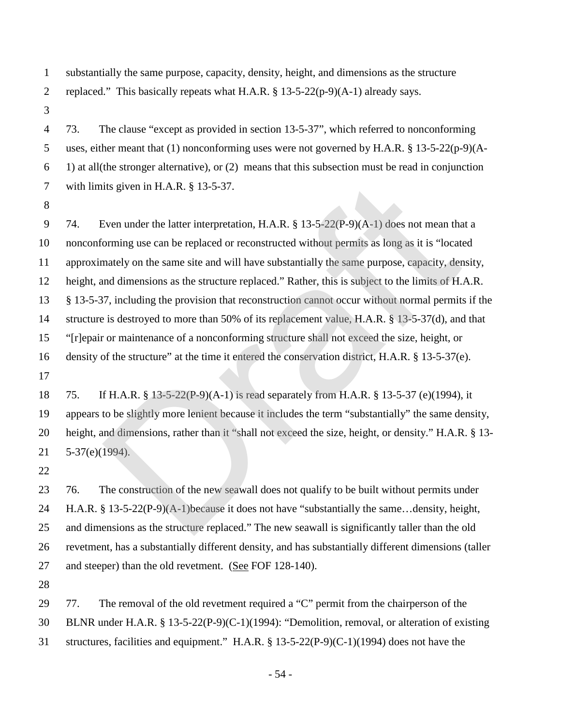- substantially the same purpose, capacity, density, height, and dimensions as the structure replaced." This basically repeats what H.A.R. § 13-5-22(p-9)(A-1) already says.
- 

 73. The clause "except as provided in section 13-5-37", which referred to nonconforming uses, either meant that (1) nonconforming uses were not governed by H.A.R. § 13-5-22(p-9)(A- 1) at all(the stronger alternative), or (2) means that this subsection must be read in conjunction with limits given in H.A.R. § 13-5-37.

 74. Even under the latter interpretation, H.A.R. § 13-5-22(P-9)(A-1) does not mean that a nonconforming use can be replaced or reconstructed without permits as long as it is "located approximately on the same site and will have substantially the same purpose, capacity, density, height, and dimensions as the structure replaced." Rather, this is subject to the limits of H.A.R. § 13-5-37, including the provision that reconstruction cannot occur without normal permits if the structure is destroyed to more than 50% of its replacement value, H.A.R. § 13-5-37(d), and that "[r]epair or maintenance of a nonconforming structure shall not exceed the size, height, or density of the structure" at the time it entered the conservation district, H.A.R. § 13-5-37(e). its given in H.A.R. § 13-5-37.<br>
Siven under the latter interpretation, H.A.R. § 13-5-22(P-9)(A-1) does not mean the<br>
orming use can be replaced or reconstructed without permits as long as it is "locate<br>
mately on the same

 75. If H.A.R. § 13-5-22(P-9)(A-1) is read separately from H.A.R. § 13-5-37 (e)(1994), it appears to be slightly more lenient because it includes the term "substantially" the same density, height, and dimensions, rather than it "shall not exceed the size, height, or density." H.A.R. § 13- 5-37(e)(1994).

23 76. The construction of the new seawall does not qualify to be built without permits under H.A.R. § 13-5-22(P-9)(A-1)because it does not have "substantially the same…density, height, and dimensions as the structure replaced." The new seawall is significantly taller than the old revetment, has a substantially different density, and has substantially different dimensions (taller and steeper) than the old revetment. (See FOF 128-140).

77. The removal of the old revetment required a "C" permit from the chairperson of the

BLNR under H.A.R. § 13-5-22(P-9)(C-1)(1994): "Demolition, removal, or alteration of existing

structures, facilities and equipment." H.A.R. § 13-5-22(P-9)(C-1)(1994) does not have the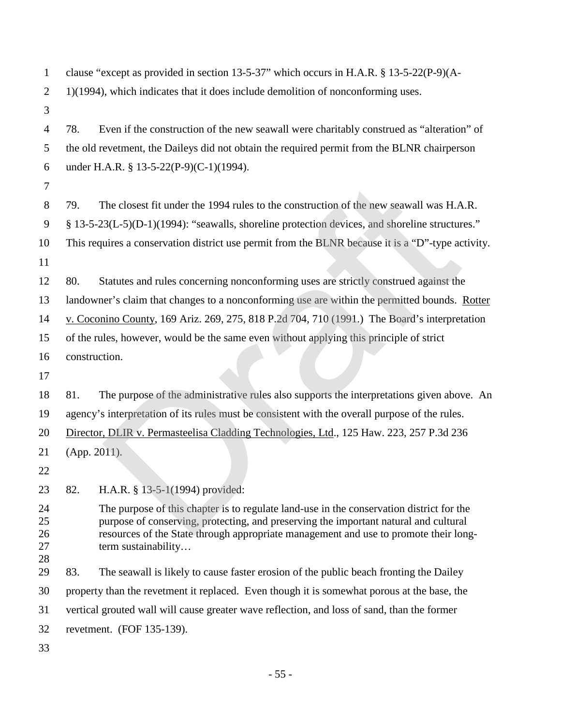clause "except as provided in section 13-5-37" which occurs in H.A.R. § 13-5-22(P-9)(A-2 1)(1994), which indicates that it does include demolition of nonconforming uses. 78. Even if the construction of the new seawall were charitably construed as "alteration" of the old revetment, the Daileys did not obtain the required permit from the BLNR chairperson under H.A.R. § 13-5-22(P-9)(C-1)(1994). 79. The closest fit under the 1994 rules to the construction of the new seawall was H.A.R. § 13-5-23(L-5)(D-1)(1994): "seawalls, shoreline protection devices, and shoreline structures." This requires a conservation district use permit from the BLNR because it is a "D"-type activity. 80. Statutes and rules concerning nonconforming uses are strictly construed against the landowner's claim that changes to a nonconforming use are within the permitted bounds. Rotter v. Coconino County, 169 Ariz. 269, 275, 818 P.2d 704, 710 (1991.) The Board's interpretation of the rules, however, would be the same even without applying this principle of strict construction. 81. The purpose of the administrative rules also supports the interpretations given above. An agency's interpretation of its rules must be consistent with the overall purpose of the rules. Director, DLIR v. Permasteelisa Cladding Technologies, Ltd., 125 Haw. 223, 257 P.3d 236 (App. 2011). 82. H.A.R. § 13-5-1(1994) provided: The purpose of this chapter is to regulate land-use in the conservation district for the purpose of conserving, protecting, and preserving the important natural and cultural resources of the State through appropriate management and use to promote their long-27 term sustainability… 83. The seawall is likely to cause faster erosion of the public beach fronting the Dailey property than the revetment it replaced. Even though it is somewhat porous at the base, the vertical grouted wall will cause greater wave reflection, and loss of sand, than the former revetment. (FOF 135-139). The closest fit under the 1994 rules to the construction of the new seawall was H.A<br>3(L-5)(D-1)(1994): "seawalls, shoreline protection devices, and shoreline structur<br>uires a conservation district use permit from the BLNR

- 55 -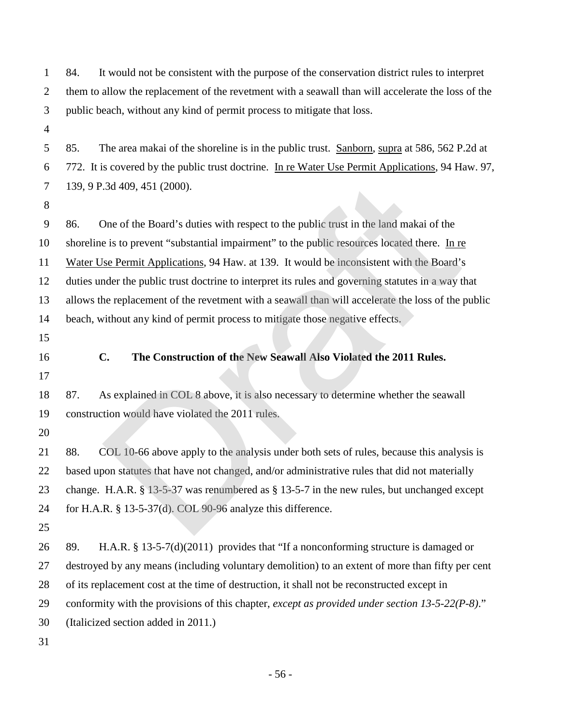| 1              | It would not be consistent with the purpose of the conservation district rules to interpret<br>84. |
|----------------|----------------------------------------------------------------------------------------------------|
| $\overline{2}$ | them to allow the replacement of the revetment with a seawall than will accelerate the loss of the |
| 3              | public beach, without any kind of permit process to mitigate that loss.                            |
| 4              |                                                                                                    |
| 5              | 85.<br>The area makai of the shoreline is in the public trust. Sanborn, supra at 586, 562 P.2d at  |
| 6              | 772. It is covered by the public trust doctrine. In re Water Use Permit Applications, 94 Haw. 97,  |
| 7              | 139, 9 P.3d 409, 451 (2000).                                                                       |
| $8\,$          |                                                                                                    |
| 9              | One of the Board's duties with respect to the public trust in the land makai of the<br>86.         |
| 10             | shoreline is to prevent "substantial impairment" to the public resources located there. In re      |
| 11             | Water Use Permit Applications, 94 Haw. at 139. It would be inconsistent with the Board's           |
| 12             | duties under the public trust doctrine to interpret its rules and governing statutes in a way that |
| 13             | allows the replacement of the revetment with a seawall than will accelerate the loss of the public |
| 14             | beach, without any kind of permit process to mitigate those negative effects.                      |
| 15             |                                                                                                    |
|                |                                                                                                    |
| 16             | The Construction of the New Seawall Also Violated the 2011 Rules.<br>$C_{\bullet}$                 |
| 17             |                                                                                                    |
| 18             | As explained in COL 8 above, it is also necessary to determine whether the seawall<br>87.          |
| 19             | construction would have violated the 2011 rules.                                                   |
| 20             |                                                                                                    |
| 21             | COL 10-66 above apply to the analysis under both sets of rules, because this analysis is<br>88.    |
| 22             | based upon statutes that have not changed, and/or administrative rules that did not materially     |
| 23             | change. H.A.R. $\S$ 13-5-37 was renumbered as $\S$ 13-5-7 in the new rules, but unchanged except   |
| 24             | for H.A.R. $\S$ 13-5-37(d). COL 90-96 analyze this difference.                                     |
|                |                                                                                                    |
|                | H.A.R. $\S$ 13-5-7(d)(2011) provides that "If a nonconforming structure is damaged or<br>89.       |
| 25<br>26<br>27 | destroyed by any means (including voluntary demolition) to an extent of more than fifty per cent   |
| 28             | of its replacement cost at the time of destruction, it shall not be reconstructed except in        |
| 29             | conformity with the provisions of this chapter, except as provided under section $13-5-22(P-8)$ ." |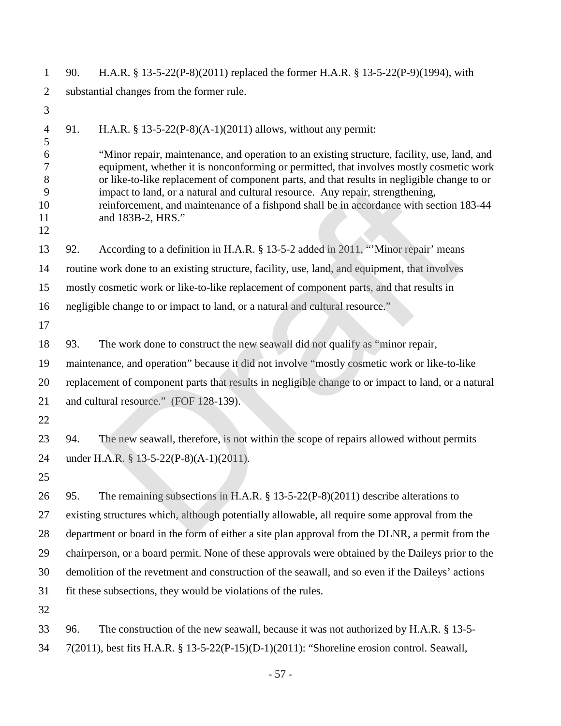| 1                                  | 90.                                       | H.A.R. § 13-5-22(P-8)(2011) replaced the former H.A.R. § 13-5-22(P-9)(1994), with                                                                                                                                                                                                                                                                                                                                                                                                        |  |  |  |
|------------------------------------|-------------------------------------------|------------------------------------------------------------------------------------------------------------------------------------------------------------------------------------------------------------------------------------------------------------------------------------------------------------------------------------------------------------------------------------------------------------------------------------------------------------------------------------------|--|--|--|
| $\overline{2}$                     | substantial changes from the former rule. |                                                                                                                                                                                                                                                                                                                                                                                                                                                                                          |  |  |  |
| 3                                  |                                           |                                                                                                                                                                                                                                                                                                                                                                                                                                                                                          |  |  |  |
| $\overline{4}$<br>5                | 91.                                       | H.A.R. § 13-5-22(P-8)(A-1)(2011) allows, without any permit:                                                                                                                                                                                                                                                                                                                                                                                                                             |  |  |  |
| 6<br>7<br>8<br>9<br>10<br>11<br>12 |                                           | "Minor repair, maintenance, and operation to an existing structure, facility, use, land, and<br>equipment, whether it is nonconforming or permitted, that involves mostly cosmetic work<br>or like-to-like replacement of component parts, and that results in negligible change to or<br>impact to land, or a natural and cultural resource. Any repair, strengthening,<br>reinforcement, and maintenance of a fishpond shall be in accordance with section 183-44<br>and 183B-2, HRS." |  |  |  |
| 13                                 | 92.                                       | According to a definition in H.A.R. § 13-5-2 added in 2011, "Minor repair' means                                                                                                                                                                                                                                                                                                                                                                                                         |  |  |  |
| 14                                 |                                           | routine work done to an existing structure, facility, use, land, and equipment, that involves                                                                                                                                                                                                                                                                                                                                                                                            |  |  |  |
| 15                                 |                                           | mostly cosmetic work or like-to-like replacement of component parts, and that results in                                                                                                                                                                                                                                                                                                                                                                                                 |  |  |  |
| 16                                 |                                           | negligible change to or impact to land, or a natural and cultural resource."                                                                                                                                                                                                                                                                                                                                                                                                             |  |  |  |
| 17                                 |                                           |                                                                                                                                                                                                                                                                                                                                                                                                                                                                                          |  |  |  |
| 18                                 | 93.                                       | The work done to construct the new seawall did not qualify as "minor repair,                                                                                                                                                                                                                                                                                                                                                                                                             |  |  |  |
| 19                                 |                                           | maintenance, and operation" because it did not involve "mostly cosmetic work or like-to-like                                                                                                                                                                                                                                                                                                                                                                                             |  |  |  |
| 20                                 |                                           | replacement of component parts that results in negligible change to or impact to land, or a natural                                                                                                                                                                                                                                                                                                                                                                                      |  |  |  |
| 21                                 |                                           | and cultural resource." (FOF 128-139).                                                                                                                                                                                                                                                                                                                                                                                                                                                   |  |  |  |
| 22                                 |                                           |                                                                                                                                                                                                                                                                                                                                                                                                                                                                                          |  |  |  |
| 23                                 | 94.                                       | The new seawall, therefore, is not within the scope of repairs allowed without permits                                                                                                                                                                                                                                                                                                                                                                                                   |  |  |  |
| 24                                 |                                           | under H.A.R. § 13-5-22(P-8)(A-1)(2011).                                                                                                                                                                                                                                                                                                                                                                                                                                                  |  |  |  |
| 25                                 |                                           |                                                                                                                                                                                                                                                                                                                                                                                                                                                                                          |  |  |  |
| 26                                 | 95.                                       | The remaining subsections in H.A.R. $\S$ 13-5-22(P-8)(2011) describe alterations to                                                                                                                                                                                                                                                                                                                                                                                                      |  |  |  |
| 27                                 |                                           | existing structures which, although potentially allowable, all require some approval from the                                                                                                                                                                                                                                                                                                                                                                                            |  |  |  |
| 28                                 |                                           | department or board in the form of either a site plan approval from the DLNR, a permit from the                                                                                                                                                                                                                                                                                                                                                                                          |  |  |  |
| 29                                 |                                           | chairperson, or a board permit. None of these approvals were obtained by the Daileys prior to the                                                                                                                                                                                                                                                                                                                                                                                        |  |  |  |
| 30                                 |                                           | demolition of the revetment and construction of the seawall, and so even if the Daileys' actions                                                                                                                                                                                                                                                                                                                                                                                         |  |  |  |
| 31                                 |                                           | fit these subsections, they would be violations of the rules.                                                                                                                                                                                                                                                                                                                                                                                                                            |  |  |  |
| 32                                 |                                           |                                                                                                                                                                                                                                                                                                                                                                                                                                                                                          |  |  |  |
| 33                                 | 96.                                       | The construction of the new seawall, because it was not authorized by H.A.R. § 13-5-                                                                                                                                                                                                                                                                                                                                                                                                     |  |  |  |
| 34                                 |                                           | 7(2011), best fits H.A.R. § 13-5-22(P-15)(D-1)(2011): "Shoreline erosion control. Seawall,                                                                                                                                                                                                                                                                                                                                                                                               |  |  |  |

- 57 -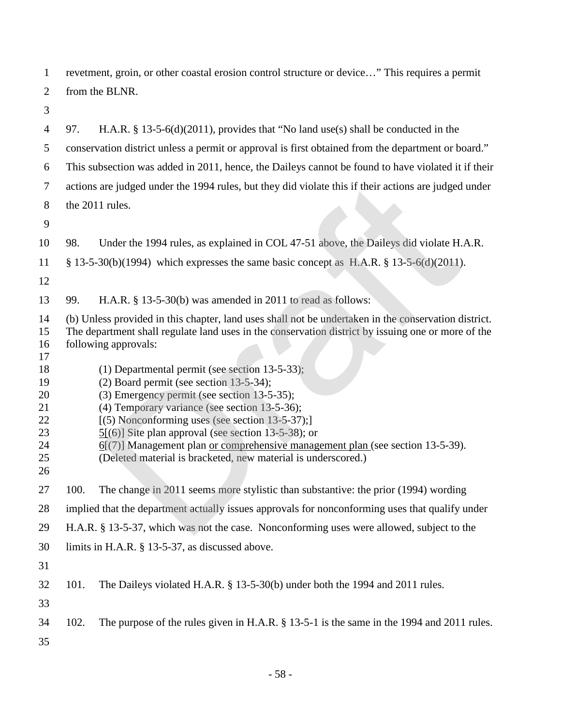revetment, groin, or other coastal erosion control structure or device…" This requires a permit from the BLNR.

 97. H.A.R. § 13-5-6(d)(2011), provides that "No land use(s) shall be conducted in the conservation district unless a permit or approval is first obtained from the department or board." This subsection was added in 2011, hence, the Daileys cannot be found to have violated it if their actions are judged under the 1994 rules, but they did violate this if their actions are judged under the 2011 rules. 98. Under the 1994 rules, as explained in COL 47-51 above, the Daileys did violate H.A.R. § 13-5-30(b)(1994) which expresses the same basic concept as H.A.R. § 13-5-6(d)(2011). 99. H.A.R. § 13-5-30(b) was amended in 2011 to read as follows: (b) Unless provided in this chapter, land uses shall not be undertaken in the conservation district. The department shall regulate land uses in the conservation district by issuing one or more of the following approvals: 18 (1) Departmental permit (see section 13-5-33); (2) Board permit (see section 13-5-34); (3) Emergency permit (see section 13-5-35); (4) Temporary variance (see section 13-5-36); 22 [(5) Nonconforming uses (see section 13-5-37);] 23 5[(6)] Site plan approval (see section 13-5-38); or 6[(7)] Management plan or comprehensive management plan (see section 13-5-39). (Deleted material is bracketed, new material is underscored.) 100. The change in 2011 seems more stylistic than substantive: the prior (1994) wording implied that the department actually issues approvals for nonconforming uses that qualify under H.A.R. § 13-5-37, which was not the case. Nonconforming uses were allowed, subject to the limits in H.A.R. § 13-5-37, as discussed above. 101. The Daileys violated H.A.R. § 13-5-30(b) under both the 1994 and 2011 rules. 102. The purpose of the rules given in H.A.R. § 13-5-1 is the same in the 1994 and 2011 rules. are judged under the 1994 rules, but they did violate this if their actions are judged<br>
rules.<br>
Drafter the 1994 rules, as explained in COL 47-51 above, the Daileys did violate H.<br>
0(b)(1994) which expresses the same basi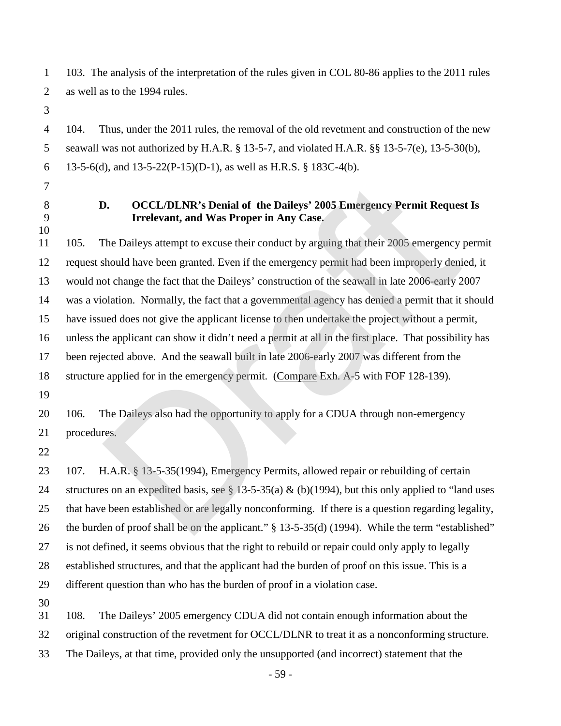103. The analysis of the interpretation of the rules given in COL 80-86 applies to the 2011 rules as well as to the 1994 rules.

 104. Thus, under the 2011 rules, the removal of the old revetment and construction of the new seawall was not authorized by H.A.R. § 13-5-7, and violated H.A.R. §§ 13-5-7(e), 13-5-30(b), 6 13-5-6(d), and  $13-5-22(P-15)(D-1)$ , as well as H.R.S. § 183C-4(b).

- 
- 

### **D. OCCL/DLNR's Denial of the Daileys' 2005 Emergency Permit Request Is Irrelevant, and Was Proper in Any Case.**

 105. The Daileys attempt to excuse their conduct by arguing that their 2005 emergency permit request should have been granted. Even if the emergency permit had been improperly denied, it would not change the fact that the Daileys' construction of the seawall in late 2006-early 2007 was a violation. Normally, the fact that a governmental agency has denied a permit that it should have issued does not give the applicant license to then undertake the project without a permit, unless the applicant can show it didn't need a permit at all in the first place. That possibility has been rejected above. And the seawall built in late 2006-early 2007 was different from the structure applied for in the emergency permit. (Compare Exh. A-5 with FOF 128-139). **D.** OCCL/DLNR's Denial of the Daileys' 2005 Emergency Permit Requester Irrelevant, and Was Proper in Any Case.<br>The Daileys attempt to excuse their conduct by arguing that their 2005 emergency should have been granted. Ev

20 106. The Daileys also had the opportunity to apply for a CDUA through non-emergency procedures.

 107. H.A.R. § 13-5-35(1994), Emergency Permits, allowed repair or rebuilding of certain structures on an expedited basis, see § 13-5-35(a) & (b)(1994), but this only applied to "land uses that have been established or are legally nonconforming. If there is a question regarding legality, the burden of proof shall be on the applicant." § 13-5-35(d) (1994). While the term "established" is not defined, it seems obvious that the right to rebuild or repair could only apply to legally established structures, and that the applicant had the burden of proof on this issue. This is a different question than who has the burden of proof in a violation case.

108. The Daileys' 2005 emergency CDUA did not contain enough information about the

original construction of the revetment for OCCL/DLNR to treat it as a nonconforming structure.

The Daileys, at that time, provided only the unsupported (and incorrect) statement that the

- 59 -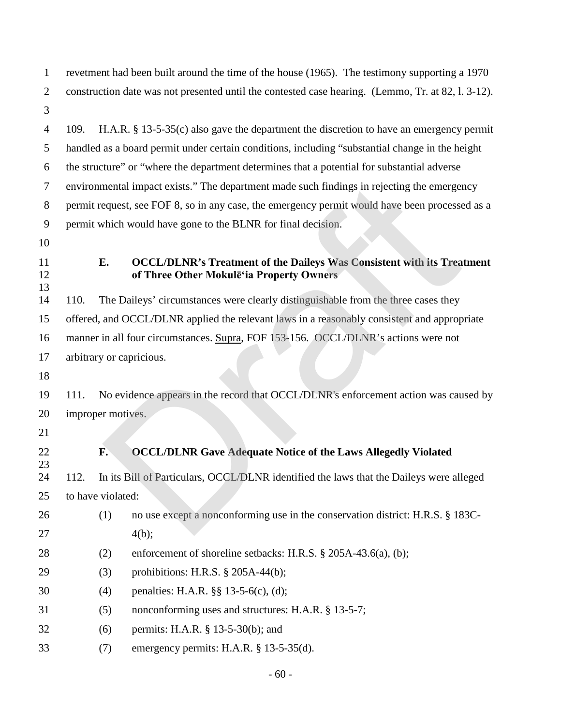revetment had been built around the time of the house (1965). The testimony supporting a 1970 construction date was not presented until the contested case hearing. (Lemmo, Tr. at 82, l. 3-12). 

 109. H.A.R. § 13-5-35(c) also gave the department the discretion to have an emergency permit handled as a board permit under certain conditions, including "substantial change in the height the structure" or "where the department determines that a potential for substantial adverse environmental impact exists." The department made such findings in rejecting the emergency permit request, see FOF 8, so in any case, the emergency permit would have been processed as a permit which would have gone to the BLNR for final decision.

- 
- 

### **E. OCCL/DLNR's Treatment of the Daileys Was Consistent with its Treatment of Three Other Mokulē'ia Property Owners**

 110. The Daileys' circumstances were clearly distinguishable from the three cases they offered, and OCCL/DLNR applied the relevant laws in a reasonably consistent and appropriate manner in all four circumstances. Supra, FOF 153-156. OCCL/DLNR's actions were not arbitrary or capricious. 19 111. No evidence appears in the record that OCCL/DLNR's enforcement action was caused by mental impact exists." The department made such findings in rejecting the emerge<br>equest, see FOF 8, so in any case, the emergency permit would have been processe<br>which would have gone to the BLNR for final decision.<br>
E.<br>

- improper motives.
- 

## **F. OCCL/DLNR Gave Adequate Notice of the Laws Allegedly Violated**

 112. In its Bill of Particulars, OCCL/DLNR identified the laws that the Daileys were alleged to have violated:

- (1) no use except a nonconforming use in the conservation district: H.R.S. § 183C-27  $4(b)$ ;
- 28 (2) enforcement of shoreline setbacks: H.R.S. § 205A-43.6(a), (b);
- (3) prohibitions: H.R.S. § 205A-44(b);
- (4) penalties: H.A.R. §§ 13-5-6(c), (d);
- (5) nonconforming uses and structures: H.A.R. § 13-5-7;
- (6) permits: H.A.R. § 13-5-30(b); and
- (7) emergency permits: H.A.R. § 13-5-35(d).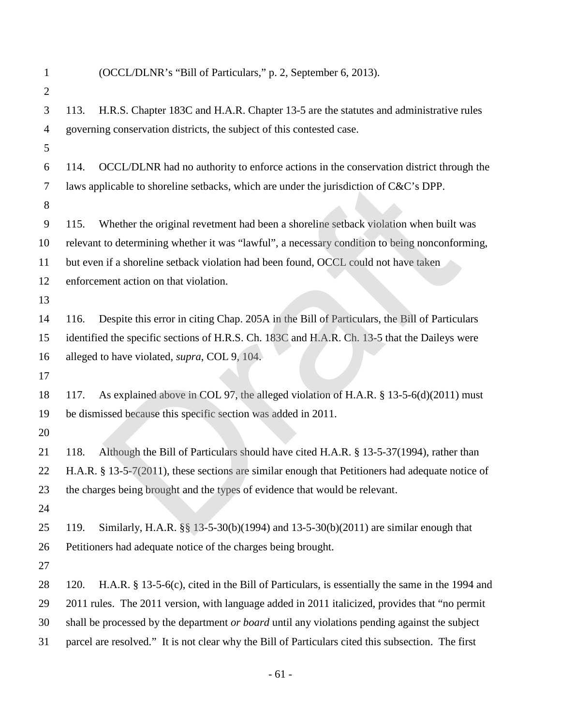| $\mathbf{1}$   | (OCCL/DLNR's "Bill of Particulars," p. 2, September 6, 2013).                                            |  |  |  |  |
|----------------|----------------------------------------------------------------------------------------------------------|--|--|--|--|
| $\overline{2}$ |                                                                                                          |  |  |  |  |
| 3              | H.R.S. Chapter 183C and H.A.R. Chapter 13-5 are the statutes and administrative rules<br>113.            |  |  |  |  |
| $\overline{4}$ | governing conservation districts, the subject of this contested case.                                    |  |  |  |  |
| 5              |                                                                                                          |  |  |  |  |
| 6              | OCCL/DLNR had no authority to enforce actions in the conservation district through the<br>114.           |  |  |  |  |
| 7              | laws applicable to shoreline setbacks, which are under the jurisdiction of C&C's DPP.                    |  |  |  |  |
| 8              |                                                                                                          |  |  |  |  |
| 9              | Whether the original revetment had been a shoreline setback violation when built was<br>115.             |  |  |  |  |
| 10             | relevant to determining whether it was "lawful", a necessary condition to being nonconforming,           |  |  |  |  |
| 11             | but even if a shoreline setback violation had been found, OCCL could not have taken                      |  |  |  |  |
| 12             | enforcement action on that violation.                                                                    |  |  |  |  |
| 13             |                                                                                                          |  |  |  |  |
| 14             | Despite this error in citing Chap. 205A in the Bill of Particulars, the Bill of Particulars<br>116.      |  |  |  |  |
| 15             | identified the specific sections of H.R.S. Ch. 183C and H.A.R. Ch. 13-5 that the Daileys were            |  |  |  |  |
| 16             | alleged to have violated, supra, COL 9, 104.                                                             |  |  |  |  |
| 17             |                                                                                                          |  |  |  |  |
| 18             | As explained above in COL 97, the alleged violation of H.A.R. § 13-5-6(d)(2011) must<br>117.             |  |  |  |  |
| 19             | be dismissed because this specific section was added in 2011.                                            |  |  |  |  |
| 20             |                                                                                                          |  |  |  |  |
| 21             | Although the Bill of Particulars should have cited H.A.R. § 13-5-37(1994), rather than<br>118.           |  |  |  |  |
| 22             | H.A.R. $§$ 13-5-7(2011), these sections are similar enough that Petitioners had adequate notice of       |  |  |  |  |
| 23             | the charges being brought and the types of evidence that would be relevant.                              |  |  |  |  |
| 24             |                                                                                                          |  |  |  |  |
| 25             | Similarly, H.A.R. §§ 13-5-30(b)(1994) and 13-5-30(b)(2011) are similar enough that<br>119.               |  |  |  |  |
| 26             | Petitioners had adequate notice of the charges being brought.                                            |  |  |  |  |
| 27             |                                                                                                          |  |  |  |  |
| 28             | H.A.R. $\S$ 13-5-6(c), cited in the Bill of Particulars, is essentially the same in the 1994 and<br>120. |  |  |  |  |
| 29             | 2011 rules. The 2011 version, with language added in 2011 italicized, provides that "no permit"          |  |  |  |  |
| 30             | shall be processed by the department or board until any violations pending against the subject           |  |  |  |  |
| 31             | parcel are resolved." It is not clear why the Bill of Particulars cited this subsection. The first       |  |  |  |  |

- 61 -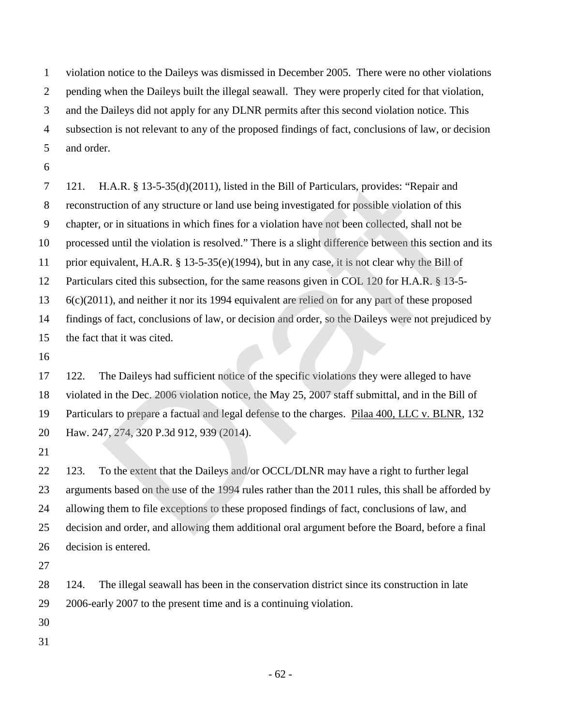violation notice to the Daileys was dismissed in December 2005. There were no other violations pending when the Daileys built the illegal seawall. They were properly cited for that violation, and the Daileys did not apply for any DLNR permits after this second violation notice. This subsection is not relevant to any of the proposed findings of fact, conclusions of law, or decision and order.

 121. H.A.R. § 13-5-35(d)(2011), listed in the Bill of Particulars, provides: "Repair and reconstruction of any structure or land use being investigated for possible violation of this chapter, or in situations in which fines for a violation have not been collected, shall not be processed until the violation is resolved." There is a slight difference between this section and its prior equivalent, H.A.R. § 13-5-35(e)(1994), but in any case, it is not clear why the Bill of Particulars cited this subsection, for the same reasons given in COL 120 for H.A.R. § 13-5- 6(c)(2011), and neither it nor its 1994 equivalent are relied on for any part of these proposed findings of fact, conclusions of law, or decision and order, so the Daileys were not prejudiced by the fact that it was cited. H.A.R. § 13-5-35(d)(2011), listed in the Bill of Particulars, provides: "Repair and<br>uction of any structure or land use being investigated for possible violation of this<br>or in situations in which fines for a violation hav

 122. The Daileys had sufficient notice of the specific violations they were alleged to have violated in the Dec. 2006 violation notice, the May 25, 2007 staff submittal, and in the Bill of Particulars to prepare a factual and legal defense to the charges. Pilaa 400, LLC v. BLNR, 132 Haw. 247, 274, 320 P.3d 912, 939 (2014).

22 123. To the extent that the Daileys and/or OCCL/DLNR may have a right to further legal arguments based on the use of the 1994 rules rather than the 2011 rules, this shall be afforded by allowing them to file exceptions to these proposed findings of fact, conclusions of law, and decision and order, and allowing them additional oral argument before the Board, before a final decision is entered.

 124. The illegal seawall has been in the conservation district since its construction in late 2006-early 2007 to the present time and is a continuing violation.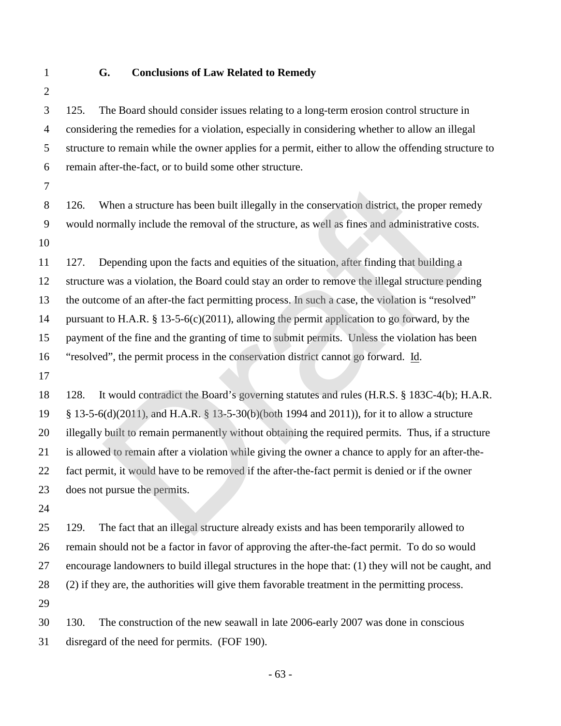### **G. Conclusions of Law Related to Remedy**

 125. The Board should consider issues relating to a long-term erosion control structure in considering the remedies for a violation, especially in considering whether to allow an illegal structure to remain while the owner applies for a permit, either to allow the offending structure to remain after-the-fact, or to build some other structure.

 126. When a structure has been built illegally in the conservation district, the proper remedy would normally include the removal of the structure, as well as fines and administrative costs. 

 127. Depending upon the facts and equities of the situation, after finding that building a structure was a violation, the Board could stay an order to remove the illegal structure pending the outcome of an after-the fact permitting process. In such a case, the violation is "resolved" pursuant to H.A.R. § 13-5-6(c)(2011), allowing the permit application to go forward, by the payment of the fine and the granting of time to submit permits. Unless the violation has been "resolved", the permit process in the conservation district cannot go forward. Id. When a structure has been built illegally in the conservation district, the proper renormally include the removal of the structure, as well as fines and administrative co<br>Depending upon the facts and equities of the situat

- 128. It would contradict the Board's governing statutes and rules (H.R.S. § 183C-4(b); H.A.R. § 13-5-6(d)(2011), and H.A.R. § 13-5-30(b)(both 1994 and 2011)), for it to allow a structure illegally built to remain permanently without obtaining the required permits. Thus, if a structure is allowed to remain after a violation while giving the owner a chance to apply for an after-the- fact permit, it would have to be removed if the after-the-fact permit is denied or if the owner does not pursue the permits.
- 

 129. The fact that an illegal structure already exists and has been temporarily allowed to remain should not be a factor in favor of approving the after-the-fact permit. To do so would encourage landowners to build illegal structures in the hope that: (1) they will not be caught, and (2) if they are, the authorities will give them favorable treatment in the permitting process. 

 130. The construction of the new seawall in late 2006-early 2007 was done in conscious disregard of the need for permits. (FOF 190).

- 63 -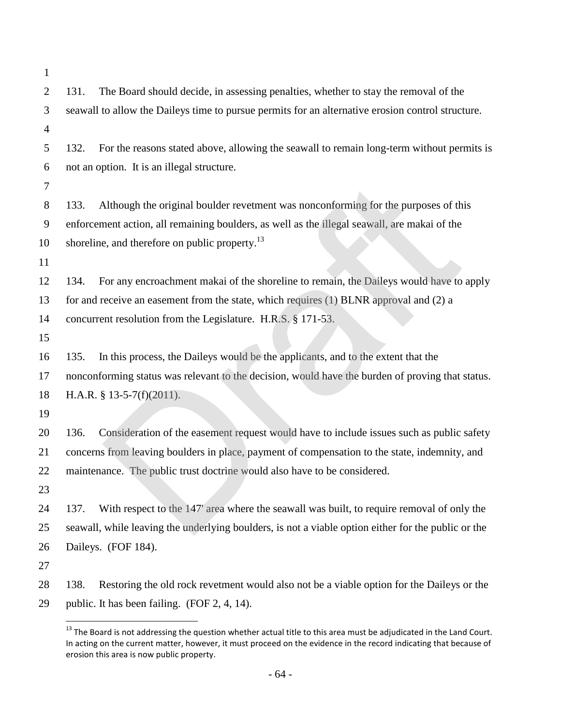| $\mathbf{1}$   |                                                                                                     |
|----------------|-----------------------------------------------------------------------------------------------------|
| $\overline{2}$ | The Board should decide, in assessing penalties, whether to stay the removal of the<br>131.         |
| 3              | seawall to allow the Daileys time to pursue permits for an alternative erosion control structure.   |
| 4              |                                                                                                     |
| 5              | For the reasons stated above, allowing the seawall to remain long-term without permits is<br>132.   |
| 6              | not an option. It is an illegal structure.                                                          |
| 7              |                                                                                                     |
| 8              | Although the original boulder revetment was nonconforming for the purposes of this<br>133.          |
| 9              | enforcement action, all remaining boulders, as well as the illegal seawall, are makai of the        |
| 10             | shoreline, and therefore on public property. <sup>13</sup>                                          |
| 11             |                                                                                                     |
| 12             | For any encroachment makai of the shoreline to remain, the Daileys would have to apply<br>134.      |
| 13             | for and receive an easement from the state, which requires (1) BLNR approval and (2) a              |
| 14             | concurrent resolution from the Legislature. H.R.S. § 171-53.                                        |
| 15             |                                                                                                     |
| 16             | In this process, the Daileys would be the applicants, and to the extent that the<br>135.            |
| 17             | nonconforming status was relevant to the decision, would have the burden of proving that status.    |
| 18             | H.A.R. § 13-5-7(f)(2011).                                                                           |
| 19             |                                                                                                     |
| 20             | Consideration of the easement request would have to include issues such as public safety<br>136.    |
| 21             | concerns from leaving boulders in place, payment of compensation to the state, indemnity, and       |
| 22             | maintenance. The public trust doctrine would also have to be considered.                            |
| 23             |                                                                                                     |
| 24             | With respect to the 147' area where the seawall was built, to require removal of only the<br>137.   |
| 25             | seawall, while leaving the underlying boulders, is not a viable option either for the public or the |
| 26             | Daileys. (FOF 184).                                                                                 |
| 27             |                                                                                                     |
| 28             | 138.<br>Restoring the old rock revetment would also not be a viable option for the Daileys or the   |
| 29             | public. It has been failing. (FOF 2, 4, 14).                                                        |

<span id="page-66-0"></span> The Board is not addressing the question whether actual title to this area must be adjudicated in the Land Court. In acting on the current matter, however, it must proceed on the evidence in the record indicating that because of erosion this area is now public property.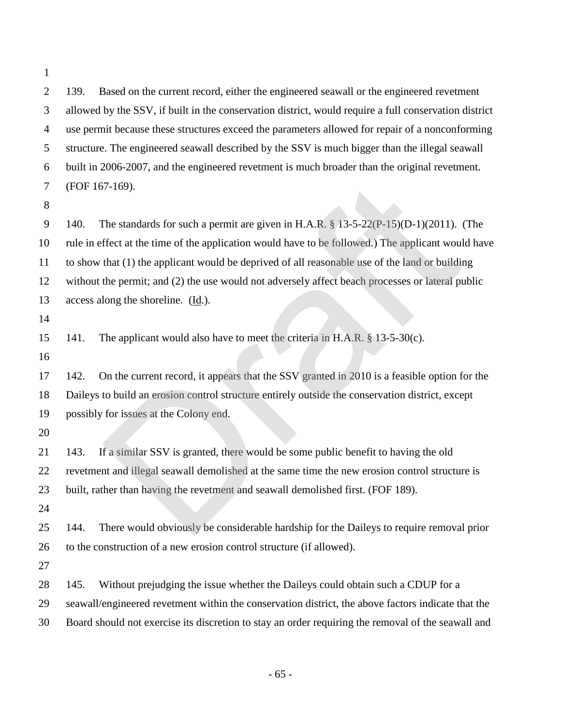139. Based on the current record, either the engineered seawall or the engineered revetment allowed by the SSV, if built in the conservation district, would require a full conservation district use permit because these structures exceed the parameters allowed for repair of a nonconforming structure. The engineered seawall described by the SSV is much bigger than the illegal seawall built in 2006-2007, and the engineered revetment is much broader than the original revetment. (FOF 167-169).

 140. The standards for such a permit are given in H.A.R. § 13-5-22(P-15)(D-1)(2011). (The rule in effect at the time of the application would have to be followed.) The applicant would have to show that (1) the applicant would be deprived of all reasonable use of the land or building without the permit; and (2) the use would not adversely affect beach processes or lateral public 13 access along the shoreline.  $(\underline{Id})$ . (7-169).<br>The standards for such a permit are given in H.A.R. § 13-5-22(P-15)(D-1)(2011).<br>The standards for such a permit are given in H.A.R. § 13-5-22(P-15)(D-1)(2011).<br>The applicant would be deprived of all reasonable us

141. The applicant would also have to meet the criteria in H.A.R. § 13-5-30(c).

 142. On the current record, it appears that the SSV granted in 2010 is a feasible option for the Daileys to build an erosion control structure entirely outside the conservation district, except possibly for issues at the Colony end.

 143. If a similar SSV is granted, there would be some public benefit to having the old revetment and illegal seawall demolished at the same time the new erosion control structure is built, rather than having the revetment and seawall demolished first. (FOF 189).

 144. There would obviously be considerable hardship for the Daileys to require removal prior to the construction of a new erosion control structure (if allowed).

145. Without prejudging the issue whether the Daileys could obtain such a CDUP for a

seawall/engineered revetment within the conservation district, the above factors indicate that the

Board should not exercise its discretion to stay an order requiring the removal of the seawall and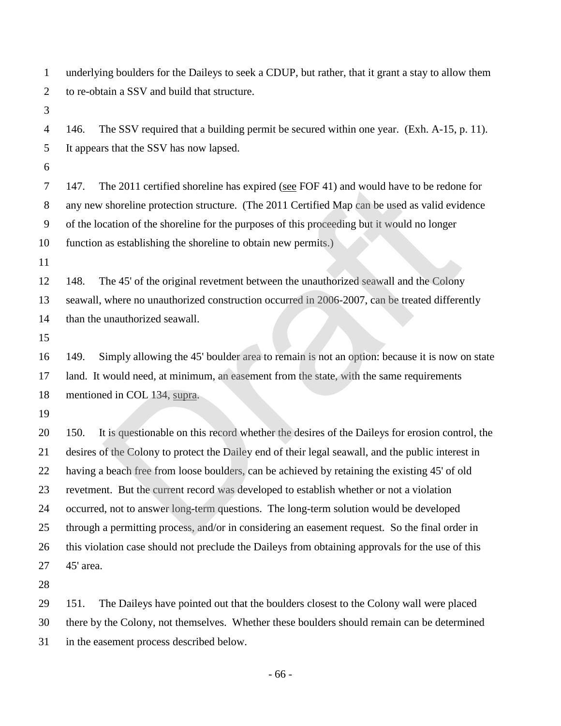underlying boulders for the Daileys to seek a CDUP, but rather, that it grant a stay to allow them to re-obtain a SSV and build that structure.

 146. The SSV required that a building permit be secured within one year. (Exh. A-15, p. 11). It appears that the SSV has now lapsed.

 147. The 2011 certified shoreline has expired (see FOF 41) and would have to be redone for any new shoreline protection structure. (The 2011 Certified Map can be used as valid evidence of the location of the shoreline for the purposes of this proceeding but it would no longer function as establishing the shoreline to obtain new permits.)

 148. The 45' of the original revetment between the unauthorized seawall and the Colony seawall, where no unauthorized construction occurred in 2006-2007, can be treated differently than the unauthorized seawall.

 149. Simply allowing the 45' boulder area to remain is not an option: because it is now on state land. It would need, at minimum, an easement from the state, with the same requirements mentioned in COL 134, supra.

 150. It is questionable on this record whether the desires of the Daileys for erosion control, the desires of the Colony to protect the Dailey end of their legal seawall, and the public interest in having a beach free from loose boulders, can be achieved by retaining the existing 45' of old revetment. But the current record was developed to establish whether or not a violation occurred, not to answer long-term questions. The long-term solution would be developed through a permitting process, and/or in considering an easement request. So the final order in this violation case should not preclude the Daileys from obtaining approvals for the use of this 45' area. The 2011 certified shoreline has expired (see FOF 41) and would have to be redom<br>shoreline protection structure. (The 2011 Certified Map can be used as valid evic<br>cation of the shoreline for the purposes of this proceedin

 151. The Daileys have pointed out that the boulders closest to the Colony wall were placed there by the Colony, not themselves. Whether these boulders should remain can be determined in the easement process described below.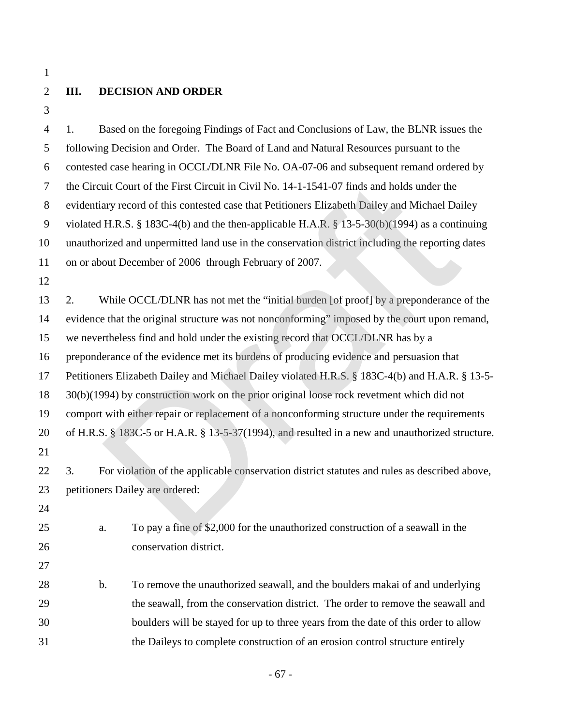# **III. DECISION AND ORDER**

 1. Based on the foregoing Findings of Fact and Conclusions of Law, the BLNR issues the following Decision and Order. The Board of Land and Natural Resources pursuant to the contested case hearing in OCCL/DLNR File No. OA-07-06 and subsequent remand ordered by the Circuit Court of the First Circuit in Civil No. 14-1-1541-07 finds and holds under the evidentiary record of this contested case that Petitioners Elizabeth Dailey and Michael Dailey violated H.R.S. § 183C-4(b) and the then-applicable H.A.R. § 13-5-30(b)(1994) as a continuing unauthorized and unpermitted land use in the conservation district including the reporting dates on or about December of 2006 through February of 2007. 

 2. While OCCL/DLNR has not met the "initial burden [of proof] by a preponderance of the evidence that the original structure was not nonconforming" imposed by the court upon remand, we nevertheless find and hold under the existing record that OCCL/DLNR has by a preponderance of the evidence met its burdens of producing evidence and persuasion that Petitioners Elizabeth Dailey and Michael Dailey violated H.R.S. § 183C-4(b) and H.A.R. § 13-5- 30(b)(1994) by construction work on the prior original loose rock revetment which did not comport with either repair or replacement of a nonconforming structure under the requirements of H.R.S. § 183C-5 or H.A.R. § 13-5-37(1994), and resulted in a new and unauthorized structure. 3. For violation of the applicable conservation district statutes and rules as described above, petitioners Dailey are ordered: a. To pay a fine of \$2,000 for the unauthorized construction of a seawall in the conservation district. b. To remove the unauthorized seawall, and the boulders makai of and underlying the seawall, from the conservation district. The order to remove the seawall and boulders will be stayed for up to three years from the date of this order to allow uit Court of the First Circuit in Civil No. 14-1-1541-07 finds and holds under the<br>ary record of this contested case that Petitioners Elizabeth Dailey and Michael Dai<br>H.R.S. § 183C-4(b) and the then-applicable H.A.R. § 13-

the Daileys to complete construction of an erosion control structure entirely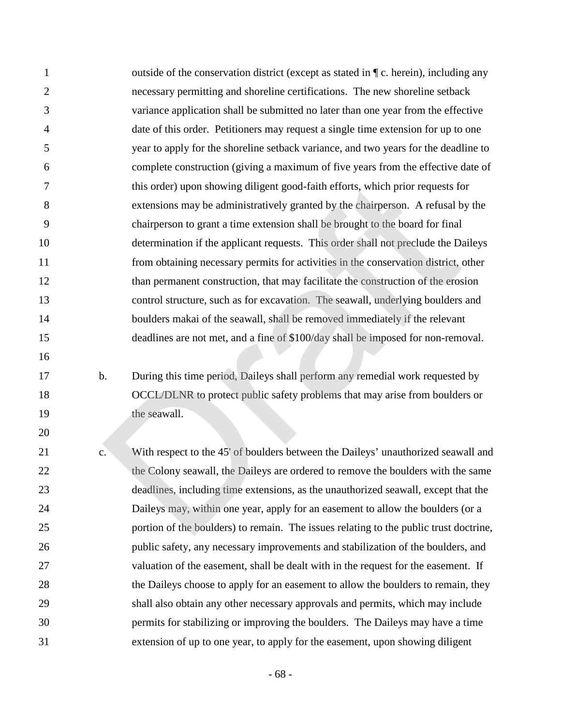| $\mathbf{1}$   |               | outside of the conservation district (except as stated in $\P$ c. herein), including any |
|----------------|---------------|------------------------------------------------------------------------------------------|
| $\overline{2}$ |               | necessary permitting and shoreline certifications. The new shoreline setback             |
| 3              |               | variance application shall be submitted no later than one year from the effective        |
| 4              |               | date of this order. Petitioners may request a single time extension for up to one        |
| 5              |               | year to apply for the shoreline setback variance, and two years for the deadline to      |
| 6              |               | complete construction (giving a maximum of five years from the effective date of         |
| 7              |               | this order) upon showing diligent good-faith efforts, which prior requests for           |
| 8              |               | extensions may be administratively granted by the chairperson. A refusal by the          |
| 9              |               | chairperson to grant a time extension shall be brought to the board for final            |
| 10             |               | determination if the applicant requests. This order shall not preclude the Daileys       |
| 11             |               | from obtaining necessary permits for activities in the conservation district, other      |
| 12             |               | than permanent construction, that may facilitate the construction of the erosion         |
| 13             |               | control structure, such as for excavation. The seawall, underlying boulders and          |
| 14             |               | boulders makai of the seawall, shall be removed immediately if the relevant              |
| 15             |               | deadlines are not met, and a fine of \$100/day shall be imposed for non-removal.         |
| 16             |               |                                                                                          |
| 17             | $\mathbf b$ . | During this time period, Daileys shall perform any remedial work requested by            |
| 18             |               | OCCL/DLNR to protect public safety problems that may arise from boulders or              |
| 19             |               | the seawall.                                                                             |
| 20             |               |                                                                                          |
| 21             | c.            | With respect to the 45' of boulders between the Daileys' unauthorized seawall and        |
| 22             |               | the Colony seawall, the Daileys are ordered to remove the boulders with the same         |
| 23             |               | deadlines, including time extensions, as the unauthorized seawall, except that the       |
| 24             |               | Daileys may, within one year, apply for an easement to allow the boulders (or a          |
| 25             |               | portion of the boulders) to remain. The issues relating to the public trust doctrine,    |
| 26             |               | public safety, any necessary improvements and stabilization of the boulders, and         |
| 27             |               | valuation of the easement, shall be dealt with in the request for the easement. If       |
| 28             |               | the Daileys choose to apply for an easement to allow the boulders to remain, they        |
| 29             |               | shall also obtain any other necessary approvals and permits, which may include           |
| 30             |               | permits for stabilizing or improving the boulders. The Daileys may have a time           |
| 31             |               | extension of up to one year, to apply for the easement, upon showing diligent            |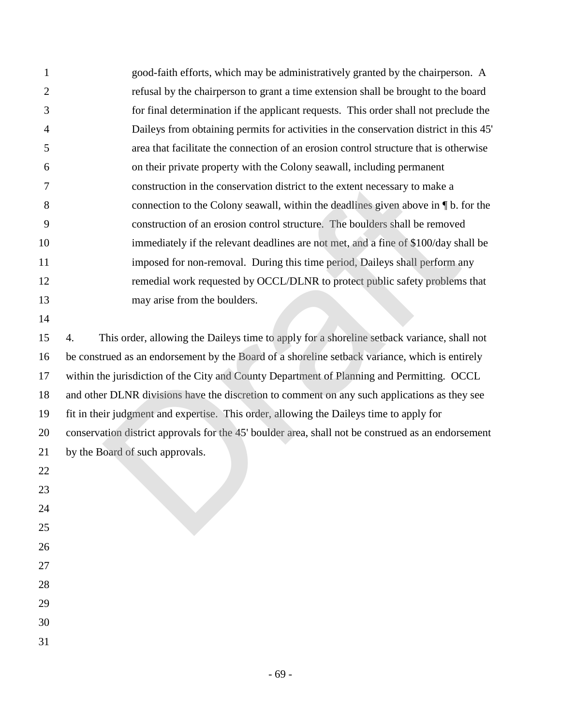| 1              | good-faith efforts, which may be administratively granted by the chairperson. A                    |
|----------------|----------------------------------------------------------------------------------------------------|
| $\overline{2}$ | refusal by the chairperson to grant a time extension shall be brought to the board                 |
| 3              | for final determination if the applicant requests. This order shall not preclude the               |
| 4              | Daileys from obtaining permits for activities in the conservation district in this 45'             |
| 5              | area that facilitate the connection of an erosion control structure that is otherwise              |
| 6              | on their private property with the Colony seawall, including permanent                             |
| 7              | construction in the conservation district to the extent necessary to make a                        |
| 8              | connection to the Colony seawall, within the deadlines given above in $\P$ b. for the              |
| 9              | construction of an erosion control structure. The boulders shall be removed                        |
| 10             | immediately if the relevant deadlines are not met, and a fine of \$100/day shall be                |
| 11             | imposed for non-removal. During this time period, Daileys shall perform any                        |
| 12             | remedial work requested by OCCL/DLNR to protect public safety problems that                        |
| 13             | may arise from the boulders.                                                                       |
| 14             |                                                                                                    |
| 15             | This order, allowing the Daileys time to apply for a shoreline setback variance, shall not<br>4.   |
| 16             | be construed as an endorsement by the Board of a shoreline setback variance, which is entirely     |
| 17             | within the jurisdiction of the City and County Department of Planning and Permitting. OCCL         |
| 18             | and other DLNR divisions have the discretion to comment on any such applications as they see       |
| 19             | fit in their judgment and expertise. This order, allowing the Daileys time to apply for            |
| 20             | conservation district approvals for the 45' boulder area, shall not be construed as an endorsement |
| 21             | by the Board of such approvals.                                                                    |
| 22             |                                                                                                    |
| 23             |                                                                                                    |
| 24             |                                                                                                    |
| 25             |                                                                                                    |
| 26             |                                                                                                    |
| 27             |                                                                                                    |
| 28             |                                                                                                    |
| 29             |                                                                                                    |
| 30             |                                                                                                    |
| 31             |                                                                                                    |